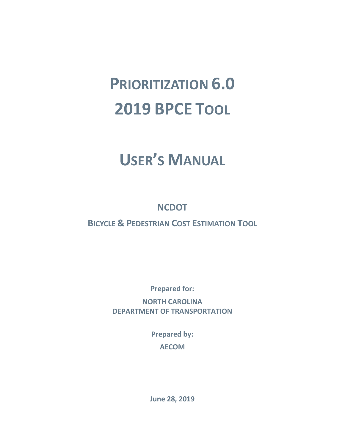# **PRIORITIZATION 6.0 2019 BPCE TOOL**

# **USER'S MANUAL**

**NCDOT**

**BICYCLE & PEDESTRIAN COST ESTIMATION TOOL**

**Prepared for:**

**NORTH CAROLINA DEPARTMENT OF TRANSPORTATION**

> **Prepared by: AECOM**

**June 28, 2019**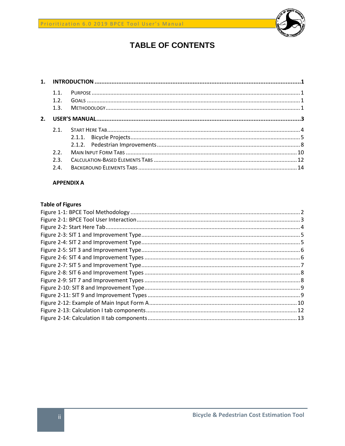

# **TABLE OF CONTENTS**

|    | 1.1<br>1.2 <sub>1</sub> |  |
|----|-------------------------|--|
|    | 1.3.                    |  |
| 2. |                         |  |
|    | 2.1                     |  |
|    |                         |  |
|    |                         |  |
|    | 2.2 <sub>1</sub>        |  |
|    | 2.3                     |  |
|    | 2.4.                    |  |
|    |                         |  |

# **APPENDIX A**

# **Table of Figures**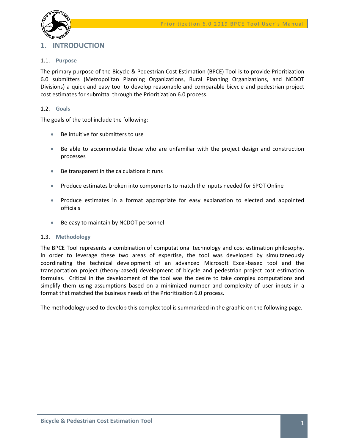

# <span id="page-2-0"></span>**1. INTRODUCTION**

# <span id="page-2-1"></span>1.1. **Purpose**

The primary purpose of the Bicycle & Pedestrian Cost Estimation (BPCE) Tool is to provide Prioritization 6.0 submitters (Metropolitan Planning Organizations, Rural Planning Organizations, and NCDOT Divisions) a quick and easy tool to develop reasonable and comparable bicycle and pedestrian project cost estimates for submittal through the Prioritization 6.0 process.

# <span id="page-2-2"></span>1.2. **Goals**

The goals of the tool include the following:

- Be intuitive for submitters to use
- Be able to accommodate those who are unfamiliar with the project design and construction processes
- Be transparent in the calculations it runs
- Produce estimates broken into components to match the inputs needed for SPOT Online
- Produce estimates in a format appropriate for easy explanation to elected and appointed officials
- Be easy to maintain by NCDOT personnel

# <span id="page-2-3"></span>1.3. **Methodology**

The BPCE Tool represents a combination of computational technology and cost estimation philosophy. In order to leverage these two areas of expertise, the tool was developed by simultaneously coordinating the technical development of an advanced Microsoft Excel-based tool and the transportation project (theory-based) development of bicycle and pedestrian project cost estimation formulas. Critical in the development of the tool was the desire to take complex computations and simplify them using assumptions based on a minimized number and complexity of user inputs in a format that matched the business needs of the Prioritization 6.0 process.

The methodology used to develop this complex tool is summarized in the graphic on the following page.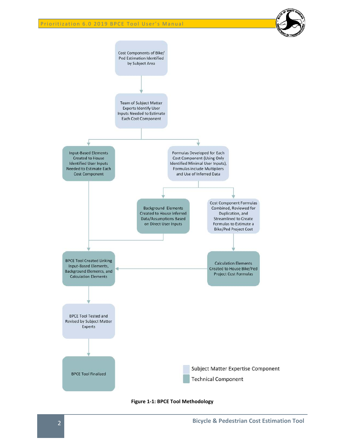

<span id="page-3-0"></span>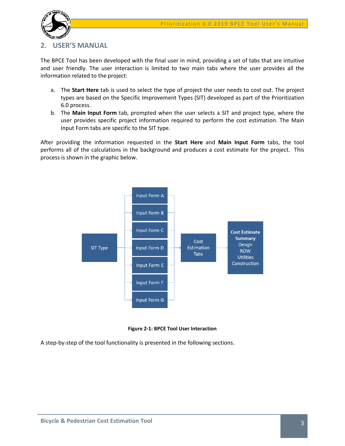

# <span id="page-4-0"></span>**2. USER'S MANUAL**

The BPCE Tool has been developed with the final user in mind, providing a set of tabs that are intuitive and user friendly. The user interaction is limited to two main tabs where the user provides all the information related to the project:

- a. The **Start Here** tab is used to select the type of project the user needs to cost out. The project types are based on the Specific Improvement Types (SIT) developed as part of the Prioritization 6.0 process.
- b. The **Main Input Form** tab, prompted when the user selects a SIT and project type, where the user provides specific project information required to perform the cost estimation. The Main Input Form tabs are specific to the SIT type.

After providing the information requested in the **Start Here** and **Main Input Form** tabs, the tool performs all of the calculations in the background and produces a cost estimate for the project. This process is shown in the graphic below.



**Figure 2-1: BPCE Tool User Interaction**

<span id="page-4-1"></span>A step-by-step of the tool functionality is presented in the following sections.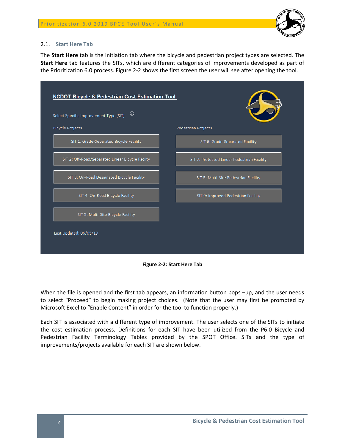

# <span id="page-5-0"></span>2.1. **Start Here Tab**

The **Start Here** tab is the initiation tab where the bicycle and pedestrian project types are selected. The **Start Here** tab features the SITs, which are different categories of improvements developed as part of the Prioritization 6.0 process. Figure 2-2 shows the first screen the user will see after opening the tool.

| $^\circledR$<br>Select Specific Improvement Type (SIT) |                                             |
|--------------------------------------------------------|---------------------------------------------|
| <b>Bicycle Projects</b>                                | <b>Pedestrian Projects</b>                  |
| SIT 1: Grade-Separated Bicycle Facility                | SIT 6: Grade-Separated Facility             |
| SIT 2: Off-Road/Separated Linear Bicycle Facilty       | SIT 7: Protected Linear Pedestrian Facility |
| SIT 3: On-Road Designated Bicycle Facility             | SIT 8: Multi-Site Pedestrian Facility       |
| SIT 4: On-Road Bicycle Facility                        | SIT 9: Improved Pedestrian Facility         |
| SIT 5: Multi-Site Bicycle Facility                     |                                             |

**Figure 2-2: Start Here Tab**

<span id="page-5-1"></span>When the file is opened and the first tab appears, an information button pops -up, and the user needs to select "Proceed" to begin making project choices. (Note that the user may first be prompted by Microsoft Excel to "Enable Content" in order for the tool to function properly.)

Each SIT is associated with a different type of improvement. The user selects one of the SITs to initiate the cost estimation process. Definitions for each SIT have been utilized from the P6.0 Bicycle and Pedestrian Facility Terminology Tables provided by the SPOT Office. SITs and the type of improvements/projects available for each SIT are shown below.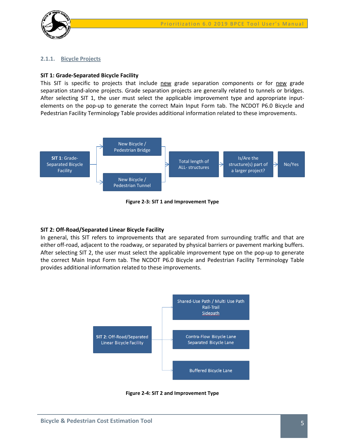

### <span id="page-6-0"></span>**2.1.1. Bicycle Projects**

#### **SIT 1: Grade-Separated Bicycle Facility**

This SIT is specific to projects that include new grade separation components or for new grade separation stand-alone projects. Grade separation projects are generally related to tunnels or bridges. After selecting SIT 1, the user must select the applicable improvement type and appropriate inputelements on the pop-up to generate the correct Main Input Form tab. The NCDOT P6.0 Bicycle and Pedestrian Facility Terminology Table provides additional information related to these improvements.



**Figure 2-3: SIT 1 and Improvement Type** 

### <span id="page-6-1"></span>**SIT 2: Off-Road/Separated Linear Bicycle Facility**

In general, this SIT refers to improvements that are separated from surrounding traffic and that are either off-road, adjacent to the roadway, or separated by physical barriers or pavement marking buffers. After selecting SIT 2, the user must select the applicable improvement type on the pop-up to generate the correct Main Input Form tab. The NCDOT P6.0 Bicycle and Pedestrian Facility Terminology Table provides additional information related to these improvements.



<span id="page-6-2"></span>**Figure 2-4: SIT 2 and Improvement Type**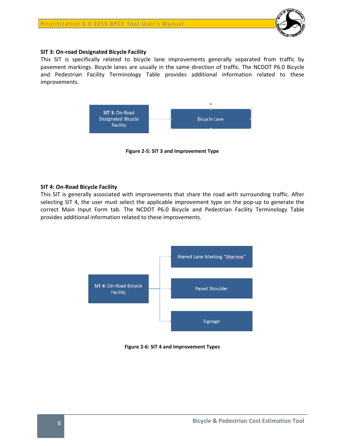

# **SIT 3: On-road Designated Bicycle Facility**

This SIT is specifically related to bicycle lane improvements generally separated from traffic by pavement markings. Bicycle lanes are usually in the same direction of traffic. The NCDOT P6.0 Bicycle and Pedestrian Facility Terminology Table provides additional information related to these improvements.



**Figure 2-5: SIT 3 and Improvement Type** 

# <span id="page-7-0"></span>**SIT 4: On-Road Bicycle Facility**

This SIT is generally associated with improvements that share the road with surrounding traffic. After selecting SIT 4, the user must select the applicable improvement type on the pop-up to generate the correct Main Input Form tab. The NCDOT P6.0 Bicycle and Pedestrian Facility Terminology Table provides additional information related to these improvements.



<span id="page-7-1"></span>**Figure 2-6: SIT 4 and Improvement Types**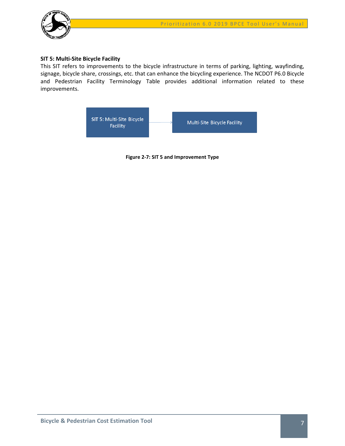

# **SIT 5: Multi-Site Bicycle Facility**

This SIT refers to improvements to the bicycle infrastructure in terms of parking, lighting, wayfinding, signage, bicycle share, crossings, etc. that can enhance the bicycling experience. The NCDOT P6.0 Bicycle and Pedestrian Facility Terminology Table provides additional information related to these improvements.

<span id="page-8-0"></span>

**Figure 2-7: SIT 5 and Improvement Type**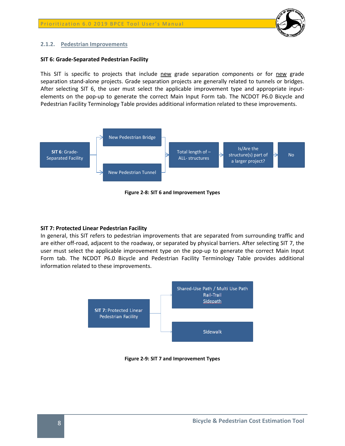

# <span id="page-9-0"></span>**2.1.2. Pedestrian Improvements**

# **SIT 6: Grade-Separated Pedestrian Facility**

This SIT is specific to projects that include new grade separation components or for new grade separation stand-alone projects. Grade separation projects are generally related to tunnels or bridges. After selecting SIT 6, the user must select the applicable improvement type and appropriate inputelements on the pop-up to generate the correct Main Input Form tab. The NCDOT P6.0 Bicycle and Pedestrian Facility Terminology Table provides additional information related to these improvements.



**Figure 2-8: SIT 6 and Improvement Types**

# <span id="page-9-1"></span>**SIT 7: Protected Linear Pedestrian Facility**

In general, this SIT refers to pedestrian improvements that are separated from surrounding traffic and are either off-road, adjacent to the roadway, or separated by physical barriers. After selecting SIT 7, the user must select the applicable improvement type on the pop-up to generate the correct Main Input Form tab. The NCDOT P6.0 Bicycle and Pedestrian Facility Terminology Table provides additional information related to these improvements.



<span id="page-9-2"></span>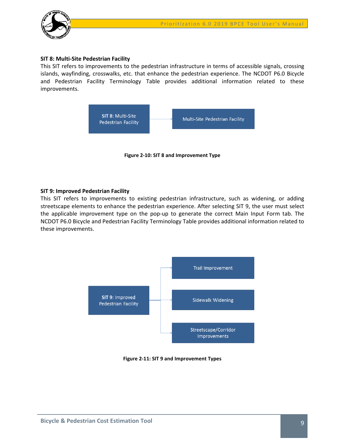

# **SIT 8: Multi-Site Pedestrian Facility**

This SIT refers to improvements to the pedestrian infrastructure in terms of accessible signals, crossing islands, wayfinding, crosswalks, etc. that enhance the pedestrian experience. The NCDOT P6.0 Bicycle and Pedestrian Facility Terminology Table provides additional information related to these improvements.



**Figure 2-10: SIT 8 and Improvement Type**

# <span id="page-10-0"></span>**SIT 9: Improved Pedestrian Facility**

This SIT refers to improvements to existing pedestrian infrastructure, such as widening, or adding streetscape elements to enhance the pedestrian experience. After selecting SIT 9, the user must select the applicable improvement type on the pop-up to generate the correct Main Input Form tab. The NCDOT P6.0 Bicycle and Pedestrian Facility Terminology Table provides additional information related to these improvements.



<span id="page-10-1"></span>**Figure 2-11: SIT 9 and Improvement Types**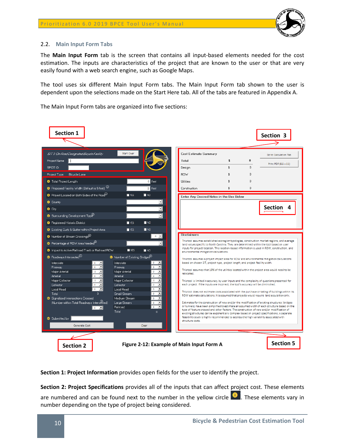

# <span id="page-11-0"></span>2.2. **Main Input Form Tabs**

The **Main Input Form** tab is the screen that contains all input-based elements needed for the cost estimation. The inputs are characteristics of the project that are known to the user or that are very easily found with a web search engine, such as Google Maps.

The tool uses six different Main Input Form tabs. The Main Input Form tab shown to the user is dependent upon the selections made on the Start Here tab. All of the tabs are featured in Appendix A.

The Main Input Form tabs are organized into five sections:

| Section 1                                                                                                                                                                                                                                                                                                                                                                                                                                                                                                                                                                                                                                                                                                                                                                   |                                                                                                                                                                                                                                                                                                                                                                                                                                                                                                                                                                                                                                          |                                                                                                                                                                                                                                                                                                                                                                                                                                                                                                                                                                                                                                                                                                                                                                                                                                                                                                                                                                                                                                                                                                                                                                                                                                                                                                                                                                                                                                                  |                                      |                                                          | Section 3                                                            |
|-----------------------------------------------------------------------------------------------------------------------------------------------------------------------------------------------------------------------------------------------------------------------------------------------------------------------------------------------------------------------------------------------------------------------------------------------------------------------------------------------------------------------------------------------------------------------------------------------------------------------------------------------------------------------------------------------------------------------------------------------------------------------------|------------------------------------------------------------------------------------------------------------------------------------------------------------------------------------------------------------------------------------------------------------------------------------------------------------------------------------------------------------------------------------------------------------------------------------------------------------------------------------------------------------------------------------------------------------------------------------------------------------------------------------------|--------------------------------------------------------------------------------------------------------------------------------------------------------------------------------------------------------------------------------------------------------------------------------------------------------------------------------------------------------------------------------------------------------------------------------------------------------------------------------------------------------------------------------------------------------------------------------------------------------------------------------------------------------------------------------------------------------------------------------------------------------------------------------------------------------------------------------------------------------------------------------------------------------------------------------------------------------------------------------------------------------------------------------------------------------------------------------------------------------------------------------------------------------------------------------------------------------------------------------------------------------------------------------------------------------------------------------------------------------------------------------------------------------------------------------------------------|--------------------------------------|----------------------------------------------------------|----------------------------------------------------------------------|
| SIT 3: Cin-Road Designated Bicycle Facility<br>Project Name<br>SPOT ID<br>Project Type: Bicycle Lane<br><b>O</b> Total Project Length<br><b>O</b> Proposed Facility Width (Default is 5 feet) <sup>(C</sup><br>Project Located on Both Sides of the Road <sup>D</sup><br><b>O</b> County<br><b>O</b> City                                                                                                                                                                                                                                                                                                                                                                                                                                                                   | Start Over<br>$0$ feet<br><b>5</b> feet<br>$\blacksquare$ YES<br>$\Box$ NO<br>$\vert \cdot \vert$                                                                                                                                                                                                                                                                                                                                                                                                                                                                                                                                        | Cost Estimate Summary<br>Total<br>Design<br><b>ROW</b><br>Utilities<br>Construction<br>Enter Any Desired Notes in the Box Below                                                                                                                                                                                                                                                                                                                                                                                                                                                                                                                                                                                                                                                                                                                                                                                                                                                                                                                                                                                                                                                                                                                                                                                                                                                                                                                  | \$<br>$\hat{\mathbf{x}}$<br>\$<br>\$ | $\bf{0}$<br>$\Omega$<br>$\Omega$<br>$\Omega$<br>$\Omega$ | Go to Calculation Tab<br>Print PDF (8.5 x 11)<br><b>Section</b><br>4 |
| Surrounding Development Type<br>Registered Historic District<br>Existing Curb & Gutter within Project Area<br>$\bullet$ Number of Stream Crossings ${}^{(j)}$<br>$\bullet$ Percentage of ROW Area Needed $^\circ$<br><b>B</b> Impact to Active Railroad Track or Railroad ROW<br>$\bullet$ Roadways Intersected $^{\omega}$<br>Interstate<br>Interstate<br>≛<br>۰<br>⊡<br>Freeway<br>۰<br>Freeway<br>$\overline{ }$<br>Maior Arterial<br>۰<br>회<br>Arterial<br>$\circ$<br>Arterial<br>$\bullet$<br>Maior Collector<br>ᅬ<br>Collector<br>$\circ$<br>$\vert \cdot \vert$<br>Collector<br>$\circ$ $\cdot$<br>Local Road<br>$\Omega$<br>Total<br>Signalized Intersections Crossed<br>(Number within Total Roadways Intersected)<br><b>Railroad</b><br>$\circ$ $\equiv$<br>Total | <b>TNO</b><br>$\Box$ YES<br>$\blacksquare$ YES<br>$\Box$ NO<br>$0 -$<br>$\overline{\phantom{0}}$<br>$\blacksquare$ YES<br>$\Box$ NO<br><sup>1</sup> Number of Existing Bridges <sup>1</sup><br>ᅬ<br>$\overline{\phantom{a}}$<br>$\blacksquare$<br>Maior Arterial<br>٥<br>$\overline{\phantom{a}}$<br>ò.<br>$\overline{\phantom{a}}$<br>Maior Collector<br>$\circ$<br>$\overline{\phantom{a}}$<br>٥<br>$\overline{\phantom{a}}$<br>Local Road<br>٥<br>$\blacktriangledown$<br>Small Stream<br>۰<br>$\overline{\phantom{a}}$<br>Medium Stream<br>ö<br>Large Stream<br>$\overline{ }$<br>۰<br>$\overline{\phantom{a}}$<br>۰<br>$\mathbf{0}$ | <b>Disclaimers</b><br>This tool assumes established ecoregion typologies, construction market regions, and average<br>land values specific to North Carolina. They are determined within the tool based on user<br>inputs for project location. This location-based information is used in ROW, construction, and<br>environmental mitigation calculations.<br>This tool assumes a project impact area for ROW and environmental mitigation calculations<br>based on chosen SIT, project type, project length, and project facility width.<br>This tool assumes that 10% of the utilities located within the project area would need to be<br>relocated.<br>This tool is limited in accuracy by user inputs and the complexity of questions presented for<br>each project. If the inputs are incorrect, the tool's accuracy will be diminished.<br>This tool does not estimate costs associated with the purchase or taking of buildings within its<br>ROW estimate calculations, It is assumed that projects would require land acquisition only.<br>Estimates for the construction of new and/or the modification of existing structures (bridges<br>or tunnels) have been simplified to estimate an assumed width of each structure based on the<br>type of feature crossed and other factors. The construction of new and/or modification of<br>existing structures can be exponentially complex based on project specifications. A separate |                                      |                                                          |                                                                      |
| <b>G</b> Submitted by<br>Generate Cost<br><b>Section 2</b>                                                                                                                                                                                                                                                                                                                                                                                                                                                                                                                                                                                                                                                                                                                  | Clear<br>Figure 2-12: Example of Main Input Form A                                                                                                                                                                                                                                                                                                                                                                                                                                                                                                                                                                                       | feasibility study is highly recommended to address the high variability associated with<br>structure costs.                                                                                                                                                                                                                                                                                                                                                                                                                                                                                                                                                                                                                                                                                                                                                                                                                                                                                                                                                                                                                                                                                                                                                                                                                                                                                                                                      |                                      |                                                          | <b>Section 5</b>                                                     |

<span id="page-11-1"></span>**Section 1: Project Information** provides open fields for the user to identify the project.

**Section 2: Project Specifications** provides all of the inputs that can affect project cost. These elements are numbered and can be found next to the number in the yellow circle  $\bullet$ . These elements vary in number depending on the type of project being considered.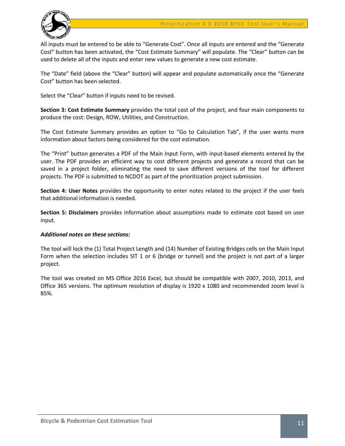

All inputs must be entered to be able to "Generate Cost". Once all inputs are entered and the "Generate Cost" button has been activated, the "Cost Estimate Summary" will populate. The "Clear" button can be used to delete all of the inputs and enter new values to generate a new cost estimate.

The "Date" field (above the "Clear" button) will appear and populate automatically once the "Generate Cost" button has been selected.

Select the "Clear" button if inputs need to be revised.

**Section 3: Cost Estimate Summary** provides the total cost of the project, and four main components to produce the cost: Design, ROW, Utilities, and Construction.

The Cost Estimate Summary provides an option to "Go to Calculation Tab", if the user wants more information about factors being considered for the cost estimation.

The "Print" button generates a PDF of the Main Input Form, with input-based elements entered by the user. The PDF provides an efficient way to cost different projects and generate a record that can be saved in a project folder, eliminating the need to save different versions of the tool for different projects. The PDF is submitted to NCDOT as part of the prioritization project submission.

**Section 4: User Notes** provides the opportunity to enter notes related to the project if the user feels that additional information is needed.

**Section 5: Disclaimers** provides information about assumptions made to estimate cost based on user input.

# *Additional notes on these sections:*

The tool will lock the (1) Total Project Length and (14) Number of Existing Bridges cells on the Main Input Form when the selection includes SIT 1 or 6 (bridge or tunnel) and the project is not part of a larger project.

The tool was created on MS Office 2016 Excel, but should be compatible with 2007, 2010, 2013, and Office 365 versions. The optimum resolution of display is 1920 x 1080 and recommended zoom level is 85%.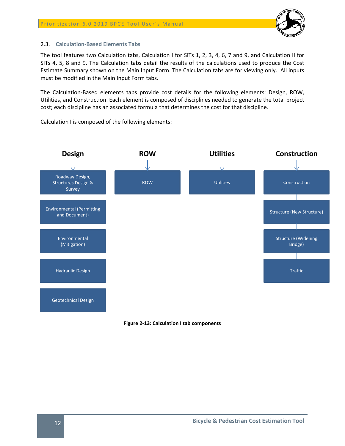

# <span id="page-13-0"></span>2.3. **Calculation-Based Elements Tabs**

The tool features two Calculation tabs, Calculation I for SITs 1, 2, 3, 4, 6, 7 and 9, and Calculation II for SITs 4, 5, 8 and 9. The Calculation tabs detail the results of the calculations used to produce the Cost Estimate Summary shown on the Main Input Form. The Calculation tabs are for viewing only. All inputs must be modified in the Main Input Form tabs.

The Calculation-Based elements tabs provide cost details for the following elements: Design, ROW, Utilities, and Construction. Each element is composed of disciplines needed to generate the total project cost; each discipline has an associated formula that determines the cost for that discipline.

Calculation I is composed of the following elements:



<span id="page-13-1"></span>**Figure 2-13: Calculation I tab components**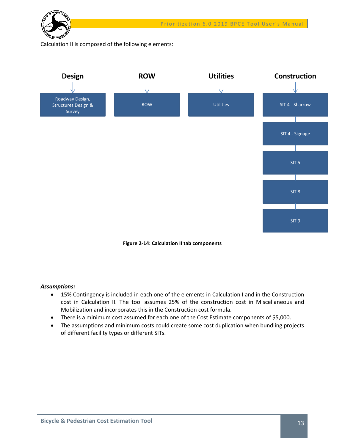

Calculation II is composed of the following elements:



**Figure 2-14: Calculation II tab components**

# <span id="page-14-0"></span>*Assumptions:*

- 15% Contingency is included in each one of the elements in Calculation I and in the Construction cost in Calculation II. The tool assumes 25% of the construction cost in Miscellaneous and Mobilization and incorporates this in the Construction cost formula.
- There is a minimum cost assumed for each one of the Cost Estimate components of \$5,000.
- The assumptions and minimum costs could create some cost duplication when bundling projects of different facility types or different SITs.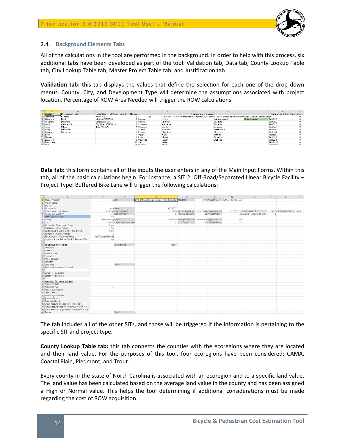

# <span id="page-15-0"></span>2.4. **Background Elements Tabs**

All of the calculations in the tool are performed in the background. In order to help with this process, six additional tabs have been developed as part of the tool: Validation tab, Data tab, County Lookup Table tab, City Lookup Table tab, Master Project Table tab, and Justification tab.

**Validation tab**: this tab displays the values that define the selection for each one of the drop down menus. County, City, and Development Type will determine the assumptions associated with project location. Percentage of ROW Area Needed will trigger the ROW calculations.

|                  |                  |                               | D     |                       |                |                                                                                                          |                  |                       |                                  |  |
|------------------|------------------|-------------------------------|-------|-----------------------|----------------|----------------------------------------------------------------------------------------------------------|------------------|-----------------------|----------------------------------|--|
| <b>COUNTY</b>    | Development Tupe | Percentage of ROW Area Needed | Numbe |                       |                | Restricting City to County                                                                               |                  |                       | Input Errors on Main Input Forms |  |
| Alamance         | Forested         | None (0-15%)                  |       | City                  | County         | STEP 1: Find Cities in Selected County (Dyr STEP2: Consolidate for dropdowr Step 3: Create a named range |                  |                       |                                  |  |
| Alexander        | Rural            | Minimal (15%-25%)             |       | 1 Aberdeen            | Moore          |                                                                                                          | Unincorporated   | <b>Unincorporated</b> | TextBox1                         |  |
| Alleghany        | Industrial       | Large (25%-60%)               |       | 2 Ahoskie             | Hertford       |                                                                                                          | Charlotte        |                       | TextBox2                         |  |
| Anson            | Commercial       | Significant (60%-80%)         |       | 3 Alamance            | Alamance       |                                                                                                          | <b>Cornelius</b> |                       | TextBox3                         |  |
| Ashe             | Urban            | Total (80-100%)               |       | 4 Albemarle           | Stanle         |                                                                                                          | Davidson         |                       | TextBox4                         |  |
| Averu            | Downtown         |                               |       | 5 Alliance            | Pamlico        |                                                                                                          | Huntersville     |                       | TextBox5                         |  |
| Beaufort         | Suburban         |                               |       | 6 Andrews             | Cherokee       |                                                                                                          | Matthews         |                       | TextBox6                         |  |
| Bertie           |                  |                               |       | Ancier                | Wake           |                                                                                                          | Mint Hill        |                       | TextBox7                         |  |
| Bladen           |                  |                               |       | 8 Angier              | Harnett        |                                                                                                          | Pineville        |                       | TextBox8                         |  |
| Brunswick        |                  |                               |       | 9 Ansonville          | Anson          |                                                                                                          | Stallings        |                       | TextBox9                         |  |
| Buncombe         |                  |                               |       | 10 Apex               | Wake           |                                                                                                          |                  |                       | TextBox10                        |  |
| <b>10 Double</b> |                  |                               |       | <b>Michael Street</b> | <b>Deadles</b> |                                                                                                          |                  |                       | Contractions                     |  |

**Data tab:** this form contains all of the inputs the user enters in any of the Main Input Forms. Within this tab, all of the basic calculations begin. For instance, a SIT 2: Off-Road/Separated Linear Bicycle Facility – Project Type: Buffered Bike Lane will trigger the following calculations:

|          | $\Lambda$                                          | $\hat{\mathbf{H}}$    | $\epsilon$                       | D.                                                         |                                                          | F | $\overline{G}$       | H                     |                                    | $\perp$ | K.                       | 江       |
|----------|----------------------------------------------------|-----------------------|----------------------------------|------------------------------------------------------------|----------------------------------------------------------|---|----------------------|-----------------------|------------------------------------|---------|--------------------------|---------|
|          | Master Project #                                   |                       | $5.5$ T                          | SIT 2: Off-Road/Separated Linear Bicycle Facilty Short SIT |                                                          |   | SIT 2 Project Type:  | Buffered Bicycle Lane |                                    |         |                          |         |
|          | 2 Project Name:                                    |                       |                                  |                                                            |                                                          |   |                      |                       |                                    |         |                          |         |
|          | SPOT ID:                                           |                       |                                  |                                                            |                                                          |   |                      |                       |                                    |         |                          |         |
|          | 4 Submitted by                                     |                       | mm Date                          | 6/11/2019                                                  |                                                          |   |                      |                       |                                    |         |                          |         |
|          | 5 Total Project Length (feet)                      |                       | 2,000.00 Project Area(sf)        |                                                            | 52000 Project Area acre) 1.19375574 Project Area (sy)    |   |                      |                       | 5777.777778 Facility Area (sf)     |         | 28000 Facility Area (sy) | 3111.11 |
|          | 6 New Facility Width (if)                          |                       | 14 Default Width                 |                                                            | 14 Incremental Width                                     |   | 12 Project Width     |                       | 26 Existing Facility Width (SIT 9) | ö       |                          |         |
|          | 7 Both Sides of the Road?                          | N <sub>D</sub>        |                                  |                                                            |                                                          |   |                      |                       |                                    |         |                          |         |
|          | 8 County                                           | Mecklenburg Region    |                                  |                                                            | Predmont, Average Land value 136426.974 High Value Cour, |   |                      | Yes                   |                                    |         |                          |         |
| $9$ City |                                                    |                       | Cornelius City or Unincorporated |                                                            | City CRM factor                                          |   | 1.05 Distance Factor |                       |                                    |         |                          |         |
|          | 10 Surrounding Development Type                    | Urban                 |                                  |                                                            |                                                          |   |                      |                       |                                    |         |                          |         |
|          | 11 Registered Historic District                    | No                    |                                  |                                                            |                                                          |   |                      |                       |                                    |         |                          |         |
|          | 12 Existing Curb & Gutter within Project Area      | None                  |                                  |                                                            |                                                          |   |                      |                       |                                    |         |                          |         |
|          | 13 Number of Stream Crossings                      |                       |                                  |                                                            |                                                          |   |                      |                       |                                    |         |                          |         |
|          | 14 Percentage of ROW Area Needed                   | Significant (60%-80%) |                                  |                                                            |                                                          |   |                      |                       |                                    |         |                          |         |
|          | 15 Impact to Active Railroad Track or Railroad ROW | No:                   |                                  |                                                            |                                                          |   |                      |                       |                                    |         |                          |         |
| 16       |                                                    |                       |                                  |                                                            |                                                          |   |                      |                       |                                    |         |                          |         |
| 17       | Roadways Intersected                               |                       | Largest Road                     | Freeway                                                    |                                                          |   |                      |                       |                                    |         |                          |         |
|          | 18 Interstate                                      |                       |                                  |                                                            |                                                          |   |                      |                       |                                    |         |                          |         |
|          | 19 Freeway                                         | $\mathbf{1}$          |                                  |                                                            |                                                          |   |                      |                       |                                    |         |                          |         |
|          | 20 Major Arterial                                  |                       |                                  |                                                            |                                                          |   |                      |                       |                                    |         |                          |         |
|          | 21 Arterial                                        |                       |                                  |                                                            |                                                          |   |                      |                       |                                    |         |                          |         |
|          | 22 Major Collector                                 |                       |                                  |                                                            |                                                          |   |                      |                       |                                    |         |                          |         |
|          | 23 Collector                                       |                       |                                  |                                                            |                                                          |   |                      |                       |                                    |         |                          |         |
|          | 24 Local Road                                      |                       | Total:                           |                                                            |                                                          |   |                      |                       |                                    |         |                          |         |
|          | 25 Signalized Intersections Crossed                |                       |                                  |                                                            |                                                          |   |                      |                       |                                    |         |                          |         |
| 26       |                                                    |                       |                                  |                                                            |                                                          |   |                      |                       |                                    |         |                          |         |
|          | 27 Length of New Bridge                            |                       |                                  |                                                            |                                                          |   |                      |                       |                                    |         |                          |         |
|          | 28 Length of New Tunnel                            |                       |                                  |                                                            |                                                          |   |                      |                       |                                    |         |                          |         |
| 29       |                                                    |                       |                                  |                                                            |                                                          |   |                      |                       |                                    |         |                          |         |
|          | 30 Number of Existing Bridges                      |                       |                                  |                                                            |                                                          |   |                      |                       |                                    |         |                          |         |
|          | 31 Road: Interstate                                |                       |                                  |                                                            |                                                          |   |                      |                       |                                    |         |                          |         |
|          | 32 Road: Freeway                                   |                       |                                  |                                                            |                                                          |   |                      |                       |                                    |         |                          |         |
|          |                                                    |                       |                                  |                                                            |                                                          |   |                      |                       |                                    |         |                          |         |
|          | 33 Road: Major Arterial<br>34 Road, Arterial       |                       |                                  |                                                            |                                                          |   |                      |                       |                                    |         |                          |         |
|          |                                                    |                       |                                  |                                                            |                                                          |   |                      |                       |                                    |         |                          |         |
|          | 35 Road: Major Collector                           |                       |                                  |                                                            |                                                          |   |                      |                       |                                    |         |                          |         |
|          | 36 Road: Collector                                 |                       |                                  |                                                            |                                                          |   |                      |                       |                                    |         |                          |         |
|          | 37 Road Local Road                                 |                       |                                  |                                                            |                                                          |   |                      |                       |                                    |         |                          |         |
|          | 38 Water Feature: Small Stream (width <15').       |                       |                                  |                                                            |                                                          |   |                      |                       |                                    |         |                          |         |
|          | 39 Water Feature: Medium Stream (15'< width < 75') |                       |                                  |                                                            |                                                          |   |                      |                       |                                    |         |                          |         |
|          | 40 Water Feature: Large Stream/River ( width > 75) |                       |                                  |                                                            |                                                          |   |                      |                       |                                    |         |                          |         |
|          | 41 Railroad                                        |                       | Total                            | 1                                                          |                                                          |   |                      |                       |                                    |         |                          |         |

The tab includes all of the other SITs, and those will be triggered if the information is pertaining to the specific SIT and project type.

**County Lookup Table tab:** this tab connects the counties with the ecoregions where they are located and their land value. For the purposes of this tool, four ecoregions have been considered: CAMA, Coastal Plain, Piedmont, and Trout.

Every county in the state of North Carolina is associated with an ecoregion and to a specific land value. The land value has been calculated based on the average land value in the county and has been assigned a High or Normal value. This helps the tool determining if additional considerations must be made regarding the cost of ROW acquisition.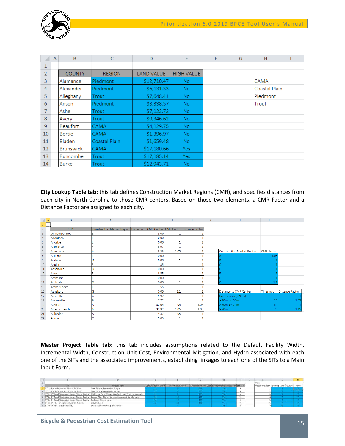

|                | $\mathsf{A}$ | B                | C             | D                 | E                 | F | G | H             |  |
|----------------|--------------|------------------|---------------|-------------------|-------------------|---|---|---------------|--|
| 1              |              |                  |               |                   |                   |   |   |               |  |
| $\overline{2}$ |              | <b>COUNTY</b>    | <b>REGION</b> | <b>LAND VALUE</b> | <b>HIGH VALUE</b> |   |   |               |  |
| $\overline{3}$ |              | Alamance         | Piedmont      | \$12,710.47       | No.               |   |   | CAMA          |  |
| 4              |              | Alexander        | Piedmont      | \$6,131.33        | No.               |   |   | Coastal Plain |  |
| 5              |              | Alleghany        | Trout         | \$7,648.41        | No.               |   |   | Piedmont      |  |
| 6              |              | Anson            | Piedmont      | \$3,338.57        | No.               |   |   | Trout         |  |
| $\overline{7}$ |              | Ashe             | Trout         | \$7,122.72        | No.               |   |   |               |  |
| 8              |              | Avery            | Trout         | \$9,346.62        | No.               |   |   |               |  |
| 9              |              | <b>Beaufort</b>  | CAMA          | \$4,129.75        | No.               |   |   |               |  |
| 10             |              | <b>Bertie</b>    | CAMA          | \$1,396.97        | No.               |   |   |               |  |
| 11             |              | <b>Bladen</b>    | Coastal Plain | \$1,659.48        | No.               |   |   |               |  |
| 12             |              | <b>Brunswick</b> | <b>CAMA</b>   | \$17,180.66       | Yes:              |   |   |               |  |
| 13             |              | <b>Buncombe</b>  | Trout         | \$17,185.14       | Yes:              |   |   |               |  |
| 14             |              | <b>Burke</b>     | Trout         | \$12,943.71       | No.               |   |   |               |  |

**City Lookup Table tab:** this tab defines Construction Market Regions (CMR), and specifies distances from each city in North Carolina to those CMR centers. Based on those two elements, a CMR Factor and a Distance Factor are assigned to each city.

|                         | $\overline{A}$ | B                     | $\overline{C}$                                                                     | D     | E    | F    | G | H                                 |                   |                        |
|-------------------------|----------------|-----------------------|------------------------------------------------------------------------------------|-------|------|------|---|-----------------------------------|-------------------|------------------------|
|                         |                |                       |                                                                                    |       |      |      |   |                                   |                   |                        |
| $\overline{2}$          |                | <b>CITY</b>           | Construction Market Region   Distance to CMR Center   CMR Factor   Distance Factor |       |      |      |   |                                   |                   |                        |
| $\overline{\mathbf{3}}$ |                | Unincorporated        |                                                                                    | 8.06  |      |      |   |                                   |                   |                        |
| 4                       |                | Aberdeen              | Ē                                                                                  | 0.00  |      |      |   |                                   |                   |                        |
| 5                       |                | Ahoskie               | E                                                                                  | 0.00  |      |      |   |                                   |                   |                        |
| 6                       |                | Alamance              |                                                                                    | 5.97  |      |      |   |                                   |                   |                        |
| $\overline{7}$          |                | Albemarle             |                                                                                    | 8.33  | 1.05 |      |   | <b>Construction Market Region</b> | <b>CMR</b> Factor |                        |
| $\boldsymbol{8}$        |                | Alliance              | E                                                                                  | 0.00  |      |      |   |                                   | 1.05              |                        |
| $\overline{9}$          |                | Andrews               | n                                                                                  | 0.00  |      |      |   |                                   |                   |                        |
| $\frac{1}{10}$          |                | Angier                |                                                                                    | 11.35 |      |      |   |                                   |                   |                        |
| $11\,$                  |                | Ansonville            | D                                                                                  | 0.00  |      |      |   |                                   |                   |                        |
| 12                      |                | Apex                  |                                                                                    | 8.55  |      |      |   |                                   |                   |                        |
| 13                      |                | Arapahoe              | E                                                                                  | 0.00  |      |      |   |                                   |                   |                        |
| 14                      |                | Archdale              | D                                                                                  | 0.00  |      |      |   |                                   |                   |                        |
| 15                      |                | Archer Lodge          |                                                                                    | 3.55  |      |      |   |                                   |                   |                        |
| 16                      |                | Asheboro              | G                                                                                  | 0.00  | 1.1  |      |   | <b>Distance to CMR Center</b>     | Threshold         | <b>Distance Factor</b> |
| 17                      |                | Asheville             |                                                                                    | 5.97  |      |      |   | Center Area (<20mi)               | 0                 |                        |
| 18                      |                | Askewville            | B                                                                                  | 7.72  |      |      |   | $> 20mi$ ; < 50mi                 | 20                | 1.05                   |
| $19\,$                  |                | Atkinson              |                                                                                    | 32.05 | 1.05 | 1.05 |   | $>50$ mi; < 70mi                  | 50                | 1.1                    |
| 20                      |                | <b>Atlantic Beach</b> |                                                                                    | 32.82 | 1.05 | 1.05 |   | $>70$ mi                          | 70                | 1.15                   |
| 21                      |                | Aulander              |                                                                                    | 14.37 | 1.05 |      |   |                                   |                   |                        |
| 22                      |                | Aurora                | C                                                                                  | 5.03  |      |      |   |                                   |                   |                        |

**Master Project Table tab:** this tab includes assumptions related to the Default Facility Width, Incremental Width, Construction Unit Cost, Environmental Mitigation, and Hydro associated with each one of the SITs and the associated improvements, establishing linkages to each one of the SITs to a Main Input Form.

|                                                                          |                                                          |                        |                   |      |                                                       |        | Hydro |                                         |      |
|--------------------------------------------------------------------------|----------------------------------------------------------|------------------------|-------------------|------|-------------------------------------------------------|--------|-------|-----------------------------------------|------|
|                                                                          | Project Type                                             | Default facility Width | Incremental Width |      | Construction Unit Cost Environmental Mitigation SHEET |        |       | Master Project # Existing Curb & Gutter | None |
| 5/7 1: Grade-Separated Bicycle Facility                                  | New Bicycle/Pedestrian Bridge                            |                        |                   | 225  | Yes                                                   |        |       |                                         |      |
| SIT 1: Grade-Separated Bicycle Facility                                  | New Bicycle/Pedestrian Tunnel                            |                        |                   | 225  | Yes.                                                  |        |       |                                         |      |
| SIT 2: Off-Road/Separated Linear Bicycle Facilty                         | Multi-Use Path, Shared-Use Path, Rail-Trail, or Sidepath |                        |                   | 225  | Yes:                                                  |        |       |                                         |      |
| 6 SIT 2: Off-Road/Separated Linear Bicycle Facilty                       | Contra-Flow Bicycle Lane or Separated Bicycle Lane       |                        |                   | 135  | Yes:                                                  |        |       |                                         |      |
| SIT 2: Off-Road/Separated Linear Bicycle Facilty   Buffered Bicycle Lane |                                                          |                        |                   | 135. | Yes                                                   |        |       |                                         |      |
| 8 SIT 3: On-Road Designated Bicycle Facility                             | Bicycle Lane                                             |                        |                   | 135  | Yes:                                                  |        |       |                                         |      |
| 9 StT 4: On-Road Bicycle Facility                                        | Shared Lane Marking "Sharrows"                           |                        |                   |      |                                                       | $\sim$ |       |                                         |      |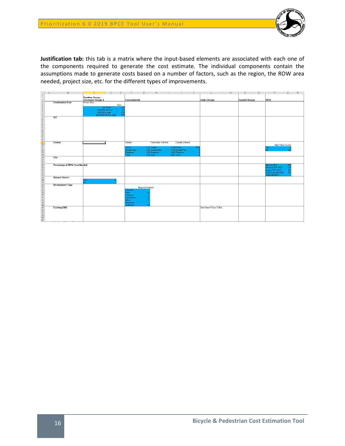

**Justification tab:** this tab is a matrix where the input-based elements are associated with each one of the components required to generate the cost estimate. The individual components contain the assumptions made to generate costs based on a number of factors, such as the region, the ROW area needed, project size, etc. for the different types of improvements.

| A                             | B. |                     | D.                                  | E           |                              | G                  | H                              |                                 | $_{\rm K}$ | M                        | $\Box$<br>N.          | P<br>$\circ$<br>B.                             |
|-------------------------------|----|---------------------|-------------------------------------|-------------|------------------------------|--------------------|--------------------------------|---------------------------------|------------|--------------------------|-----------------------|------------------------------------------------|
|                               |    | Roadway Design,     |                                     |             |                              |                    |                                |                                 |            |                          |                       |                                                |
|                               |    | Structures Design & |                                     |             | Environmental                |                    |                                |                                 |            | <b>Hydro Design</b>      | <b>Geotech Design</b> | ROW                                            |
| <b>Construction Cost</b>      |    | Project Size        |                                     |             |                              |                    |                                |                                 |            |                          |                       |                                                |
|                               |    |                     |                                     | Ratio       |                              |                    |                                |                                 |            |                          |                       |                                                |
|                               |    |                     | \$0 Small                           | 0.25        |                              |                    |                                |                                 |            |                          |                       |                                                |
|                               |    |                     | \$200,000 Medium<br>\$400,000 Large | 0.3<br>0.19 |                              |                    |                                |                                 |            |                          |                       |                                                |
|                               |    |                     | \$2,000,000 Extra Large             | 0.15        |                              |                    |                                |                                 |            |                          |                       |                                                |
| ST                            |    |                     |                                     |             |                              |                    |                                |                                 |            |                          |                       |                                                |
|                               |    |                     |                                     |             |                              |                    |                                |                                 |            |                          |                       |                                                |
|                               |    |                     |                                     |             |                              |                    |                                |                                 |            |                          |                       |                                                |
|                               |    |                     |                                     |             |                              |                    |                                |                                 |            |                          |                       |                                                |
|                               |    |                     |                                     |             |                              |                    |                                |                                 |            |                          |                       |                                                |
|                               |    |                     |                                     |             |                              |                    |                                |                                 |            |                          |                       |                                                |
|                               |    |                     |                                     |             |                              |                    |                                |                                 |            |                          |                       |                                                |
|                               |    |                     |                                     |             |                              |                    |                                |                                 |            |                          |                       |                                                |
| County                        |    |                     |                                     |             | Stream                       |                    | Freshwater Wetland             | Coastal Welland                 |            |                          |                       |                                                |
|                               |    |                     |                                     |             |                              |                    |                                |                                 |            |                          |                       | High Value County                              |
|                               |    |                     |                                     |             | <b>CAMA</b><br>Coastal Plain |                    | 167 CAMA<br>3.34 Coastal Plain | 0.24 CAMA<br>0.19 Coastal Plain | 0.04       |                          |                       | res.<br>Nn                                     |
|                               |    |                     |                                     |             | <b>Piedmont</b>              |                    | 4.79 Piedmont                  | 0.03 Piedmont                   |            |                          |                       |                                                |
|                               |    |                     |                                     |             | Trout -                      |                    | 7.96 Trout                     | 0.002 Trout                     |            |                          |                       |                                                |
| <b>City</b>                   |    |                     |                                     |             |                              |                    |                                |                                 |            |                          |                       |                                                |
|                               |    |                     |                                     |             |                              |                    |                                |                                 |            |                          |                       |                                                |
| Percentage of ROW Area Needed |    |                     |                                     |             |                              |                    |                                |                                 |            |                          |                       | None (0-15%)<br>0.75                           |
|                               |    |                     |                                     |             |                              |                    |                                |                                 |            |                          |                       | Minimal (15%-25%)<br>Large (25%-60%)<br>0.25   |
|                               |    |                     |                                     |             |                              |                    |                                |                                 |            |                          |                       | 0.6                                            |
|                               |    |                     |                                     |             |                              |                    |                                |                                 |            |                          |                       | Significant (60%-80%<br>0.8<br>Total (80-100%) |
| <b>Historic District</b>      |    |                     |                                     |             |                              |                    |                                |                                 |            |                          |                       |                                                |
|                               |    | Yes                 |                                     |             |                              |                    |                                |                                 |            |                          |                       |                                                |
| Development Type              |    | No.                 |                                     |             |                              |                    |                                |                                 |            |                          |                       |                                                |
|                               |    |                     |                                     |             |                              | Regional Multipler |                                |                                 |            |                          |                       |                                                |
|                               |    |                     |                                     |             | orested                      |                    |                                |                                 |            |                          |                       |                                                |
|                               |    |                     |                                     |             | Rural:                       |                    |                                |                                 |            |                          |                       |                                                |
|                               |    |                     |                                     |             | Industrial<br>Commercial     |                    |                                |                                 |            |                          |                       |                                                |
|                               |    |                     |                                     |             | Urban                        |                    |                                |                                 |            |                          |                       |                                                |
|                               |    |                     |                                     |             | Downtown                     |                    |                                |                                 |            |                          |                       |                                                |
|                               |    |                     |                                     |             | Suburban                     |                    |                                |                                 |            |                          |                       |                                                |
| <b>Existing C&amp;G</b>       |    |                     |                                     |             |                              |                    |                                |                                 |            | See Master Project Table |                       |                                                |
|                               |    |                     |                                     |             |                              |                    |                                |                                 |            |                          |                       |                                                |
|                               |    |                     |                                     |             |                              |                    |                                |                                 |            |                          |                       |                                                |
|                               |    |                     |                                     |             |                              |                    |                                |                                 |            |                          |                       |                                                |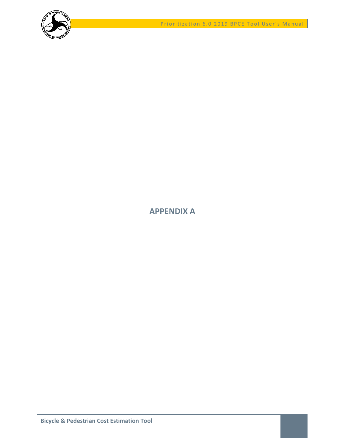



# <span id="page-18-0"></span>**APPENDIX A**

**Bicycle & Pedestrian Cost Estimation Tool**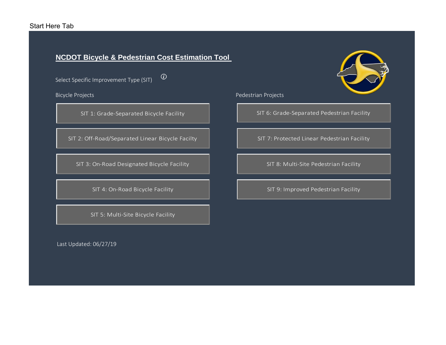# Start Here Tab

# **NCDOT Bicycle & Pedestrian Cost Estimation Tool**

 $\odot$ 

Select Specific Improvement Type (SIT)

SIT 1: Grade‐Separated Bicycle Facility

SIT 2: Off‐Road/Separated Linear Bicycle Facilty

SIT 3: On‐Road Designated Bicycle Facility

SIT 4: On‐Road Bicycle Facility

SIT 5: Multi‐Site Bicycle Facility

Last Updated: 06/27/19



Bicycle Projects **Projects** Pedestrian Projects

SIT 6: Grade‐Separated Pedestrian Facility

SIT 7: Protected Linear Pedestrian Facility

SIT 8: Multi‐Site Pedestrian Facility

SIT 9: Improved Pedestrian Facility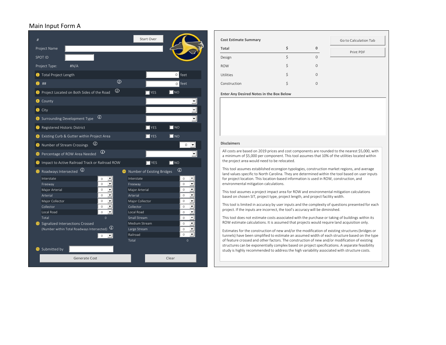# Main Input Form A



| <b>Cost Estimate Summary</b>                    | Go to Calculation Tab |          |           |  |  |  |  |  |  |  |
|-------------------------------------------------|-----------------------|----------|-----------|--|--|--|--|--|--|--|
| Total                                           | \$                    | 0        | Print PDF |  |  |  |  |  |  |  |
| Design                                          | \$                    | 0        |           |  |  |  |  |  |  |  |
| <b>ROW</b>                                      | \$                    | $\Omega$ |           |  |  |  |  |  |  |  |
| <b>Utilities</b>                                | \$                    | $\Omega$ |           |  |  |  |  |  |  |  |
| Construction                                    | \$                    | $\Omega$ |           |  |  |  |  |  |  |  |
| <b>Enter Any Desired Notes in the Box Below</b> |                       |          |           |  |  |  |  |  |  |  |

All costs are based on 2019 prices and cost components are rounded to the nearest \$5,000, with a minimum of \$5,000 per component. This tool assumes that 10% of the utilities located within the project area would need to be relocated.

This tool assumes established ecoregion typologies, construction market regions, and average land values specific to North Carolina. They are determined within the tool based on user inputs for project location. This location‐based information is used in ROW, construction, and environmental mitigation calculations.

This tool assumes <sup>a</sup> project impact area for ROW and environmental mitigation calculations based on chosen SIT, project type, project length, and project facility width.

This tool is limited in accuracy by user inputs and the complexity of questions presented for each project. If the inputs are incorrect, the tool's accuracy will be diminished.

This tool does not estimate costs associated with the purchase or taking of buildings within its ROW estimate calculations. It is assumed that projects would require land acquisition only.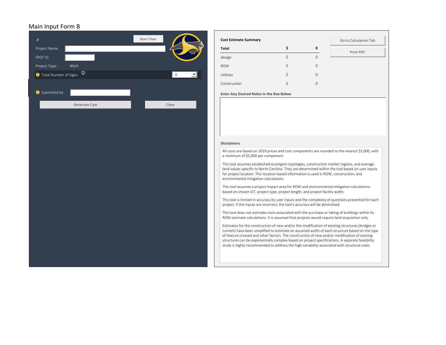# Main Input Form B

| $\#$                      |               | Start Over          | <b>Cost Estimate</b>                                                                |
|---------------------------|---------------|---------------------|-------------------------------------------------------------------------------------|
| Project Name              |               |                     | Total                                                                               |
| SPOT ID                   |               |                     | Design                                                                              |
| Project Type:             | #N/A          |                     | <b>ROW</b>                                                                          |
| 1 Total Number of Signs 0 |               | $\mathsf{O}\xspace$ | Utilities                                                                           |
|                           |               |                     | Construction                                                                        |
| Submitted by              |               |                     | <b>Enter Any Des</b>                                                                |
|                           | Generate Cost | Clear               |                                                                                     |
|                           |               |                     | <b>Disclaimers</b>                                                                  |
|                           |               |                     | All costs are b<br>a minimum o                                                      |
|                           |               |                     | This tool assu<br>land values s<br>for project lo<br>environment                    |
|                           |               |                     | This tool assu<br>based on cho                                                      |
|                           |               |                     | This tool is lir<br>project. If the                                                 |
|                           |               |                     | This tool doe<br>ROW estimat                                                        |
|                           |               |                     | Estimates for<br>tunnels) have<br>of feature cro<br>structures ca<br>study is highl |

| <b>Cost Estimate Summary</b>             |    |              | Go to Calculation Tab |
|------------------------------------------|----|--------------|-----------------------|
| Total                                    | Ś  | 0            | Print PDF             |
| Design                                   |    | $\mathbf{0}$ |                       |
| <b>ROW</b>                               | \$ | $\mathbf 0$  |                       |
| Utilities                                | \$ | $\mathbf 0$  |                       |
| Construction                             | Ś  | $\mathbf 0$  |                       |
| Enter Any Desired Notes in the Box Below |    |              |                       |

#### **Disclaimers**

s are based on 2019 prices and cost components are rounded to the nearest \$5,000, with a minimum of \$5,000 per component.

 tool assumes established ecoregion typologies, construction market regions, and average es specific to North Carolina. They are determined within the tool based on user inputs t location. This location‐based information is used in ROW, construction, and environmental mitigation calculations.

 tool assumes <sup>a</sup> project impact area for ROW and environmental mitigation calculations chosen SIT, project type, project length, and project facility width.

 tool is limited in accuracy by user inputs and the complexity of questions presented for each the inputs are incorrect, the tool's accuracy will be diminished.

 tool does not estimate costs associated with the purchase or taking of buildings within its mate calculations. It is assumed that projects would require land acquisition only.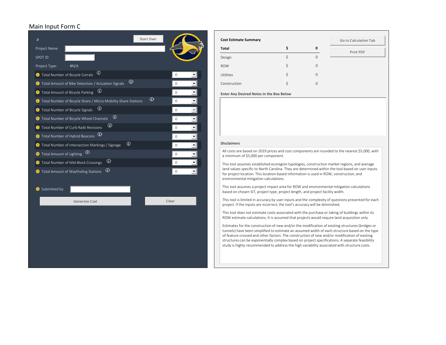# Main Input Form C



| <b>Cost Estimate Summary</b> |                | Go to Calculation Tab |
|------------------------------|----------------|-----------------------|
| Total                        | 0              | Print PDF             |
| Design                       | 0              |                       |
| <b>ROW</b>                   | \$<br>$\Omega$ |                       |
| Utilities                    | \$<br>$\Omega$ |                       |
| Construction                 | 0              |                       |
|                              |                |                       |

**Any Desired Notes in the Box Below**

All costs are based on 2019 prices and cost components are rounded to the nearest \$5,000, with a minimum of \$5,000 per component.

This tool assumes established ecoregion typologies, construction market regions, and average land values specific to North Carolina. They are determined within the tool based on user inputs for project location. This location‐based information is used in ROW, construction, and environmental mitigation calculations.

This tool assumes <sup>a</sup> project impact area for ROW and environmental mitigation calculations based on chosen SIT, project type, project length, and project facility width.

This tool is limited in accuracy by user inputs and the complexity of questions presented for each project. If the inputs are incorrect, the tool's accuracy will be diminished.

This tool does not estimate costs associated with the purchase or taking of buildings within its ROW estimate calculations. It is assumed that projects would require land acquisition only.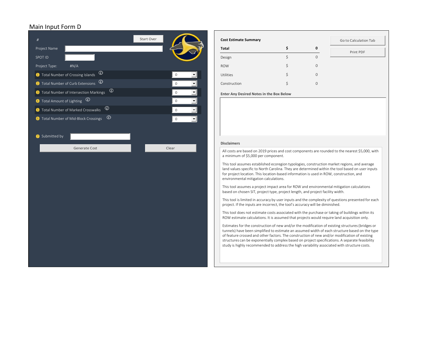### Main Input Form D



| <b>Cost Estimate Summary</b>             |                | Go to Calculation Tab |
|------------------------------------------|----------------|-----------------------|
| Total                                    | 0              | Print PDF             |
| Design                                   | \$<br>$\Omega$ |                       |
| <b>ROW</b>                               | \$<br>$\Omega$ |                       |
| <b>Utilities</b>                         | \$<br>$\Omega$ |                       |
| Construction                             | \$<br>$\Omega$ |                       |
| Enter Any Desired Notes in the Box Below |                |                       |

#### **Disclaimers**

All costs are based on 2019 prices and cost components are rounded to the nearest \$5,000, with a minimum of \$5,000 per component.

This tool assumes established ecoregion typologies, construction market regions, and average land values specific to North Carolina. They are determined within the tool based on user inputs for project location. This location‐based information is used in ROW, construction, and environmental mitigation calculations.

This tool assumes <sup>a</sup> project impact area for ROW and environmental mitigation calculations based on chosen SIT, project type, project length, and project facility width.

This tool is limited in accuracy by user inputs and the complexity of questions presented for each project. If the inputs are incorrect, the tool's accuracy will be diminished.

This tool does not estimate costs associated with the purchase or taking of buildings within its ROW estimate calculations. It is assumed that projects would require land acquisition only.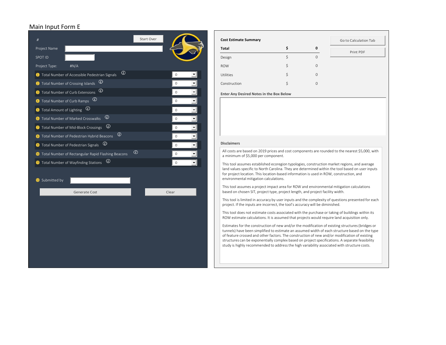### Main Input Form E



| <b>Cost Estimate Summary</b> |                | Go to Calculation Tab |
|------------------------------|----------------|-----------------------|
| Total                        | \$<br>0        | Print PDF             |
| Design                       | $\Omega$       |                       |
| <b>ROW</b>                   | \$<br>$\Omega$ |                       |
| <b>Utilities</b>             | \$<br>$\Omega$ |                       |
| Construction                 | \$<br>$\Omega$ |                       |
|                              |                |                       |

**Any Desired Notes in the Box Below**

All costs are based on 2019 prices and cost components are rounded to the nearest \$5,000, with a minimum of \$5,000 per component.

This tool assumes established ecoregion typologies, construction market regions, and average land values specific to North Carolina. They are determined within the tool based on user inputs for project location. This location‐based information is used in ROW, construction, and environmental mitigation calculations.

This tool assumes <sup>a</sup> project impact area for ROW and environmental mitigation calculations based on chosen SIT, project type, project length, and project facility width.

This tool is limited in accuracy by user inputs and the complexity of questions presented for each project. If the inputs are incorrect, the tool's accuracy will be diminished.

This tool does not estimate costs associated with the purchase or taking of buildings within its ROW estimate calculations. It is assumed that projects would require land acquisition only.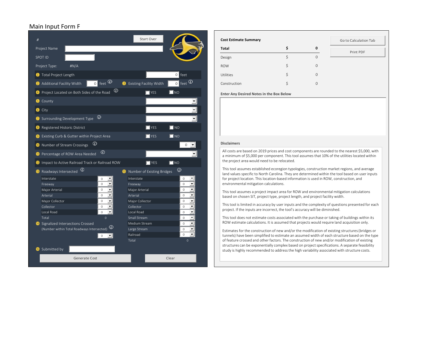# Main Input Form F



| <b>Cost Estimate Summary</b>             |                   | Go to Calculation Tab |
|------------------------------------------|-------------------|-----------------------|
| Total                                    | \$<br>$\mathbf 0$ | Print PDF             |
| Design                                   | \$<br>$\Omega$    |                       |
| <b>ROW</b>                               | \$<br>$\Omega$    |                       |
| <b>Utilities</b>                         | \$<br>0           |                       |
| Construction                             | \$<br>0           |                       |
| Enter Any Desired Notes in the Box Below |                   |                       |

All costs are based on 2019 prices and cost components are rounded to the nearest \$5,000, with a minimum of \$5,000 per component. This tool assumes that 10% of the utilities located within the project area would need to be relocated.

This tool assumes established ecoregion typologies, construction market regions, and average land values specific to North Carolina. They are determined within the tool based on user inputs for project location. This location‐based information is used in ROW, construction, and environmental mitigation calculations.

This tool assumes <sup>a</sup> project impact area for ROW and environmental mitigation calculations based on chosen SIT, project type, project length, and project facility width.

This tool is limited in accuracy by user inputs and the complexity of questions presented for each project. If the inputs are incorrect, the tool's accuracy will be diminished.

This tool does not estimate costs associated with the purchase or taking of buildings within its ROW estimate calculations. It is assumed that projects would require land acquisition only.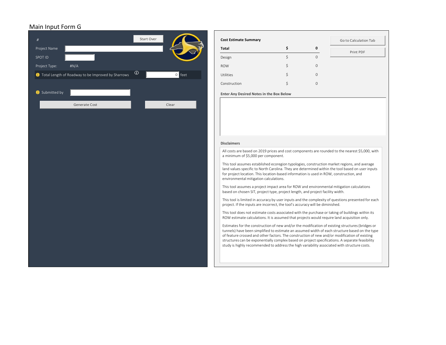# Main Input Form G

| $\#$          |                                                      | Start Over     |          | <b>Cost Estimate</b>                                                                |
|---------------|------------------------------------------------------|----------------|----------|-------------------------------------------------------------------------------------|
| Project Name  |                                                      |                |          | Total                                                                               |
| SPOT ID       |                                                      |                |          | Design                                                                              |
| Project Type: | #N/A                                                 |                |          | <b>ROW</b>                                                                          |
|               | 1 Total Length of Roadway to be Improved by Sharrows | $\circledcirc$ | $0$ feet | Utilities                                                                           |
|               |                                                      |                |          | Construction                                                                        |
| Submitted by  |                                                      |                |          | <b>Enter Any Des</b>                                                                |
|               | Generate Cost                                        |                | Clear    |                                                                                     |
|               |                                                      |                |          |                                                                                     |
|               |                                                      |                |          |                                                                                     |
|               |                                                      |                |          |                                                                                     |
|               |                                                      |                |          | <b>Disclaimers</b>                                                                  |
|               |                                                      |                |          | All costs are I<br>a minimum o                                                      |
|               |                                                      |                |          | This tool assu<br>land values s<br>for project lo<br>environment                    |
|               |                                                      |                |          | This tool assu<br>based on cho                                                      |
|               |                                                      |                |          | This tool is lir<br>project. If the                                                 |
|               |                                                      |                |          | This tool doe<br>ROW estimat                                                        |
|               |                                                      |                |          | Estimates for<br>tunnels) have<br>of feature cro<br>structures ca<br>study is highl |
|               |                                                      |                |          |                                                                                     |

| <b>Cost Estimate Summary</b>             |    |              | Go to Calculation Tab |
|------------------------------------------|----|--------------|-----------------------|
| Total                                    |    | $\mathbf 0$  | Print PDF             |
| Design                                   |    | $\mathbf{0}$ |                       |
| <b>ROW</b>                               | \$ | $\mathbf{0}$ |                       |
| Utilities                                | Ś  | $\mathbf{0}$ |                       |
| Construction                             |    | $\mathbf{0}$ |                       |
| Enter Any Desired Notes in the Box Below |    |              |                       |

 based on 2019 prices and cost components are rounded to the nearest \$5,000, with of \$5,000 per component.

 tool assumes established ecoregion typologies, construction market regions, and average pecific to North Carolina. They are determined within the tool based on user inputs ocation. This location‐based information is used in ROW, construction, and environmental mitigation calculations.

 tool assumes <sup>a</sup> project impact area for ROW and environmental mitigation calculations osen SIT, project type, project length, and project facility width.

 tool is limited in accuracy by user inputs and the complexity of questions presented for each e inputs are incorrect, the tool's accuracy will be diminished.

 tool does not estimate costs associated with the purchase or taking of buildings within its te calculations. It is assumed that projects would require land acquisition only.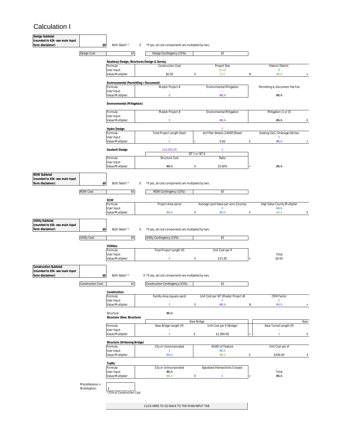# Calculation I

| Design Subtotal<br>(rounded to \$5k -see main input                             |                                  |                                                                                                                                                                                                                                                                                                                                                                                                                                                                                                                                                                                                                                                                                                                                                                                                                                                                                                                                                                                                                                                                                                                  |             |                                                     |   |                                  |    |                                |
|---------------------------------------------------------------------------------|----------------------------------|------------------------------------------------------------------------------------------------------------------------------------------------------------------------------------------------------------------------------------------------------------------------------------------------------------------------------------------------------------------------------------------------------------------------------------------------------------------------------------------------------------------------------------------------------------------------------------------------------------------------------------------------------------------------------------------------------------------------------------------------------------------------------------------------------------------------------------------------------------------------------------------------------------------------------------------------------------------------------------------------------------------------------------------------------------------------------------------------------------------|-------------|-----------------------------------------------------|---|----------------------------------|----|--------------------------------|
| form disclaimer)                                                                | \$0                              | Both Sides? *                                                                                                                                                                                                                                                                                                                                                                                                                                                                                                                                                                                                                                                                                                                                                                                                                                                                                                                                                                                                                                                                                                    | $\mathbf 0$ | *If yes, all cost components are multiplied by two. |   |                                  |    |                                |
|                                                                                 | Design Cost:                     | \$0                                                                                                                                                                                                                                                                                                                                                                                                                                                                                                                                                                                                                                                                                                                                                                                                                                                                                                                                                                                                                                                                                                              |             | Design Contingency (15%):                           |   | \$0                              |    |                                |
|                                                                                 |                                  | Roadway Design, Structures Design & Survey<br>Formula:                                                                                                                                                                                                                                                                                                                                                                                                                                                                                                                                                                                                                                                                                                                                                                                                                                                                                                                                                                                                                                                           |             | <b>Construction Cost</b>                            |   | <b>Project Size</b>              |    | <b>Historic District</b>       |
|                                                                                 |                                  | User Input:                                                                                                                                                                                                                                                                                                                                                                                                                                                                                                                                                                                                                                                                                                                                                                                                                                                                                                                                                                                                                                                                                                      |             |                                                     |   | Small                            |    | $\mathbf 0$                    |
|                                                                                 |                                  | Value/Multiplier:                                                                                                                                                                                                                                                                                                                                                                                                                                                                                                                                                                                                                                                                                                                                                                                                                                                                                                                                                                                                                                                                                                |             | \$0.00                                              | Χ | 0.25                             | X( | #N/A                           |
|                                                                                 |                                  | Environmental (Permitting + Document)                                                                                                                                                                                                                                                                                                                                                                                                                                                                                                                                                                                                                                                                                                                                                                                                                                                                                                                                                                                                                                                                            |             |                                                     |   |                                  |    |                                |
|                                                                                 |                                  | Formula:<br>User Input:                                                                                                                                                                                                                                                                                                                                                                                                                                                                                                                                                                                                                                                                                                                                                                                                                                                                                                                                                                                                                                                                                          |             | Master Project #                                    |   | <b>Environmental Mitigation</b>  |    | Permitting & Document Flat Fee |
|                                                                                 |                                  | Value/Multiplier:                                                                                                                                                                                                                                                                                                                                                                                                                                                                                                                                                                                                                                                                                                                                                                                                                                                                                                                                                                                                                                                                                                |             | 0                                                   |   | #N/A                             |    | #N/A                           |
|                                                                                 |                                  |                                                                                                                                                                                                                                                                                                                                                                                                                                                                                                                                                                                                                                                                                                                                                                                                                                                                                                                                                                                                                                                                                                                  |             |                                                     |   |                                  |    |                                |
|                                                                                 |                                  | Formula:                                                                                                                                                                                                                                                                                                                                                                                                                                                                                                                                                                                                                                                                                                                                                                                                                                                                                                                                                                                                                                                                                                         |             | Master Project #                                    |   | <b>Environmental Mitigation</b>  |    | Mitigation (1 or 0)            |
|                                                                                 |                                  | Value/Multiplier:                                                                                                                                                                                                                                                                                                                                                                                                                                                                                                                                                                                                                                                                                                                                                                                                                                                                                                                                                                                                                                                                                                |             | $\bf{0}$                                            |   | #N/A                             |    | #N/A                           |
|                                                                                 |                                  |                                                                                                                                                                                                                                                                                                                                                                                                                                                                                                                                                                                                                                                                                                                                                                                                                                                                                                                                                                                                                                                                                                                  |             |                                                     |   | $\mathbf{0}$                     |    |                                |
|                                                                                 |                                  | Formula:                                                                                                                                                                                                                                                                                                                                                                                                                                                                                                                                                                                                                                                                                                                                                                                                                                                                                                                                                                                                                                                                                                         |             | Total Project Length (feet)                         |   | # of Plan Sheets (1400lf/Sheet)  |    | Existing C&G /Drainage Ditches |
|                                                                                 |                                  | Value/Multiplier:                                                                                                                                                                                                                                                                                                                                                                                                                                                                                                                                                                                                                                                                                                                                                                                                                                                                                                                                                                                                                                                                                                |             | $\mathbf 0$                                         |   | 0.00                             |    | #N/A                           |
|                                                                                 |                                  | Geotech Design                                                                                                                                                                                                                                                                                                                                                                                                                                                                                                                                                                                                                                                                                                                                                                                                                                                                                                                                                                                                                                                                                                   |             | \$10,000.00                                         |   | $\mathbf 0$                      |    |                                |
|                                                                                 |                                  | Formula:                                                                                                                                                                                                                                                                                                                                                                                                                                                                                                                                                                                                                                                                                                                                                                                                                                                                                                                                                                                                                                                                                                         |             |                                                     |   |                                  |    |                                |
|                                                                                 |                                  | User Input:                                                                                                                                                                                                                                                                                                                                                                                                                                                                                                                                                                                                                                                                                                                                                                                                                                                                                                                                                                                                                                                                                                      |             |                                                     |   |                                  |    |                                |
|                                                                                 |                                  |                                                                                                                                                                                                                                                                                                                                                                                                                                                                                                                                                                                                                                                                                                                                                                                                                                                                                                                                                                                                                                                                                                                  |             |                                                     |   |                                  |    |                                |
| <b>ROW Subtotal</b><br>(rounded to \$5k -see main input<br>form disclaimer)     |                                  |                                                                                                                                                                                                                                                                                                                                                                                                                                                                                                                                                                                                                                                                                                                                                                                                                                                                                                                                                                                                                                                                                                                  |             |                                                     |   |                                  |    |                                |
|                                                                                 |                                  |                                                                                                                                                                                                                                                                                                                                                                                                                                                                                                                                                                                                                                                                                                                                                                                                                                                                                                                                                                                                                                                                                                                  |             |                                                     |   |                                  |    |                                |
|                                                                                 | <b>ROW Cost:</b>                 | \$0                                                                                                                                                                                                                                                                                                                                                                                                                                                                                                                                                                                                                                                                                                                                                                                                                                                                                                                                                                                                                                                                                                              |             |                                                     |   |                                  |    |                                |
|                                                                                 |                                  | <b>ROW</b>                                                                                                                                                                                                                                                                                                                                                                                                                                                                                                                                                                                                                                                                                                                                                                                                                                                                                                                                                                                                                                                                                                       |             |                                                     |   |                                  |    |                                |
|                                                                                 |                                  |                                                                                                                                                                                                                                                                                                                                                                                                                                                                                                                                                                                                                                                                                                                                                                                                                                                                                                                                                                                                                                                                                                                  |             |                                                     |   | 0                                |    |                                |
|                                                                                 |                                  | Value/Multiplier:                                                                                                                                                                                                                                                                                                                                                                                                                                                                                                                                                                                                                                                                                                                                                                                                                                                                                                                                                                                                                                                                                                |             | #N/A                                                | Χ | #N/A                             |    | #N/A<br>Χ                      |
| <b>Utility Subtotal</b><br>(rounded to \$5k -see main input<br>form disclaimer) |                                  | Both Sides? *                                                                                                                                                                                                                                                                                                                                                                                                                                                                                                                                                                                                                                                                                                                                                                                                                                                                                                                                                                                                                                                                                                    | 0           |                                                     |   |                                  |    |                                |
|                                                                                 | <b>Utility Cost:</b>             |                                                                                                                                                                                                                                                                                                                                                                                                                                                                                                                                                                                                                                                                                                                                                                                                                                                                                                                                                                                                                                                                                                                  |             |                                                     |   |                                  |    |                                |
|                                                                                 |                                  | Utilities                                                                                                                                                                                                                                                                                                                                                                                                                                                                                                                                                                                                                                                                                                                                                                                                                                                                                                                                                                                                                                                                                                        |             |                                                     |   |                                  |    |                                |
|                                                                                 |                                  | User Input:                                                                                                                                                                                                                                                                                                                                                                                                                                                                                                                                                                                                                                                                                                                                                                                                                                                                                                                                                                                                                                                                                                      |             |                                                     |   |                                  |    | Total                          |
|                                                                                 |                                  | Value/Multiplier:                                                                                                                                                                                                                                                                                                                                                                                                                                                                                                                                                                                                                                                                                                                                                                                                                                                                                                                                                                                                                                                                                                |             | $\mathbf 0$                                         | Χ | \$15.00                          |    | \$0.00                         |
| Construction Subtotal<br>(rounded to \$5k -see main input<br>form disclaimer)   |                                  | Both Sides? *                                                                                                                                                                                                                                                                                                                                                                                                                                                                                                                                                                                                                                                                                                                                                                                                                                                                                                                                                                                                                                                                                                    |             |                                                     |   |                                  |    |                                |
|                                                                                 | <b>Construction Cost:</b>        | \$0                                                                                                                                                                                                                                                                                                                                                                                                                                                                                                                                                                                                                                                                                                                                                                                                                                                                                                                                                                                                                                                                                                              |             | Construction Contingency (15%):                     |   | \$0                              |    |                                |
|                                                                                 |                                  | Construction                                                                                                                                                                                                                                                                                                                                                                                                                                                                                                                                                                                                                                                                                                                                                                                                                                                                                                                                                                                                                                                                                                     |             |                                                     |   |                                  |    |                                |
|                                                                                 |                                  | Formula:                                                                                                                                                                                                                                                                                                                                                                                                                                                                                                                                                                                                                                                                                                                                                                                                                                                                                                                                                                                                                                                                                                         |             | Facility Area (square yard)                         |   |                                  |    | <b>CMR Factor</b>              |
|                                                                                 |                                  | Value/Multiplier:                                                                                                                                                                                                                                                                                                                                                                                                                                                                                                                                                                                                                                                                                                                                                                                                                                                                                                                                                                                                                                                                                                |             | $\mathbf 0$                                         | Χ | #N/A                             |    | #N/A                           |
|                                                                                 |                                  | Structure:                                                                                                                                                                                                                                                                                                                                                                                                                                                                                                                                                                                                                                                                                                                                                                                                                                                                                                                                                                                                                                                                                                       |             | #N/A                                                |   |                                  |    |                                |
|                                                                                 |                                  |                                                                                                                                                                                                                                                                                                                                                                                                                                                                                                                                                                                                                                                                                                                                                                                                                                                                                                                                                                                                                                                                                                                  |             |                                                     |   |                                  |    | New                            |
|                                                                                 |                                  | Formula:                                                                                                                                                                                                                                                                                                                                                                                                                                                                                                                                                                                                                                                                                                                                                                                                                                                                                                                                                                                                                                                                                                         |             | New Bridge Length (If)                              |   | Unit Cost per If (Bridge)        |    | New Tunnel Length (If)         |
|                                                                                 |                                  | Value/Multiplier:                                                                                                                                                                                                                                                                                                                                                                                                                                                                                                                                                                                                                                                                                                                                                                                                                                                                                                                                                                                                                                                                                                |             | $\mathbf 0$                                         | Χ | \$1,900.00                       |    | $\mathbf 0$<br>Χ               |
|                                                                                 |                                  |                                                                                                                                                                                                                                                                                                                                                                                                                                                                                                                                                                                                                                                                                                                                                                                                                                                                                                                                                                                                                                                                                                                  |             |                                                     |   |                                  |    |                                |
|                                                                                 |                                  | Formula:                                                                                                                                                                                                                                                                                                                                                                                                                                                                                                                                                                                                                                                                                                                                                                                                                                                                                                                                                                                                                                                                                                         |             | City or Unincorporated                              |   | Width of Feature                 |    | Unit Cost per sf               |
|                                                                                 |                                  | Value/Multiplier:                                                                                                                                                                                                                                                                                                                                                                                                                                                                                                                                                                                                                                                                                                                                                                                                                                                                                                                                                                                                                                                                                                |             | #N/A                                                |   | #N/A                             | Χ  | \$200.00<br>Х                  |
|                                                                                 |                                  |                                                                                                                                                                                                                                                                                                                                                                                                                                                                                                                                                                                                                                                                                                                                                                                                                                                                                                                                                                                                                                                                                                                  |             |                                                     |   |                                  |    |                                |
|                                                                                 |                                  | Formula:                                                                                                                                                                                                                                                                                                                                                                                                                                                                                                                                                                                                                                                                                                                                                                                                                                                                                                                                                                                                                                                                                                         |             | City or Unincorporated                              |   | Signalized Intersections Crossed |    |                                |
|                                                                                 |                                  | Environmental (Mitigation)<br>User Input:<br>Hydro Design<br>User Input:<br>$\mathbf 0$<br>Χ<br>SIT 1 or SIT 6<br>Structure Cost<br>Ratio<br>Value/Multiplier:<br>#N/A<br>Χ<br>10.00%<br>#N/A<br>\$0<br>Both Sides? *<br>*If yes, all cost components are multiplied by two.<br>0<br>\$0<br>ROW Contingency (15%)<br>Project Area (acre)<br>Average Land Value per acre (County)<br>High Value County Multiplier<br>Formula:<br>User Input:<br>#N/A<br>Χ<br>\$0<br>*If yes, all cost components are multiplied by two.<br>\$0<br>Utility Contingency (15%):<br>\$0<br>Formula:<br>Total Project Length (If)<br>Unit Cost per If<br>\$0<br>0 * If yes, all cost components are multiplied by two.<br>Unit Cost per SIT (Master Project #)<br>User Input:<br>$\mathbf 0$<br>$\mathbf 0$<br>X(<br>Structure (New Structure)<br>New Bridge<br>User Input:<br>Structure (Widening Bridge)<br>User Input:<br>$\mathbf 0$<br>#N/A<br>Traffic<br>#N/A<br>User Input:<br>Total<br>Value/Multiplier:<br>Χ<br>$\mathbf 0$<br>#N/A<br>#N/A<br>\$<br>*25% of Construction Cost<br>CLICK HERE TO GO BACK TO THE MAIN INPUT TAB |             |                                                     |   |                                  |    |                                |
|                                                                                 |                                  |                                                                                                                                                                                                                                                                                                                                                                                                                                                                                                                                                                                                                                                                                                                                                                                                                                                                                                                                                                                                                                                                                                                  |             |                                                     |   |                                  |    |                                |
|                                                                                 | Miscellaneous +<br>Mobilization: |                                                                                                                                                                                                                                                                                                                                                                                                                                                                                                                                                                                                                                                                                                                                                                                                                                                                                                                                                                                                                                                                                                                  |             |                                                     |   |                                  |    |                                |
|                                                                                 |                                  |                                                                                                                                                                                                                                                                                                                                                                                                                                                                                                                                                                                                                                                                                                                                                                                                                                                                                                                                                                                                                                                                                                                  |             |                                                     |   |                                  |    |                                |
|                                                                                 |                                  |                                                                                                                                                                                                                                                                                                                                                                                                                                                                                                                                                                                                                                                                                                                                                                                                                                                                                                                                                                                                                                                                                                                  |             |                                                     |   |                                  |    |                                |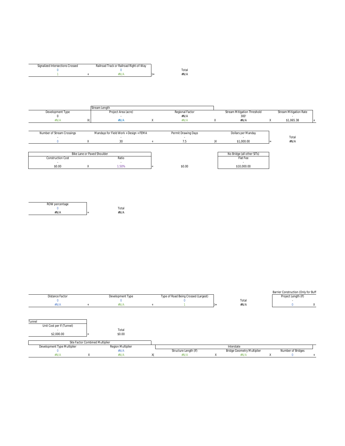| Signalized Intersections Crossed | Railroad Track or Railroad Right-of-Way |      |
|----------------------------------|-----------------------------------------|------|
|                                  |                                         | otal |
|                                  |                                         | #N/A |

|                            | Stream Length                          |   |                     |                                    |                               |  |
|----------------------------|----------------------------------------|---|---------------------|------------------------------------|-------------------------------|--|
| Development Type           | Project Area (acre)                    |   | Regional Factor     | <b>Stream Mitigation Threshold</b> | <b>Stream Mitigation Rate</b> |  |
|                            |                                        |   | #N/A                | 300'                               |                               |  |
| #N/A                       | X<br>#N/A                              | X | #N/A                | #N/A                               | \$1,065.38                    |  |
|                            |                                        |   |                     |                                    |                               |  |
| Number of Stream Crossings | Mandays for Field Work + Design + FEMA |   | Permit Drawing Days | Dollars per Manday                 |                               |  |
|                            |                                        |   |                     |                                    | Total                         |  |
|                            | 30                                     |   | 7.5                 | \$1,000.00                         | #N/A                          |  |
|                            |                                        |   |                     |                                    |                               |  |
|                            | Bike Lane or Paved Shoulder            |   |                     | No Bridge (all other SITs)         |                               |  |
| <b>Construction Cost</b>   | Ratio                                  |   |                     | Flat Fee                           |                               |  |
| . .                        |                                        |   |                     |                                    |                               |  |
| \$0.00                     | 1.50%                                  |   | \$0.00              | \$10,000.00                        |                               |  |
|                            |                                        |   |                     |                                    |                               |  |

| ROW percentage |             |
|----------------|-------------|
|                | Total       |
| #N/A           | #N/A<br>$=$ |

| Distance Factor                     | Development Type  | Type of Road Being Crossed (Largest) |                                   | Barrier Construction (Only for Buff<br>Project Length (If) |  |
|-------------------------------------|-------------------|--------------------------------------|-----------------------------------|------------------------------------------------------------|--|
|                                     |                   |                                      |                                   |                                                            |  |
|                                     |                   |                                      | Total                             |                                                            |  |
| #N/A                                | #N/A              |                                      | #N/A                              |                                                            |  |
| Unit Cost per If (Tunnel)<br>$\sim$ | Total             |                                      |                                   |                                                            |  |
| \$2,000.00                          | \$0.00            |                                      |                                   |                                                            |  |
| Site Factor Combined Multiplier     |                   |                                      |                                   |                                                            |  |
| Development Type Multiplier         | Region Multiplier |                                      | Interstate                        |                                                            |  |
|                                     | #N/A              | Structure Length (If)                | <b>Bridge Geometry Multiplier</b> | Number of Bridges                                          |  |
| #N/A                                | #N/A              | #N/A                                 | #N/A                              |                                                            |  |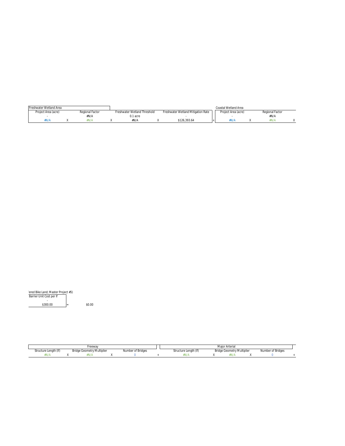| Freshwater Wetland Area |                 |                              |                                    | Coastal Wetland Area |                 |  |
|-------------------------|-----------------|------------------------------|------------------------------------|----------------------|-----------------|--|
| Project Area (acre)     | Regional Factor | Freshwater Wetland Threshold | Freshwater Wetland Mitigation Rate | Project Area (acre)  | Regional Factor |  |
|                         | #N/A            | 0.1 acre                     |                                    |                      | #N/A            |  |
| #N/A                    | ¥N/A            | #N/A                         | \$126.393.64                       | #N/A                 | #N/A            |  |

| fered Bike Land; Master Project #5) |   |
|-------------------------------------|---|
| Barrier Unit Cost per If            |   |
| $\,$                                |   |
| \$300.00                            | Ξ |

 $$0.00$ 

|                       | Freeway                    |                   |                       | Maior Arterial                    |                   |  |
|-----------------------|----------------------------|-------------------|-----------------------|-----------------------------------|-------------------|--|
| Structure Length (If) | Bridge Geometry Multiplier | Number of Bridges | Structure Length (If) | <b>Bridge Geometry Multiplier</b> | Number of Bridges |  |
|                       | <b>¥N/A</b>                |                   | FN/A                  |                                   |                   |  |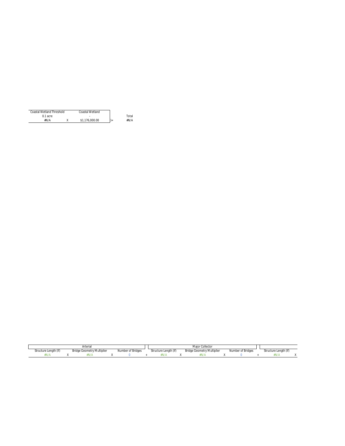| Coastal Wetland Threshold | Coastal Wetland |       |
|---------------------------|-----------------|-------|
| $0.1$ acre                |                 | Total |
| #N/A                      | \$1,176,000.00  | #N/A  |

|                       | Arterial                          |                   |                            | Maior (<br>r Collector            |                  |                       |
|-----------------------|-----------------------------------|-------------------|----------------------------|-----------------------------------|------------------|-----------------------|
| Structure Length (If) | <b>Bridge Geometry Multiplier</b> | Number of Bridges | Structure Lenath (If)<br>. | <b>Bridge Geometry Multiplier</b> | Number of Bridge | Structure Length (If) |
| <b>N/A</b>            | IVI                               |                   |                            | FN7)                              |                  | ' I V / /             |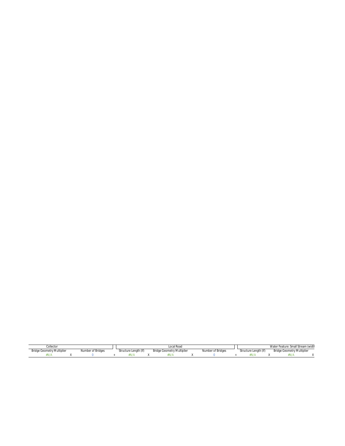| ollectorٽ                         |                   |                       | Local Roac                        |                   | re: Small Stream (widtl<br>Water<br><sup>-</sup> Feature. |  |                                   |  |
|-----------------------------------|-------------------|-----------------------|-----------------------------------|-------------------|-----------------------------------------------------------|--|-----------------------------------|--|
| <b>Bridge Geometry Multiplier</b> | Number of Bridges | Structure Length (If) | <b>Bridge Geometry Multiplier</b> | Number of Bridges | Structure Lenath (If)                                     |  | <b>Bridge Geometry Multiplier</b> |  |
|                                   |                   | fN/)                  | 1877                              |                   | .                                                         |  |                                   |  |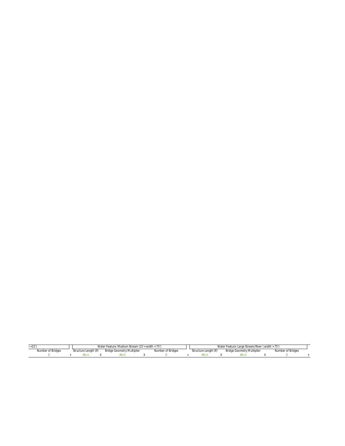| .                 |                       |                            | Water Feature: Medium Stream (15'< width < 75') |                   |  |                       | Water Feature: Large Stream/River (width > 75' |                                   |  |                   |  |
|-------------------|-----------------------|----------------------------|-------------------------------------------------|-------------------|--|-----------------------|------------------------------------------------|-----------------------------------|--|-------------------|--|
| Number of Bridges | Structure Length (If) | Bridge Geometry Multiplier |                                                 | Number of Bridges |  | Structure Lenath (If) |                                                | <b>Bridge Geometry Multiplier</b> |  | Number of Bridges |  |
|                   |                       |                            |                                                 |                   |  | ٠N/                   |                                                |                                   |  |                   |  |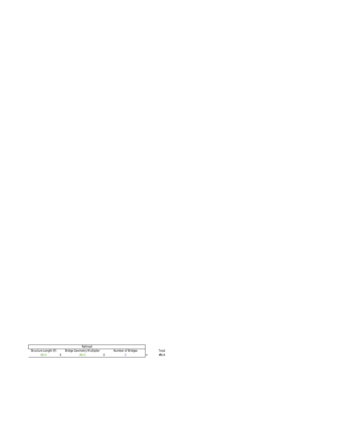|                       | Railroad                   |                   |              |
|-----------------------|----------------------------|-------------------|--------------|
| Structure Length (If) | Bridge Geometry Multiplier | Number of Bridges | <b>Total</b> |
| *N/A                  |                            |                   | #N/A         |

Total<br>#N/A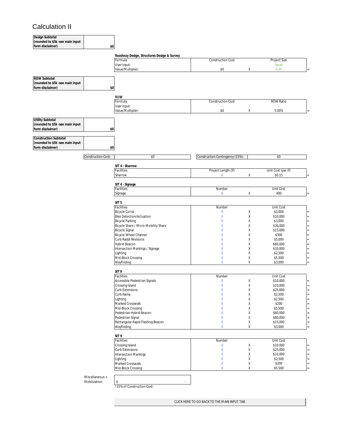# Calculation II

 $\mathbf l$ 

| Design Subtotal                  |                    |                                            |                                 |   |                    |
|----------------------------------|--------------------|--------------------------------------------|---------------------------------|---|--------------------|
| (rounded to \$5k -see main input |                    |                                            |                                 |   |                    |
| form disclaimer)                 | \$0                |                                            |                                 |   |                    |
|                                  |                    |                                            |                                 |   |                    |
|                                  |                    | Roadway Design, Structures Design & Survey |                                 |   |                    |
|                                  |                    | Formula:                                   | <b>Construction Cost</b>        |   | Project Size       |
|                                  |                    |                                            |                                 |   |                    |
|                                  |                    | User Input:                                |                                 |   | Small              |
|                                  |                    | Value/Multiplier:                          | \$0                             | χ | 0.25               |
|                                  |                    |                                            |                                 |   |                    |
| <b>ROW Subtotal</b>              |                    |                                            |                                 |   |                    |
| (rounded to \$5k -see main input |                    |                                            |                                 |   |                    |
| form disclaimer)                 | \$0                |                                            |                                 |   |                    |
|                                  |                    |                                            |                                 |   |                    |
|                                  |                    | <b>ROW</b>                                 |                                 |   |                    |
|                                  |                    | Formula:                                   | <b>Construction Cost</b>        |   | <b>ROW Ratio</b>   |
|                                  |                    | User Input:                                | ×.                              |   |                    |
|                                  |                    |                                            | $$0$$                           |   |                    |
|                                  |                    | Value/Multiplier:                          |                                 | χ | 5.00%              |
|                                  |                    |                                            |                                 |   |                    |
| <b>Utility Subtotal</b>          |                    |                                            |                                 |   |                    |
| (rounded to \$5k -see main input |                    |                                            |                                 |   |                    |
| form disclaimer)                 | \$0                |                                            |                                 |   |                    |
|                                  |                    |                                            |                                 |   |                    |
| <b>Construction Subtotal</b>     |                    |                                            |                                 |   |                    |
| (rounded to \$5k -see main input |                    |                                            |                                 |   |                    |
| form disclaimer)                 | \$0                |                                            |                                 |   |                    |
|                                  |                    |                                            |                                 |   |                    |
|                                  | Construction Cost: | \$0                                        | Construction Contingency (15%): |   | \$0                |
|                                  |                    |                                            |                                 |   |                    |
|                                  |                    |                                            |                                 |   |                    |
|                                  |                    | SIT 4 - Sharrow                            |                                 |   |                    |
|                                  |                    | Facilities                                 | Project Length (If)             |   | Unit Cost (per If) |
|                                  |                    | Sharrow                                    | $\bf{0}$                        | χ | \$0.15             |
|                                  |                    |                                            |                                 |   |                    |
|                                  |                    | SIT 4 - Signage                            |                                 |   |                    |
|                                  |                    | Facilities                                 | Number                          |   | Unit Cost          |
|                                  |                    | Signage                                    | $\mathbf 0$                     | χ | 400                |
|                                  |                    |                                            |                                 |   |                    |
|                                  |                    | SIT <sub>5</sub>                           |                                 |   |                    |
|                                  |                    | Facilities                                 |                                 |   | Unit Cost          |
|                                  |                    |                                            | Number                          |   |                    |
|                                  |                    | <b>Bicycle Corral</b>                      | $\mathbf 0$                     | Χ | \$3,000            |
|                                  |                    | <b>Bike Detection/Actuation</b>            | $\mathbf 0$                     | Χ | \$10,000           |
|                                  |                    | <b>Bicycle Parking</b>                     | $\mathbf 0$                     | Χ | \$3,000            |
|                                  |                    | Bicycle Share / Micro-Mobility Share       | $\mathbf{0}$                    | χ | \$30,000           |
|                                  |                    | <b>Bicycle Signal</b>                      | $\mathbf 0$                     | χ | \$15,000           |
|                                  |                    | Bicycle Wheel Channel                      | $\mathbf{0}$                    | χ | \$300              |
|                                  |                    | Curb Raddi Revisions                       | $\mathbf{0}$                    | χ | \$5,000            |
|                                  |                    | Hybrid Beacon                              | $\mathbf{0}$                    | χ | \$60,000           |
|                                  |                    | Intersection Markings / Signage            | $\mathbf{0}$                    | Χ | \$10,000           |
|                                  |                    |                                            | $\mathbf 0$                     | Χ | \$2,500            |
|                                  |                    | Lighting                                   |                                 |   |                    |
|                                  |                    | Mid-Block Crossing                         | $\mathbf 0$                     | Χ | \$5,500            |
|                                  |                    | Wayfinding                                 | $\mathbf 0$                     | Χ | \$3,000            |
|                                  |                    |                                            |                                 |   |                    |
|                                  |                    | SIT <sub>8</sub>                           |                                 |   |                    |
|                                  |                    | Facilities                                 | Number                          |   | Unit Cost          |
|                                  |                    | Accessible Pedestrian Signals              | $\pmb{0}$                       | Χ | \$10,000           |
|                                  |                    | Crossing Island                            | $\mathbf{0}$                    | X | \$10,000           |
|                                  |                    | Curb Extensions                            | $\pmb{0}$                       | Χ | \$25,000           |
|                                  |                    | Curb Ramp                                  | $\pmb{0}$                       | Χ | \$2,500            |
|                                  |                    |                                            |                                 |   |                    |
|                                  |                    | Lighting                                   | $\pmb{0}$                       | Χ | \$2,500            |
|                                  |                    | Marked Crosswalk                           | $\bf{0}$                        | Χ | \$200              |
|                                  |                    | Mid-Block Crossing                         | $\pmb{0}$                       | Χ | \$5,500            |
|                                  |                    | Pedestrian Hybrid Beacon                   | $\pmb{0}$                       | Χ | \$60,000           |
|                                  |                    | Pedestrian Signal                          | $\pmb{0}$                       | Χ | \$60,000           |
|                                  |                    | Rectangular Rapid Flashing Beacon          | $\pmb{0}$                       | Χ | \$15,000           |
|                                  |                    | Wayfinding                                 | $\mathbf 0$                     | Χ | \$3,000            |
|                                  |                    |                                            |                                 |   |                    |
|                                  |                    | SIT <sub>9</sub>                           |                                 |   |                    |
|                                  |                    |                                            |                                 |   |                    |
|                                  |                    | Facilities                                 | Number                          |   | Unit Cost          |
|                                  |                    | Crossing Island                            | $\pmb{0}$                       | Χ | \$10,000           |
|                                  |                    | <b>Curb Extensions</b>                     | $\pmb{0}$                       | Χ | \$25,000           |
|                                  |                    | <b>Intersection Markings</b>               | $\pmb{0}$                       | χ | \$10,000           |
|                                  |                    | Lighting                                   | $\pmb{0}$                       | Χ | \$2,500            |
|                                  |                    | Marked Crosswalk                           | $\pmb{0}$                       | Χ | \$200              |
|                                  |                    |                                            | $\mathbf 0$                     | Χ |                    |
|                                  |                    | Mid-Block Crossing                         |                                 |   | \$5,500            |
|                                  |                    |                                            |                                 |   |                    |
|                                  | Miscellaneous +    |                                            |                                 |   |                    |
|                                  | Mobilization:      | \$                                         |                                 |   |                    |
|                                  |                    | *25% of Construction Cost                  |                                 |   |                    |
|                                  |                    |                                            |                                 |   |                    |

CLICK HERE TO GO BACK TO THE MAIN INPUT TAB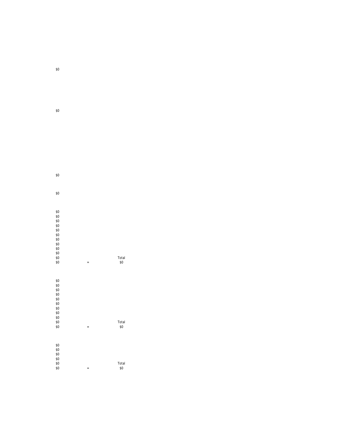| \$0        |          |              |
|------------|----------|--------------|
|            |          |              |
|            |          |              |
| \$0        |          |              |
|            |          |              |
|            |          |              |
| \$0        |          |              |
| \$0<br>\$0 |          |              |
| \$0        |          |              |
| \$0        |          |              |
| \$0<br>\$0 |          |              |
| \$0        |          |              |
| \$0        |          |              |
| \$0<br>\$0 |          | Total        |
| \$0        | $\equiv$ | \$0          |
|            |          |              |
|            |          |              |
| \$0        |          |              |
| \$0<br>\$0 |          |              |
| \$0        |          |              |
| \$0        |          |              |
| \$0<br>\$0 |          |              |
| \$0        |          |              |
| \$0        |          |              |
| \$0<br>\$0 |          | Total<br>\$0 |
|            | $\equiv$ |              |
|            |          |              |
| \$0        |          |              |
| \$0        |          |              |
| \$0        |          |              |
| \$0<br>\$0 |          | Total        |
| \$0        | $=$      | \$0          |

 $=$  \$0 Total<br>\$0

\$0

\$0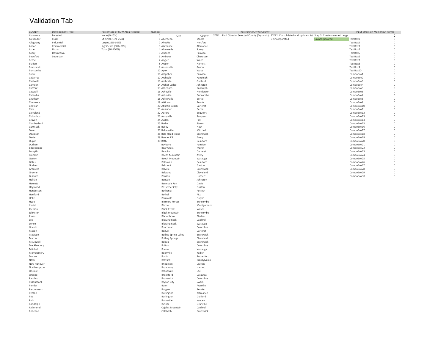# Validation Tab

| COUNTY             | Development Type | Percentage of ROW Area Needed | Number                               |                       | Restricting City to County                                                                                         | Input Errors on Main Input Forms |                     |
|--------------------|------------------|-------------------------------|--------------------------------------|-----------------------|--------------------------------------------------------------------------------------------------------------------|----------------------------------|---------------------|
| Alamance           | Forested         | None (0-15%)                  | $\circ$<br>City                      | County                | STEP 1: Find Cities in Selected County (Dynamic) STEP2: Consolidate for dropdown list Step 3: Create a named range |                                  | $\mathbf 0$         |
| Alexander          | Rural            | Minimal (15%-25%)             | 1 Aberdeen                           | Moore                 | Unincorporated<br>Unincorporated                                                                                   | TextBox1                         | $\circ$             |
| Alleghany          | Industrial       | Large (25%-60%)               | 2 Ahoskie                            | Hertford              |                                                                                                                    | TextBox2                         | $\mathbb O$         |
| Anson              | Commercial       | Significant (60%-80%)         | 3 Alamance                           | Alamance              |                                                                                                                    | TextBox3                         | $\mathbb O$         |
| Ashe               | Urban            | Total (80-100%)               | 4 Albemarle                          | Stanly                |                                                                                                                    | TextBox4                         | $\circ$             |
| Avery              | Downtown         |                               | 5 Alliance                           | Pamlico               |                                                                                                                    | TextBox5                         | $\circ$             |
| Beaufort           | Suburban         |                               | 6 Andrews                            | Cherokee              |                                                                                                                    | TextBox6                         | $\circ$<br>$\circ$  |
| Bertie<br>Bladen   |                  |                               | 7 Angier<br>8 Angier                 | Wake<br>Harnett       |                                                                                                                    | TextBox7<br>TextBox8             | $\circ$             |
| Brunswick          |                  |                               | 9 Ansonville                         | Anson                 |                                                                                                                    | TextBox9                         | $\circ$             |
| Buncombe           |                  |                               | 10 Apex                              | Wake                  |                                                                                                                    | TextBox10                        | $\circ$             |
| Burke              |                  |                               | 11 Arapahoe                          | Pamlico               |                                                                                                                    | ComboBox1                        | $\circ$             |
| Cabarrus           |                  |                               | 12 Archdale                          | Randolph              |                                                                                                                    | ComboBox2                        | $\circ$             |
| Caldwell           |                  |                               | 13 Archdale                          | Guilford              |                                                                                                                    | ComboBox3                        | $\circ$             |
| Camden             |                  |                               | 14 Archer Lodge                      | Johnston              |                                                                                                                    | ComboBox4                        | $\circ$             |
| Carteret           |                  |                               | 15 Asheboro                          | Randolph              |                                                                                                                    | ComboBox5                        | $\circ$             |
| Caswell            |                  |                               | 16 Asheville                         | Henderson             |                                                                                                                    | ComboBox6                        | $\circ$             |
| Catawba            |                  |                               | 17 Asheville                         | Buncombe              |                                                                                                                    | ComboBox7                        | $\circ$             |
| Chatham            |                  |                               | 18 Askewville                        | Bertie                |                                                                                                                    | ComboBox8                        | $\circ$             |
| Cherokee<br>Chowan |                  |                               | 19 Atkinson<br>20 Atlantic Beach     | Pender<br>Carteret    |                                                                                                                    | ComboBox9<br>ComboBox10          | $\circ$<br>$\circ$  |
| Clay               |                  |                               | 21 Aulander                          | Bertie                |                                                                                                                    | ComboBox11                       | $\circ$             |
| Cleveland          |                  |                               | 22 Aurora                            | Beaufort              |                                                                                                                    | ComboBox12                       | $\circ$             |
| Columbus           |                  |                               | 23 Autryville                        | Sampson               |                                                                                                                    | ComboBox13                       | $\circ$             |
| Craven             |                  |                               | 24 Ayden                             | Pitt                  |                                                                                                                    | ComboBox14                       | $\circ$             |
| Cumberland         |                  |                               | 25 Badin                             | Stanly                |                                                                                                                    | ComboBox15                       | $\circ$             |
| Currituck          |                  |                               | 26 Bailey                            | Nash                  |                                                                                                                    | ComboBox16                       | $\circ$             |
| Dare               |                  |                               | 27 Bakersville                       | Mitchell              |                                                                                                                    | ComboBox17                       | $\circ$             |
| Davidson           |                  |                               | 28 Bald Head Island                  | <b>Brunswick</b>      |                                                                                                                    | ComboBox18                       | $\circ$             |
| Davie              |                  |                               | 29 Banner Elk                        | Avery                 |                                                                                                                    | ComboBox19                       | $\circ$             |
| Duplin             |                  |                               | 30 Bath                              | Beaufort              |                                                                                                                    | ComboBox20                       | $\circ$             |
| Durham             |                  |                               | Bayboro                              | Pamlico               |                                                                                                                    | ComboBox21                       | $\circ$             |
| Edgecombe          |                  |                               | Bear Grass                           | Martin                |                                                                                                                    | ComboBox22                       | $\mathbb O$         |
| Forsyth            |                  |                               | Beaufort                             | Carteret              |                                                                                                                    | ComboBox23                       | $\circ$<br>$\Omega$ |
| Franklin<br>Gaston |                  |                               | Beech Mountain<br>Beech Mountain     | Avery<br>Watauga      |                                                                                                                    | ComboBox24<br>ComboBox25         | $\mathbb O$         |
| Gates              |                  |                               | Belhaven                             | Beaufort              |                                                                                                                    | ComboBox26                       | $\mathbb O$         |
| Graham             |                  |                               | Belmont                              | Gaston                |                                                                                                                    | ComboBox27                       | $\circ$             |
| Granville          |                  |                               | Belville                             | Brunswick             |                                                                                                                    | ComboBox28                       | $\,0\,$             |
| Greene             |                  |                               | Belwood                              | Cleveland             |                                                                                                                    | ComboBox29                       | $\,0\,$             |
| Guilford           |                  |                               | Benson                               | Harnett               |                                                                                                                    | ComboBox30                       | $\Omega$            |
| Halifax            |                  |                               | Benson                               | Johnston              |                                                                                                                    |                                  |                     |
| Harnett            |                  |                               | Bermuda Run                          | Davie                 |                                                                                                                    |                                  |                     |
| Haywood            |                  |                               | <b>Bessemer City</b>                 | Gaston                |                                                                                                                    |                                  |                     |
| Henderson          |                  |                               | Bethania                             | Forsyth               |                                                                                                                    |                                  |                     |
| Hertford           |                  |                               | Bethel                               | Pitt                  |                                                                                                                    |                                  |                     |
| Hoke               |                  |                               | Beulaville                           | Duplin                |                                                                                                                    |                                  |                     |
| Hyde               |                  |                               | <b>Biltmore Forest</b>               | Buncombe              |                                                                                                                    |                                  |                     |
| Iredell            |                  |                               | Biscoe                               | Montgomery            |                                                                                                                    |                                  |                     |
| Jackson            |                  |                               | <b>Black Creek</b>                   | Wilson                |                                                                                                                    |                                  |                     |
| Johnston           |                  |                               | <b>Black Mountain</b>                | Buncombe              |                                                                                                                    |                                  |                     |
| Jones              |                  |                               | Bladenboro                           | Bladen                |                                                                                                                    |                                  |                     |
| Lee                |                  |                               | <b>Blowing Rock</b>                  | Caldwell              |                                                                                                                    |                                  |                     |
| Lenoir             |                  |                               | <b>Blowing Rock</b>                  | Watauga               |                                                                                                                    |                                  |                     |
| Lincoln            |                  |                               | Boardman                             | Columbus              |                                                                                                                    |                                  |                     |
| Macon<br>Madison   |                  |                               | Bogue<br><b>Boiling Spring Lakes</b> | Carteret<br>Brunswick |                                                                                                                    |                                  |                     |
| Martin             |                  |                               | <b>Boiling Springs</b>               | Cleveland             |                                                                                                                    |                                  |                     |
| McDowell           |                  |                               | Bolivia                              | Brunswick             |                                                                                                                    |                                  |                     |
| Mecklenburg        |                  |                               | Bolton                               | Columbus              |                                                                                                                    |                                  |                     |
| Mitchell           |                  |                               | Boone                                | Watauga               |                                                                                                                    |                                  |                     |
| Montgomery         |                  |                               | Boonville                            | Yadkin                |                                                                                                                    |                                  |                     |
| Moore              |                  |                               | Bostic                               | Rutherford            |                                                                                                                    |                                  |                     |
| Nash               |                  |                               | Brevard                              | Transylvania          |                                                                                                                    |                                  |                     |
| New Hanover        |                  |                               | Bridgeton                            | Craven                |                                                                                                                    |                                  |                     |
| Northampton        |                  |                               | Broadway                             | Harnett               |                                                                                                                    |                                  |                     |
| Onslow             |                  |                               | Broadway                             | Lee                   |                                                                                                                    |                                  |                     |
| Orange             |                  |                               | Brookford                            | Catawba               |                                                                                                                    |                                  |                     |
| Pamlico            |                  |                               | Brunswick                            | Columbus              |                                                                                                                    |                                  |                     |
| Pasquotank         |                  |                               | <b>Bryson City</b>                   | Swain                 |                                                                                                                    |                                  |                     |
| Pender             |                  |                               | Bunn                                 | Franklin              |                                                                                                                    |                                  |                     |
| Perquimans         |                  |                               | Burgaw                               | Pender                |                                                                                                                    |                                  |                     |
| Person             |                  |                               | Burlington                           | Alamance              |                                                                                                                    |                                  |                     |
| Pitt               |                  |                               | Burlington                           | Guilford              |                                                                                                                    |                                  |                     |
| Polk               |                  |                               | Burnsville                           | Yancey                |                                                                                                                    |                                  |                     |
| Randolph           |                  |                               | Butner                               | Granville             |                                                                                                                    |                                  |                     |
| Richmond           |                  |                               | Cajah's Mountain                     | Caldwell              |                                                                                                                    |                                  |                     |
| Robeson            |                  |                               | Calabash                             | Brunswick             |                                                                                                                    |                                  |                     |
|                    |                  |                               |                                      |                       |                                                                                                                    |                                  |                     |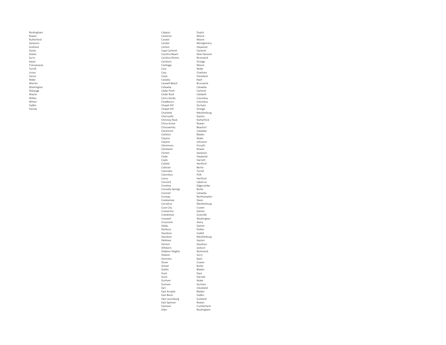| Rockingham   | Calypso             | Duplin            |
|--------------|---------------------|-------------------|
| Rowan        | Cameron             | Moore             |
| Rutherford   | Candor              | Moore             |
| Sampson      | Candor              | Montgomery        |
| Scotland     | Canton              | Haywood           |
| Stanly       | Cape Carteret       | Carteret          |
|              |                     |                   |
| Stokes       | Carolina Beach      | New Hanover       |
| Surry        | Carolina Shores     | Brunswick         |
| Swain        | Carrboro            | Orange            |
| Transylvania | Carthage            | Moore             |
| Tyrrell      | Cary                | Wake              |
| Union        | Cary                | Chatham           |
| Vance        | Casar               | Cleveland         |
| Wake         | Castalia            | Nash              |
| Warren       | Caswell Beach       | Brunswick         |
| Washington   | Catawba             | Catawba           |
| Watauga      | Cedar Point         | Carteret          |
| Wayne        | Cedar Rock          | Caldwell          |
| Wilkes       | Cerro Gordo         | Columbus          |
| Wilson       | Chadbourn           | Columbus          |
| Yadkin       | Chapel Hill         | Durham            |
| Yancey       | Chapel Hill         | Orange            |
|              |                     |                   |
|              | Charlotte           | Mecklenburg       |
|              | Cherryville         | Gaston            |
|              | Chimney Rock        | Rutherford        |
|              | China Grove         | Rowan             |
|              | Chocowinity         | Beaufort          |
|              | Claremont           | Catawba           |
|              | Clarkton            | Bladen            |
|              | Clayton             | Wake              |
|              | Clayton             | Johnston          |
|              | Clemmons            | Forsyth           |
|              | Cleveland           | Rowan             |
|              | Clinton             | Sampson           |
|              | Clyde               | Haywood           |
|              | Coats               | Harnett           |
|              | Cofield             | Hertford          |
|              |                     |                   |
|              | Colerain            | Bertie            |
|              | Columbia            | Tyrrell           |
|              | Columbus            | Polk              |
|              | Como                | Hertford          |
|              | Concord             | Cabarrus          |
|              | Conetoe             | Edgecombe         |
|              | Connelly Springs    | Burke             |
|              | Conover             | Catawba           |
|              | Conway              | Northampton       |
|              | Cooleemee           | Davie             |
|              | Cornelius           | Mecklenburg       |
|              | Cove City           | Craven            |
|              | Cramerton           | Gaston            |
|              | Creedmoor           | Granville         |
|              | Creswell            | Washington        |
|              | Crossnore           | Avery             |
|              |                     |                   |
|              | Dallas              | Gaston            |
|              | Danbury<br>Davidson | Stokes<br>Iredell |
|              |                     |                   |
|              | Davidson            | Mecklenburg       |
|              |                     | Gaston            |
|              | Dellview            |                   |
|              | Denton              | Davidson          |
|              | Dillsboro           | Jackson           |
|              | Dobbins Heights     | Richmond          |
|              | Dobson              | Surry             |
|              | Dortches            | Nash              |
|              | Dover               | Craven            |
|              | Drexel              | Burke             |
|              |                     |                   |
|              | Dublin              | Bladen            |
|              | Duck                | Dare              |
|              | Dunn                | Harnett           |
|              | Durham              | Wake              |
|              | Durham              | Durham            |
|              | Earl                | Cleveland         |
|              | East Arcadia        | Bladen            |
|              | East Bend           | Yadkin            |
|              | East Laurinburg     | Scotland          |
|              | East Spencer        | Rowan             |
|              | Eastover            | Cumberland        |
|              | Eden                | Rockingham        |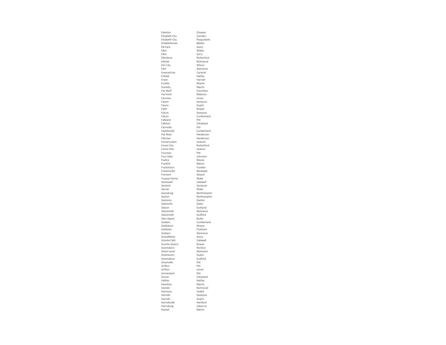| Edenton              | Chowan        |
|----------------------|---------------|
| Elizabeth City       | Camden        |
| Elizabeth City       | Pasquotank    |
| Elizabethtown        | Bladen        |
| Elk Park             | Avery         |
| Elkin                | Wilkes        |
| Elkin                |               |
|                      | Surry         |
| Ellenboro            | Rutherford    |
| Ellerhe              | Richmond      |
| Elm City             | Wilson        |
| Flon                 | Alamance      |
| Emerald Isle         | Carteret      |
|                      |               |
| Enfield              | Halifax       |
| Erwin                | Harnett       |
| Eureka               | Wayne         |
| Everetts             | Martin        |
| Fair Bluff           | Columbus      |
| Fairmont             | Robeson       |
| Fairview             | Union         |
|                      |               |
| Faison               | Sampson       |
| Faison               | Duplin        |
| Faith                | Rowan         |
| Falcon               | Sampson       |
| Falcon               | Cumberland    |
| Falkland             | Pitt          |
|                      |               |
| Fallston             | Cleveland     |
| Farmville            | Pitt          |
| Fayetteville         | Cumberland    |
| Flat Rock            | Henderson     |
| Fletcher             | Henderson     |
|                      |               |
| Fontana Dam          | Graham        |
| Forest City          | Rutherford    |
| <b>Forest Hills</b>  | Jackson       |
| Fountain             | Pitt          |
| Four Oaks            | Johnston      |
| Foxfire              | Moore         |
| Franklin             | Macon         |
|                      |               |
| Franklinton          | Franklin      |
| Franklinville        | Randolph      |
| Fremont              | Wayne         |
| Fuquay-Varina        | Wake          |
| Gamewell             | Caldwell      |
|                      |               |
| Garland              | Sampson       |
| Garner               | Wake          |
| Garysburg            | Northamptor   |
| Gaston               | Northampton   |
| Gastonia             | Gaston        |
| Gatesville           | Gates         |
|                      |               |
| Gibson               | Scotland      |
| Gibsonville          | Alamance      |
| Gibsonville          | Guilford      |
| Glen Alpine          | Burke         |
| Godwin               | Cumberland    |
| Goldsboro            |               |
|                      | Wayne         |
| Goldston             | Chatham       |
| Graham               | Alamance      |
| Grandfather          | Avery         |
| <b>Granite Falls</b> | Caldwell      |
| Granite Quarry       | Rowan         |
|                      |               |
| Grantsboro           | Pamlico       |
| Green Level          | Alamance      |
| Greenevers           | Duplin        |
| Greensboro           | Guilford      |
| Greenville           | Pitt          |
| Grifton              | Pitt          |
| Grifton              | Lenoir        |
|                      |               |
| Grimesland           | Pitt          |
| Grover               | leveland<br>Ć |
| Halifax              | Halifax       |
| Hamilton             | Martin        |
| Hamlet               | Richmond      |
|                      |               |
| Harmony              | Iredell       |
| Harrells             | Sampson       |
| Harrells             | Duplin        |
| Harrellsville        | Hertford      |
| Harrisburg           | Cabarrus      |
|                      |               |
| Hassell              | Martin        |
|                      |               |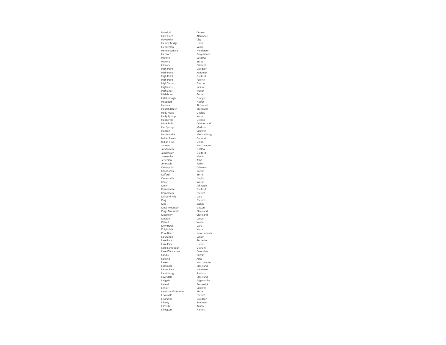| Havelock                         | Craven              |
|----------------------------------|---------------------|
| Haw River                        | Alamance            |
| Hayesville                       | Clay                |
| <b>Hemby Bridge</b>              | Union               |
| Henderson                        | Vance               |
| Hendersonville                   | Henderson           |
| Hertford                         | Perquimans          |
| Hickory                          | Catawba             |
| Hickory                          | Burke               |
| Hickory                          | Caldwell            |
| <b>High Point</b>                | Davidson            |
| <b>High Point</b>                | Randolph            |
| <b>High Point</b>                | Guilford            |
| <b>High Point</b>                | Forsyth             |
| <b>High Shoals</b><br>Highlands  | Gaston<br>Jackson   |
| Highlands                        | Macon               |
| Hildebran                        | Burke               |
| Hillsborough                     | Orange              |
| Hobgood                          | Halifax             |
| Hoffman                          | Richmond            |
| Holden Beach                     | Brunswick           |
| Holly Ridge                      | Onslow              |
| <b>Holly Springs</b>             | Wake                |
| Hookerton                        | Greene              |
| <b>Hope Mills</b>                | Cumberland          |
| <b>Hot Springs</b>               | Madison             |
| Hudson                           | Caldwell            |
| Huntersville                     | Mecklenburg         |
| Indian Beach                     | Carteret            |
| Indian Trail                     | Union               |
| Jackson                          | Northampton         |
| Jacksonville                     | Onslow              |
| Jamestown                        | Guilford            |
| Jamesville                       | Martin              |
| Jefferson                        | Ashe                |
| Jonesville                       | Yadkin              |
| Kannapolis                       | Cabarrus            |
| Kannapolis                       | Rowan               |
| Kelford                          | Rertie              |
| Kenansville                      | Duplin              |
| Kenly                            | Wilson              |
| Kenly                            | Johnston            |
| Kernersville                     | Guilford            |
| Kernersville                     | Forsyth             |
| Kill Devil Hills                 | Dare                |
| King<br>King                     | Forsyth<br>Stokes   |
| Kings Mountain                   | Gaston              |
| Kings Mountain                   | Cleveland           |
| Kingstown                        | Cleveland           |
| Kinston                          | Lenoir              |
| Kittrell                         | Vance               |
| Kitty Hawk                       | Dare                |
| Knightdale                       | Wake                |
| Kure Beach                       | New Hanover         |
| La Grange                        | I enoir             |
| Lake Lure                        | Rutherford          |
| Lake Park                        | Union               |
| Lake Santeetlah                  | Graham              |
| Lake Waccamaw                    | Columbus            |
| Landis                           | Rowan               |
| Lansing                          | Ashe                |
| Lasker                           | Northampton         |
| Lattimore                        | Cleveland           |
| Laurel Park                      | Henderson           |
| Laurinburg                       | Scotland            |
| Lawndale                         | Cleveland           |
| Leggett                          | Edgecombe           |
| Leland                           | Brunswick           |
| Lenoir                           | Caldwell<br>Rertie  |
| Lewiston Woodville<br>Lewisville |                     |
| Lexington                        | Forsyth<br>Davidson |
| Liberty                          | Randolph            |
| Lilesville                       | Anson               |
| Lillington                       | Harnett             |
|                                  |                     |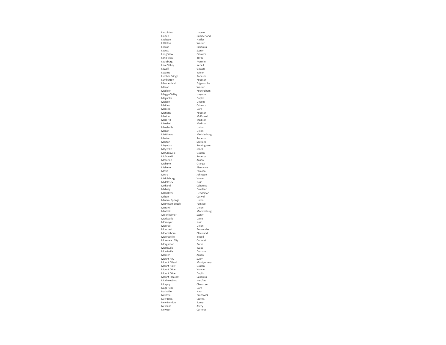| Lincolnton                 | Lincoln               |
|----------------------------|-----------------------|
| Linden                     | Cumberland            |
| Littleton                  | Halifax               |
| Littleton<br>Locust        | Warren<br>Cabarrus    |
| Locust                     | Stanly                |
| Long View                  | Catawba               |
| Long View                  | Burke                 |
| Louisburg                  | Franklin              |
| Love Valley                | Iredell               |
| <b>Lowell</b><br>Lucama    | Gaston<br>Wilson      |
| Lumber Bridge              | Robeson               |
| Lumberton                  | Robeson               |
| Macclesfield               | Edgecombe             |
| Macon                      | Warren                |
| Madison                    | Rockingham            |
| Maggie Valley<br>Magnolia  | Haywood<br>Duplin     |
| Maiden                     | Lincoln               |
| Maiden                     | Catawba               |
| Manteo                     | Dare                  |
| Marietta                   | Robeson               |
| Marion                     | McDowell              |
| Mars Hill<br>Marshall      | Madison               |
| Marshville                 | Madison<br>Union      |
| Marvin                     | Union                 |
| Matthews                   | Mecklenburg           |
| Maxton                     | Robeson               |
| Maxton                     | Scotland              |
| Mayodan                    | Rockingham            |
| Maysville                  | Jones                 |
| McAdenville<br>McDonald    | Gaston<br>Robeson     |
| McFarlan                   | Anson                 |
| Mebane                     | Orange                |
| Mebane                     | Alamance              |
| Mesic                      | Pamlico               |
|                            |                       |
| Micro                      | Johnston              |
| Middleburg                 | Vance                 |
| Middlesex                  | Nash                  |
| Midland<br>Midway          | Cabarrus<br>Davidson  |
| Mills River                | Henderson             |
| Milton                     | Caswell               |
| Mineral Springs            | Union                 |
| Minnesott Beach            | Pamlico               |
| Mint Hill                  | Union                 |
| Mint Hill                  | Mecklenburg<br>Stanly |
| Misenheimer<br>Mocksville  | Davie                 |
| Momeyer                    | Nash                  |
| Monroe                     | Union                 |
| Montreat                   | Buncombe              |
| Mooresboro                 | Cleveland             |
| Mooresville                | Iredell<br>Carteret   |
| Morehead City<br>Morganton | Burke                 |
| Morrisville                | Wake                  |
| Morrisville                | Durham                |
| Morven                     | Anson                 |
| Mount Airy                 | Surry                 |
| Mount Gilead               | Montgomery            |
| Mount Holly                | Gaston                |
| Mount Olive<br>Mount Olive | Wayne<br>Duplin       |
| Mount Pleasant             | Cabarrus              |
| Murfreesboro               | Hertford              |
| Murphy                     | Cherokee              |
| Nags Head                  | Dare                  |
| Nashville<br>Navassa       | Nash                  |
| New Bern                   | Brunswick<br>Craven   |
| New London                 | Stanly                |
| Newland<br>Newport         | Avery<br>Carteret     |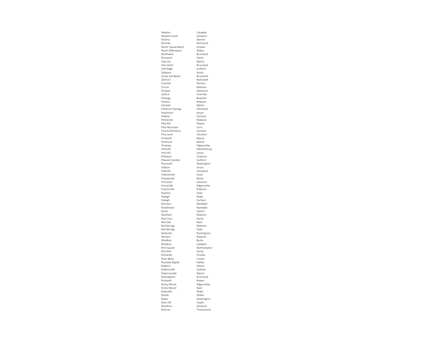| Newton                                  | Catawba                 |
|-----------------------------------------|-------------------------|
| Newton Grove                            | Sampson                 |
| Norlina                                 | Warren                  |
| Norman                                  | Richmond<br>Onslow      |
| North Topsail Beach<br>North Wilkesboro | Wilkes                  |
| Northwest                               | Brunswick               |
| Norwood                                 | Stanly                  |
| Oak City                                | Martin                  |
| Oak Island                              | Brunswick               |
| Oak Ridge                               | Guilford                |
| Oakboro                                 | Stanly                  |
| Ocean Isle Beach                        | Brunswick               |
| Old Fort<br>Oriental                    | McDowell                |
| Orrum                                   | Pamlico<br>Robeson      |
| Ossipee                                 | Alamance                |
| Oxford                                  | Granville               |
| Pantego                                 | Beaufort                |
| Parkton                                 | Robeson                 |
| Parmele                                 | Martin                  |
| Patterson Springs                       | Cleveland               |
| Peachland                               | Anson                   |
| Peletier<br>Pembroke                    | Carteret<br>Robeson     |
| Pikeville                               | Wayne                   |
| Pilot Mountain                          | Surry                   |
| Pine Knoll Shores                       | Carteret                |
| Pine Level                              | Johnston                |
| Pinebluff                               | Moore                   |
| Pinehurst                               | Moore                   |
| Pinetops                                | Edgecombe               |
| Pineville                               | Mecklenburg             |
| Pink Hill<br>Pittsboro                  | Lenoir<br>Chatham       |
| Pleasant Garden                         | Guilford                |
| Plymouth                                | Washington              |
| Polkton                                 | Anson                   |
| Polkville                               | Cleveland               |
| Pollocksville                           | lones                   |
| Powellsville                            | Bertie                  |
| Princeton                               | Johnston                |
| Princeville<br>Proctorville             | Edgecombe<br>Robeson    |
| Raeford                                 | Hoke                    |
| Raleigh                                 | Wake                    |
| Raleigh                                 | Durham                  |
| Ramseur                                 | Randolph                |
| Randleman                               | Randolph                |
| Ranlo                                   | Gaston                  |
| Raynham                                 | Robeson                 |
| Red Cross<br>Red Oak                    | Stanly<br>Nash          |
| <b>Red Springs</b>                      | Robeson                 |
| <b>Red Springs</b>                      | Hoke                    |
| Reidsville                              | Rockingham              |
| Rennert                                 |                         |
|                                         | Robeson                 |
| Rhodhiss                                | <b>Burke</b>            |
| Rhodhiss                                | Caldwell                |
| Rich Square                             | Northampton             |
| Richfield                               | Stanly                  |
| Richlands                               | Onslow                  |
| River Bend<br>Roanoke Rapids            | Craven<br>Halifax       |
| Robbins                                 | Moore                   |
| Robbinsville                            | Graham                  |
| Robersonville                           | Martin                  |
| Rockingham                              | Richmond                |
| Rockwell                                | Rowan                   |
| Rocky Mount                             | Edgecombe               |
| Rocky Mount                             | Nash<br>Wake            |
| Rolesville<br>Ronda                     |                         |
| Roper                                   | Wilkes<br>Washington    |
| Rose Hill                               | Duplin                  |
| Roseboro<br>Rosman                      | Sampson<br>Transylvania |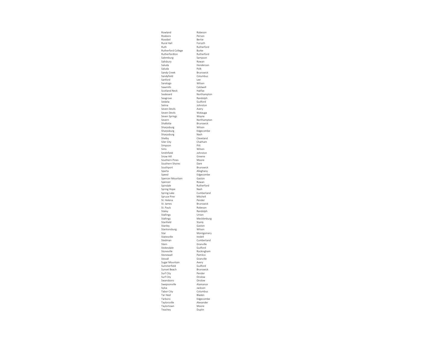| Rowland              | Robeson     |
|----------------------|-------------|
| Roxboro              | Person      |
| Roxobel              | Bertie      |
| Rural Hall           | Forsyth     |
| Ruth                 | Rutherford  |
| Rutherford College   | Burke       |
| Rutherfordton        | Rutherford  |
| Salemburg            | Sampson     |
| Salisbury            | Rowan       |
| Saluda               | Henderson   |
| Saluda               | Polk        |
| Sandy Creek          | Brunswick   |
| Sandyfield           | Columbus    |
| Sanford              | Lee         |
| Saratoga             | Wilson      |
| Sawmills             | Caldwell    |
| <b>Scotland Neck</b> | Halifax     |
| Seaboard             | Northampton |
| Seagrove             | Randolph    |
| Sedalia              | Guilford    |
| Selma                | Johnston    |
| Seven Devils         | Avery       |
| Seven Devils         | Watauga     |
| Seven Springs        | Wayne       |
| Severn               | Northampton |
| Shallotte            | Brunswick   |
| Sharpsburg           | Wilson      |
| Sharpsburg           | Edgecombe   |
| Sharpsburg           | Nash        |
| Shelby               | Cleveland   |
| Siler City           | Chatham     |
| Simpson              | Pitt        |
| Sims                 | Wilson      |
| Smithfield           | Johnston    |
| Snow Hill            | Greene      |
| Southern Pines       | Moore       |
| Southern Shores      | Dare        |
| Southport            | Brunswick   |
| Sparta               | Alleghany   |
| Speed                | Edgecombe   |
| Spencer Mountain     | Gaston      |
| Spencer              | Rowan       |
| Spindale             | Rutherford  |
| Spring Hope          | Nash        |
| Spring Lake          | Cumberland  |
| Spruce Pine          | Mitchell    |
| St. Helena           | Pender      |
| St. James            | Brunswick   |
| St. Pauls            | Robeson     |
| Staley               | Randolph    |
| <b>Stallings</b>     | Union       |
| <b>Stallings</b>     | Mecklenburg |
| Stanfield            | Stanly      |
| Stanley              | Gaston      |
| Stantonsburg         | Wilson      |
| Star                 | Montgomery  |
| Statesville          | Iredell     |
| Stedman              | Cumberland  |
| Stem                 | Granville   |
| Stokesdale           | Guilford    |
| Stoneville           | Rockingham  |
| Stonewall            | Pamlico     |
| Stovall              | Granville   |
| Sugar Mountain       | Avery       |
| Summerfield          | Guilford    |
| Sunset Beach         | Brunswick   |
| Surf City            | Pender      |
| Surf City            | Onslow      |
| Swansboro            | Onslow      |
| Swepsonville         | Alamance    |
| Sylva                | Jackson     |
| Tabor City           | Columbus    |
| Tar Heel             | Bladen      |
| Tarboro              | Edgecombe   |
| Taylorsville         | Alexander   |
| Taylortown           | Moore       |
| Teachey              | Duplin      |
|                      |             |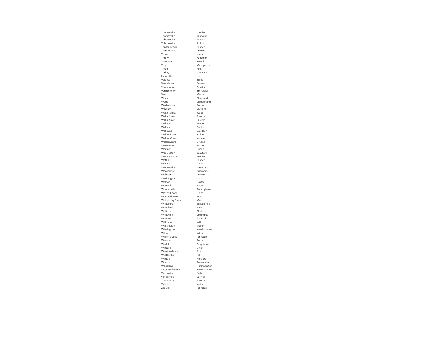| Thomasville                          | Davidson              |
|--------------------------------------|-----------------------|
| Thomasville                          | Randolph              |
| Tobaccoville                         | Forsyth               |
| Tobaccoville                         | Stokes                |
| <b>Topsail Beach</b>                 | Pender                |
| <b>Trent Woods</b>                   | Craven                |
| Trenton                              | Jones                 |
| Trinity                              | Randolph              |
| Troutman<br>Troy                     | Iredell<br>Montgomery |
| Tryon                                | Polk                  |
| Turkey                               | Sampson               |
| Unionville                           | Union                 |
| Valdese                              | <b>Burke</b>          |
| Vanceboro                            | Craven                |
| Vandemere                            | Pamlico               |
| Varnamtown                           | Brunswick             |
| Vass                                 | Moore                 |
| Waco                                 | Cleveland             |
| Wade                                 | Cumberland            |
| Wadesboro                            | Anson                 |
| Wagram                               | Scotland              |
| Wake Forest                          | Wake                  |
| Wake Forest                          | Franklin              |
| Walkertown                           | Forsyth               |
| Wallace                              | Pender                |
| Wallace                              | Duplin                |
| Wallburg                             | Davidson              |
| Walnut Cove<br>Walnut Creek          | Stokes                |
| Walstonburg                          | Wayne<br>Greene       |
| Warrenton                            | Warren                |
| Warsaw                               | Duplin                |
| Washington                           | Beaufort              |
| Washington Park                      | Beaufort              |
| Watha                                | Pender                |
| Waxhaw                               | Union                 |
| Waynesville                          | Haywood               |
| Weaverville                          | Buncombe              |
| Webster                              | Jackson               |
| Weddington                           | Union                 |
| Weldon                               | Halifax               |
| Wendell                              | Wake                  |
| Wentworth                            | Rockingham            |
| Wesley Chapel                        | Union                 |
| West Jefferson                       | Ashe                  |
| <b>Whispering Pines</b><br>Whitakers | Moore                 |
|                                      | Edgecombe<br>Nash     |
| Whitakers<br>White Lake              | Bladen                |
| Whiteville                           | Columbus              |
| Whitsett                             | Guilford              |
| Wilkesboro                           | Wilkes                |
| Williamston                          | Martin                |
| Wilmington                           | New Hanover           |
| Wilson                               | Wilson                |
| Wilson's Mills                       | Johnston              |
| Windsor                              | Bertie                |
| Winfall                              | Perquimans            |
| Wingate                              | Union                 |
| Winston-Salem                        | Forsyth               |
| Winterville                          | Pitt                  |
| Winton                               | Hertford              |
| Woodfin                              | Buncombe              |
| Woodland                             | Northampton           |
| Wrightsville Beach                   | New Hanover           |
| Yadkinville                          | Yadkin                |
| Yanceyville                          | Caswell               |
| Youngsville<br>Zebulon               | Franklin              |
|                                      |                       |
| Zebulon                              | Wake<br>Johnston      |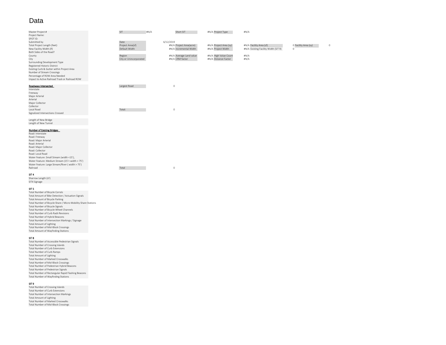# Data

| Master Project #                                | SIT                    | H N/A     | Short SIT               | #N/A Project Type      | #N/A                                 |                      |         |
|-------------------------------------------------|------------------------|-----------|-------------------------|------------------------|--------------------------------------|----------------------|---------|
| Project Name:                                   |                        |           |                         |                        |                                      |                      |         |
| SPOT ID:                                        |                        |           |                         |                        |                                      |                      |         |
| Submitted by                                    | Date                   | 6/12/2019 |                         |                        |                                      |                      |         |
| Total Project Length (feet)                     | Project Area(sf)       |           | #N/A Project Area(acre) | #N/A Project Area (sy) | #N/A Facility Area (sf)              | O Facility Area (sy) | $\circ$ |
| New Facility Width (If)                         | Default Width          |           | #N/A Incremental Width  | #N/A Project Width     | #N/A Existing Facility Width (SIT 9) | $\circ$              |         |
| Both Sides of the Road?                         |                        |           |                         |                        |                                      |                      |         |
| County                                          | Region                 |           | #N/A Average Land value | #N/A High Value Count  | $\#N/A$                              |                      |         |
| City                                            | City or Unincorporated |           | #N/A CRM factor         | #N/A Distance Factor   | $\#N/A$                              |                      |         |
| Surrounding Development Type                    |                        |           |                         |                        |                                      |                      |         |
| Registered Historic District                    |                        |           |                         |                        |                                      |                      |         |
| Existing Curb & Gutter within Project Area      |                        |           |                         |                        |                                      |                      |         |
| Number of Stream Crossings                      |                        |           |                         |                        |                                      |                      |         |
| Percentage of ROW Area Needed                   |                        |           |                         |                        |                                      |                      |         |
| Impact to Active Railroad Track or Railroad ROW |                        |           |                         |                        |                                      |                      |         |
|                                                 |                        |           |                         |                        |                                      |                      |         |
| Roadways Intersected                            | Largest Road           |           | $\circ$                 |                        |                                      |                      |         |
| Interstate                                      |                        |           |                         |                        |                                      |                      |         |
| Freeway                                         |                        |           |                         |                        |                                      |                      |         |
| Major Arterial                                  |                        |           |                         |                        |                                      |                      |         |
| Arterial                                        |                        |           |                         |                        |                                      |                      |         |
| Major Collector                                 |                        |           |                         |                        |                                      |                      |         |
| Collector                                       |                        |           |                         |                        |                                      |                      |         |
| Local Road                                      | Total:                 |           | $\circ$                 |                        |                                      |                      |         |
| Signalized Intersections Crossed                |                        |           |                         |                        |                                      |                      |         |
|                                                 |                        |           |                         |                        |                                      |                      |         |
| Length of New Bridge                            |                        |           |                         |                        |                                      |                      |         |
| Length of New Tunnel                            |                        |           |                         |                        |                                      |                      |         |
|                                                 |                        |           |                         |                        |                                      |                      |         |
| <b>Number of Existing Bridges</b>               |                        |           |                         |                        |                                      |                      |         |
| Road: Interstate                                |                        |           |                         |                        |                                      |                      |         |
| Road: Freeway                                   |                        |           |                         |                        |                                      |                      |         |
| Road: Major Arterial                            |                        |           |                         |                        |                                      |                      |         |
| Road: Arterial                                  |                        |           |                         |                        |                                      |                      |         |
| Road: Major Collector                           |                        |           |                         |                        |                                      |                      |         |
| Road: Collector                                 |                        |           |                         |                        |                                      |                      |         |
| Road: Local Road                                |                        |           |                         |                        |                                      |                      |         |
|                                                 |                        |           |                         |                        |                                      |                      |         |
| Water Feature: Small Stream (width <15'),       |                        |           |                         |                        |                                      |                      |         |

Total 0

#### RailroadSIT 4

 Sharrow Length (LF) SIT4 Signage

#### SIT 5

 Total Number of Bicycle Corrals Total Amount of Bike Detection / Actuation Signals Total Amount of Bicycle Parking Total Number of Bicycle Share / Micro‐Mobility Share Stations Total Number of Bicycle Signals Total Number of Bicycle Wheel Channels Total Number of Curb Radii Revisions Total Number of Hybrid Beacons Total Number of Intersection Markings / Signage Total Amount of Lighting Total Number of Mid‐Block Crossings Total Amount of Wayfinding Stations

Water Feature: Medium Stream (15'< width <sup>&</sup>lt; 75') Water Feature: Large Stream/River ( width <sup>&</sup>gt; 75')

#### SIT 8

 Total Number of Accessible Pedestrian Signals Total Number of Crossing Islands Total Number of Curb Extensions Total Number of Curb Ramps Total Amount of Lighting Total Number of Marked Crosswalks Total Number of Mid‐Block Crossings Total Number of Pedestrian Hybrid Beacons Total Number of Pedestrian Signals Total Number of Rectangular Rapid Flashing Beacons Total Number of Wayfinding Stations

#### SIT 9

 Total Number of Crossing Islands Total Number of Curb Extensions Total Number of Intersection Markings Total Amount of Lighting Total Number of Marked Crosswalks Total Number of Mid‐Block Crossings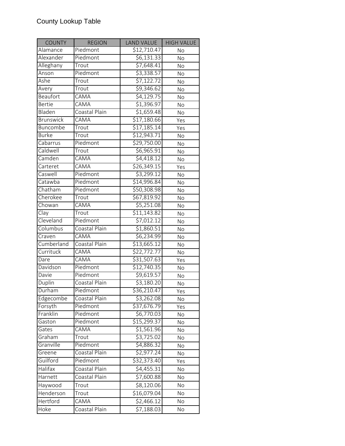| <b>COUNTY</b>     | <b>REGION</b> | <b>LAND VALUE</b>       | <b>HIGH VALUE</b> |
|-------------------|---------------|-------------------------|-------------------|
| Alamance          | Piedmont      | $\overline{$}12,710.47$ | <b>No</b>         |
| Alexander         | Piedmont      | \$6,131.33              | No                |
| Alleghany         | Trout         | \$7,648.41              | <b>No</b>         |
| Anson             | Piedmont      | \$3,338.57              | No                |
| Ashe              | Trout         | $\overline{57,122.72}$  | <b>No</b>         |
| Avery             | Trout         | 59,346.62               | No                |
| Beaufort          | CAMA          | $\overline{54,129.75}$  | No                |
| <b>Bertie</b>     | CAMA          | $\overline{$1,396.97}$  | No                |
| Bladen            | Coastal Plain | \$1,659.48              | No                |
| <b>Brunswick</b>  | CAMA          | \$17,180.66             | Yes               |
| Buncombe          | Trout         | $\overline{517,185.14}$ | Yes               |
| <b>Burke</b>      | Trout         | \$12,943.71             | <b>No</b>         |
| Cabarrus          | Piedmont      | \$29,750.00             | <b>No</b>         |
| Caldwell          | Trout         | \$6,965.91              | No                |
| Camden            | CAMA          | \$4,418.12              | No                |
| Carteret          | CAMA          | \$26,349.15             | Yes               |
| Caswell           | Piedmont      | $\overline{53,299.12}$  | No                |
| Catawba           | Piedmont      | \$14,996.84             | No                |
| Chatham           | Piedmont      | \$50,308.98             | No                |
| Cherokee          | Trout         | \$67,819.92             | No                |
| Chowan            | CAMA          | \$5,251.08              | No                |
| $\overline{Clay}$ | Trout         | \$11,143.82             | No                |
| Cleveland         | Piedmont      | \$7,012.12              | No                |
| Columbus          | Coastal Plain | \$1,860.51              | No                |
| Craven            | <b>CAMA</b>   | \$6,234.99              | No                |
| Cumberland        | Coastal Plain | \$13,665.12             | No                |
| Currituck         | CAMA          | \$22,772.77             | No                |
| Dare              | CAMA          | \$31,507.63             | Yes               |
| Davidson          | Piedmont      | \$12,740.35             | No                |
| Davie             | Piedmont      | 59,619.57               | <b>No</b>         |
| Duplin            | Coastal Plain | \$3,180.20              | No                |
| Durham            | Piedmont      | \$36,210.47             | Yes               |
| Edgecombe         | Coastal Plain | \$3,262.08              | No                |
| Forsyth           | Piedmont      | \$37,676.79             | Yes               |
| Franklin          | Piedmont      | \$6,770.03              | No                |
| Gaston            | Piedmont      | \$15,299.37             | No                |
| Gates             | CAMA          | \$1,561.96              | No                |
| Graham            | Trout         | 53,725.02               | No                |
| Granville         | Piedmont      | \$4,886.32              | No                |
| Greene            | Coastal Plain | \$2,977.24              | No                |
| Guilford          | Piedmont      | \$32,373.40             | Yes               |
| Halifax           | Coastal Plain | \$4,455.31              | No                |
| Harnett           | Coastal Plain | \$7,600.88              | No                |
| Haywood           | Trout         | \$8,120.06              | No                |
| Henderson         | Trout         | \$16,079.04             | No                |
| Hertford          | CAMA          | \$2,466.12              | No                |
| Hoke              | Coastal Plain | $\overline{57,}188.03$  | No                |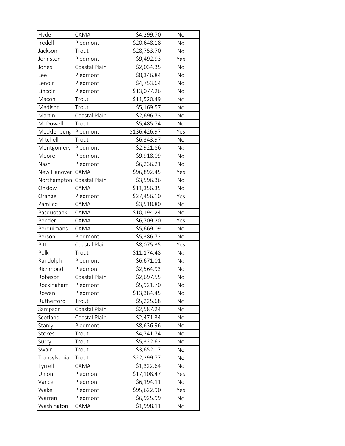| Hyde         | CAMA          | \$4,299.70               | No        |
|--------------|---------------|--------------------------|-----------|
| Iredell      | Piedmont      | \$20,648.18              | No        |
| Jackson      | Trout         | \$28,753.70              | No        |
| Johnston     | Piedmont      | \$9,492.93               | Yes       |
| Jones        | Coastal Plain | \$2,034.35               | No        |
| Lee          | Piedmont      | \$8,346.84               | No        |
| Lenoir       | Piedmont      | \$4,753.64               | No        |
| Lincoln      | Piedmont      | \$13,077.26              | No        |
| Macon        | Trout         | \$11,520.49              | No        |
| Madison      | Trout         | \$5,169.57               | No        |
| Martin       | Coastal Plain | \$2,696.73               | No        |
| McDowell     | Trout         | \$5,485.74               | No        |
| Mecklenburg  | Piedmont      | $\overline{$}136,426.97$ | Yes       |
| Mitchell     | Trout         | \$6,343.97               | No        |
| Montgomery   | Piedmont      | \$2,921.86               | No        |
| Moore        | Piedmont      | \$9,918.09               | No        |
| Nash         | Piedmont      | \$6,236.21               | No        |
| New Hanover  | CAMA          | \$96,892.45              | Yes       |
| Northampton  | Coastal Plain | \$3,596.36               | No        |
| Onslow       | CAMA          | \$11,356.35              | No        |
| Orange       | Piedmont      | \$27,456.10              | Yes       |
| Pamlico      | CAMA          | \$3,518.80               | No        |
| Pasquotank   | CAMA          | \$10,194.24              | No        |
| Pender       | CAMA          | \$6,709.20               | Yes       |
| Perquimans   | CAMA          | \$5,669.09               | No        |
| Person       | Piedmont      | \$5,386.72               | No        |
| Pitt         | Coastal Plain | \$8,075.35               | Yes       |
| Polk         | Trout         | \$11,174.48              | No        |
| Randolph     | Piedmont      | \$6,671.01               | No        |
| Richmond     | Piedmont      | \$2,564.93               | <b>No</b> |
| Robeson      | Coastal Plain | $\overline{$}2,697.55$   | No        |
| Rockingham   | Piedmont      | \$5,921.70               | No        |
| Rowan        | Piedmont      | \$13,384.45              | No        |
| Rutherford   | Trout         | \$5,225.68               | No        |
| Sampson      | Coastal Plain | \$2,587.24               | No        |
| Scotland     | Coastal Plain | \$2,471.34               | No        |
| Stanly       | Piedmont      | \$8,636.96               | No        |
| Stokes       | Trout         | \$4,741.74               | No        |
| Surry        | Trout         | \$5,322.62               | No        |
| Swain        | Trout         | \$3,652.17               | No        |
| Transylvania | Trout         | \$22,299.77              | No        |
| Tyrrell      | CAMA          | \$1,322.64               | No        |
| Union        | Piedmont      | \$17,108.47              | Yes       |
| Vance        | Piedmont      | \$6,194.11               | No        |
| Wake         | Piedmont      | \$95,622.90              | Yes       |
| Warren       | Piedmont      | \$6,925.99               | No        |
| Washington   | CAMA          | \$1,998.11               | No        |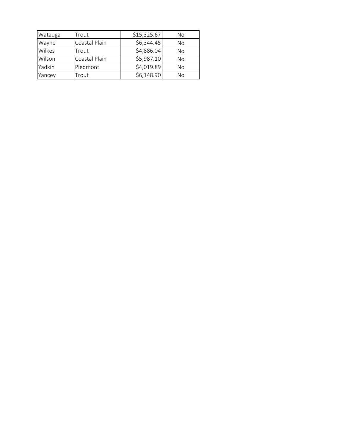| Watauga                | Trout         | \$15,325.67 | No |
|------------------------|---------------|-------------|----|
| Coastal Plain<br>Wayne |               | \$6,344.45  | No |
| Wilkes                 | Trout         | \$4,886.04  | No |
| Wilson                 | Coastal Plain | \$5,987.10  | No |
| Yadkin                 | Piedmont      | \$4,019.89  | No |
| Yancey                 | Trout         | \$6,148.90  | Νo |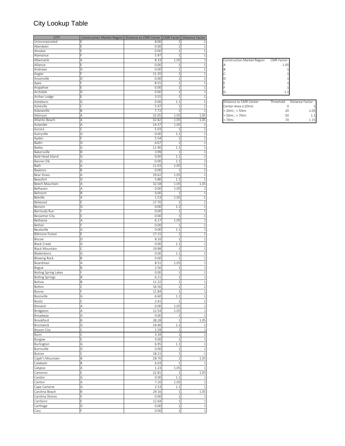# City Lookup Table

| <b>CITY</b>                 | Construction Market Region   Distance to CMR Center   CMR Factor   Distance Factor |       |                |              |
|-----------------------------|------------------------------------------------------------------------------------|-------|----------------|--------------|
| Unincorporated              |                                                                                    | 8.06  | -1             | 1            |
| Aberdeen                    |                                                                                    | 0.00  | $\mathbf{1}$   | 1            |
| Ahoskie                     |                                                                                    | 0.00  | $\mathbf{1}$   | 1            |
| Alamance                    |                                                                                    | 5.97  | 1              | 1            |
| Albemarle                   | А                                                                                  | 8.33  | 1.05           | 1            |
| Alliance                    |                                                                                    | 0.00  | -1             |              |
| Andrews                     | D                                                                                  | 0.00  | $\overline{1}$ | 1            |
| Angier                      |                                                                                    | 11.35 | -1             | 1            |
| Ansonville                  | D                                                                                  | 0.00  | $\mathbf{1}$   | 1            |
| Apex                        |                                                                                    | 8.55  | $\mathbf{1}$   | $\mathbf{1}$ |
| Arapahoe                    |                                                                                    | 0.00  | $\mathbf{1}$   | 1            |
| Archdale                    | D                                                                                  | 0.00  | $\mathbf{1}$   | 1            |
| Archer Lodge                |                                                                                    | 3.55  | $\mathbf{1}$   | 1            |
| Asheboro                    | G                                                                                  | 0.00  | 1.1            | $\mathbf{1}$ |
| Asheville                   | r                                                                                  | 5.97  | $\mathbf{1}$   | $\mathbf{1}$ |
| Askewville                  | Β                                                                                  | 7.72  | -1             | 1            |
| Atkinson                    | Α                                                                                  | 32.05 | 1.05           | 1.05         |
| Atlantic Beach              | Α                                                                                  | 32.82 | 1.05           | 1.05         |
| Aulander                    | Α                                                                                  | 14.37 | 1.05           | 1            |
| Aurora                      | Ċ                                                                                  | 5.03  | $\mathbf{1}$   | $\mathbf{1}$ |
| Autryville                  | G                                                                                  | 0.00  | 1.1            | $\mathbf{1}$ |
| Ayden                       |                                                                                    | 5.54  | $\mathbf{1}$   | 1            |
| Badin                       | D                                                                                  | 4.67  | $\mathbf{1}$   | 1            |
| Bailey                      | G                                                                                  | 11.90 | 1.1            | 1            |
| Bakersville                 | B                                                                                  | 3.99  | $\mathbf{1}$   | 1            |
| Bald Head Island            | G                                                                                  | 0.00  | 1.1            | 1            |
| Banner Elk                  | G                                                                                  | 0.00  | 1.1            | 1            |
| Bath                        | Α                                                                                  | 11.03 | 1.05           | 1            |
| Bayboro                     | В                                                                                  | 0.00  | $\mathbf{1}$   | 1            |
| <b>Bear Grass</b>           | Α                                                                                  | 19.62 | 1.05           | $\mathbf{1}$ |
| Beaufort                    | G                                                                                  | 5.86  | 1.1            | $\mathbf{1}$ |
| Beech Mountain              | Α                                                                                  | 32.58 | 1.05           | 1.05         |
| Belhaven                    | Α                                                                                  | 0.00  | 1.05           | 1            |
| Belmont                     | Β                                                                                  | 0.00  | $\mathbf{1}$   | 1            |
| <b>Belville</b>             | Д                                                                                  | 1.53  | 1.05           | 1            |
| Belwood                     |                                                                                    | 17.70 | -1             | 1            |
| Benson                      | G                                                                                  | 0.00  | 1.1            | 1            |
| Bermuda Run                 |                                                                                    | 0.00  | $\mathbf{1}$   | $\mathbf{1}$ |
| <b>Bessemer City</b>        |                                                                                    | 0.00  | -1             | 1            |
| Bethania                    | Α                                                                                  | 6.17  | 1.05           | 1            |
| Bethel                      |                                                                                    | 0.00  | $\mathbf{1}$   | $\mathbf{1}$ |
| Beulaville                  | G                                                                                  | 0.00  | 1.1            | 1            |
| <b>Biltmore Forest</b>      | Ė                                                                                  | 17.15 | -1             | 1            |
|                             |                                                                                    |       |                |              |
| Biscoe                      | D                                                                                  | 8.10  | $\mathbf{1}$   | 1            |
| <b>Black Creek</b>          | G                                                                                  | 0.00  | 1.1            | 1            |
| <b>Black Mountain</b>       |                                                                                    | 19.98 | $\mathbf{1}$   |              |
| Bladenboro                  | G                                                                                  | 0.00  | 1.1            | $\mathbf{1}$ |
| <b>Blowing Rock</b>         | B                                                                                  | 0.00  | $\mathbf{1}$   | $\mathbf{1}$ |
| Boardman                    | Α                                                                                  | 8.51  | 1.05           | $\mathbf{1}$ |
| Bogue                       | B                                                                                  | 2.56  | $\mathbf{1}$   | 1            |
| <b>Boiling Spring Lakes</b> |                                                                                    | 0.00  | $\mathbf{1}$   | 1            |
| <b>Boiling Springs</b>      | B                                                                                  | 6.21  | $\mathbf{1}$   | $\mathbf{1}$ |
| Bolivia                     | Β                                                                                  | 11.32 | $\mathbf{1}$   | $\mathbf{1}$ |
| Bolton                      |                                                                                    | 16.56 | $\mathbf{1}$   | 1            |
|                             |                                                                                    |       |                |              |
| Boone                       |                                                                                    | 11.84 | $\mathbf{1}$   | $\mathbf{1}$ |
| Boonville                   | G                                                                                  | 6.60  | 1.1            | $\,1\,$      |
| Bostic                      | Ċ                                                                                  | 2.41  | $\overline{1}$ | $\mathbf{1}$ |
| Brevard                     | Α                                                                                  | 0.00  | 1.05           | $\mathbf{1}$ |
| Bridgeton                   | Α                                                                                  | 12.54 | 1.05           | $\mathbf{1}$ |
| Broadway                    | D                                                                                  | 0.00  | $\mathbf{1}$   | $\mathbf{1}$ |
| Brookford                   | B                                                                                  | 28.28 | $\mathbf{1}$   | 1.05         |
| Brunswick                   | G                                                                                  | 14.40 | 1.1            | $\mathbf{1}$ |
| <b>Bryson City</b>          | Ċ                                                                                  | 1.59  | $\mathbf{1}$   | $\mathbf 1$  |
| Bunn                        | Ċ                                                                                  | 3.34  | $\mathbf{1}$   | $\mathbf{1}$ |
|                             | F                                                                                  | 0.00  | $\mathbf{1}$   | $\mathbf{1}$ |
| Burgaw                      |                                                                                    |       |                |              |
| Burlington                  | G                                                                                  | 6.95  | 1.1            | $\mathbf{1}$ |
| Burnsville                  | D                                                                                  | 0.00  | $\mathbf{1}$   | 1            |
| Butner                      | Ċ                                                                                  | 18.21 | $\mathbf{1}$   | $\mathbf{1}$ |
| Cajah's Mountain            | B                                                                                  | 28.70 | $\mathbf{1}$   | 1.05         |
| Calabash                    | B                                                                                  | 6.03  | $\mathbf{1}$   | $\mathbf{1}$ |
| Calypso                     | Α                                                                                  | 1.23  | 1.05           | $\mathbf{1}$ |
| Cameron                     | E                                                                                  | 22.81 | $\mathbf{1}$   | 1.05         |
| Candor                      | G                                                                                  | 0.00  | 1.1            | $\mathbf{1}$ |
| Canton                      | Α                                                                                  | 7.26  | 1.05           | $1\,$        |
| Cape Carteret               | G                                                                                  | 2.53  | 1.1            | $1\,$        |
| Carolina Beach              | B                                                                                  | 29.16 | $\mathbf{1}$   | 1.05         |
|                             | F                                                                                  | 0.00  | $\mathbf{1}$   | $\mathbf{1}$ |
| Carolina Shores             |                                                                                    |       |                |              |
| Carrboro                    |                                                                                    | 12.64 | $\mathbf{1}$   | $\mathbf{1}$ |
| Carthage                    | D                                                                                  | 0.00  | $\mathbf{1}$   | $1\,$        |
| Cary                        | F                                                                                  | 0.00  | $\,1\,$        | $\,1\,$      |

| Construction Market Region | <b>CMR Factor</b> |               |
|----------------------------|-------------------|---------------|
|                            | 1.05              |               |
|                            |                   |               |
|                            |                   |               |
| A B C D E F G              |                   |               |
|                            |                   |               |
|                            |                   |               |
|                            | $\mathbf{1}$      |               |
|                            |                   |               |
| Distance to CMR Center     | Threshold         | <b>Distan</b> |

| Distance to CMR Center                       |    | Threshold Distance Factor |
|----------------------------------------------|----|---------------------------|
| Center Area (<20mi)                          |    |                           |
| > 20mi ; < 50mi<br>> 50mi ; < 70mi<br>> 70mi | 20 | 1.05                      |
|                                              | 50 | 1.1                       |
|                                              | 70 | 1 1 5                     |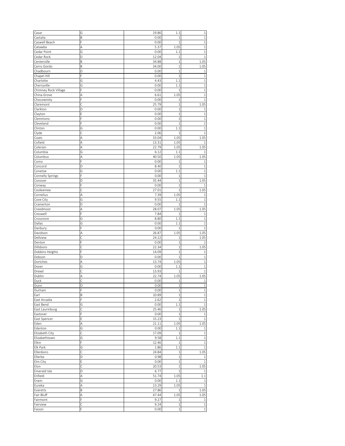| Casar                | G      | 19.86        | 1.1                | $\mathbf 1$                           |
|----------------------|--------|--------------|--------------------|---------------------------------------|
| Castalia             | B      | 0.00         | $\mathbf{1}$       | $\mathbf{1}$                          |
| Caswell Beach        |        | 0.00         | $\mathbf{1}$       | $\mathbf{1}$                          |
|                      |        |              |                    |                                       |
| Catawba              | A      | 5.37         | 1.05               | $1\,$                                 |
| Cedar Point          | G      | 0.00         | 1.1                | $\mathbf{1}$                          |
| Cedar Rock           | D      | 12.04        | $\mathbf 1$        | $\mathbf{1}$                          |
|                      |        |              |                    |                                       |
| Centerville          | B      | 34.88        | $\mathbf 1$        | 1.05                                  |
| Cerro Gordo          | B      | 34.00        | $\mathbf{1}$       | 1.05                                  |
|                      |        |              |                    |                                       |
| Chadbourn            | D      | 0.00         | 1                  | 1                                     |
| Chapel Hill          | F      | 0.00         | $\mathbf 1$        | $\,1\,$                               |
|                      |        |              |                    |                                       |
| Charlotte            | G      | 4.43         | 1.1                | $\mathbf{1}$                          |
| Cherryville          | Ġ      | 0.00         | 1.1                | $\mathbf{1}$                          |
| Chimney Rock Village | Ė      | 0.00         | $\mathbf{1}$       | $\mathbf{1}$                          |
|                      |        |              |                    |                                       |
| China Grove          | А      | 6.61         | 1.05               | $\mathbf{1}$                          |
| Chocowinity          | E      | 0.00         | $\mathbf{1}$       | $\mathbf{1}$                          |
|                      |        |              |                    |                                       |
| Claremont            | Ċ      | 25.79        | $\,1$              | 1.05                                  |
| Clarkton             | D      | 0.00         | $1\,$              | $1\,$                                 |
|                      | E      | 0.00         | $\mathbf{1}$       | $\mathbf{1}$                          |
| Clayton              |        |              |                    |                                       |
| Clemmons             |        | 0.00         | $\mathbf{1}$       | $\mathbf{1}$                          |
| Cleveland            |        | 0.00         | $\mathbf{1}$       | $\mathbf{1}$                          |
|                      |        |              |                    |                                       |
| Clinton              | G      | 0.00         | 1.1                | $1\,$                                 |
| Clyde                | Ċ      | 2.06         | $\mathbf{1}$       | $\mathbf{1}$                          |
|                      |        |              |                    |                                       |
| Coats                | A      | 33.04        | 1.05               | 1.05                                  |
| Cofield              | A      | 13.31        | 1.05               | 1                                     |
| Colerain             | A      | 22.79        | 1.05               | 1.05                                  |
|                      |        |              |                    |                                       |
| Columbia             | Ġ      | 6.12         | 1.1                |                                       |
| Columbus             | A      | 40.50        | 1.05               | 1.05                                  |
|                      |        |              |                    |                                       |
| Como                 |        | 0.00         | $\mathbf 1$        | 1                                     |
| Concord              | D      | 8.40         | $\overline{1}$     | 1                                     |
|                      |        |              |                    |                                       |
| Conetoe              | G      | 0.00         | 1.1                | $\mathbf{1}$                          |
| Connelly Springs     |        | 0.00         | $\mathbf 1$        | $\mathbf{1}$                          |
| Conover              | D      | 35.44        | $\mathbf 1$        | 1.05                                  |
|                      |        |              |                    |                                       |
| Conway               |        | 0.00         | $\mathbf 1$        | 1                                     |
| Cooleemee            | Ċ      | 27.01        | $\overline{1}$     | 1.05                                  |
|                      |        |              |                    |                                       |
| Cornelius            | A      | 7.39         | 1.05               | 1                                     |
| Cove City            | G      | 9.55         | 1.1                | $\mathbf{1}$                          |
| Cramerton            | D      | 0.00         | $\mathbf{1}$       | 1                                     |
|                      |        |              |                    |                                       |
| Creedmoor            | A      | 28.07        | 1.05               | 1.05                                  |
| Creswell             |        | 7.84         | $\mathbf{1}$       | $\mathbf{1}$                          |
|                      |        |              |                    |                                       |
| Crossnore            | G      | 8.80         | 1.1                | 1                                     |
|                      |        |              |                    |                                       |
|                      |        |              |                    |                                       |
| Dallas               | G      | 0.00         | 1.1                | 1                                     |
| Danbury              |        | 0.00         | $\mathbf 1$        | 1                                     |
| Davidson             | А      | 26.87        | 1.05               | 1.05                                  |
|                      |        |              |                    |                                       |
| Dellview             | Ċ      | 24.22        | $\mathbf 1$        | 1.05                                  |
| Denton               |        | 0.00         | $\mathbf{1}$       |                                       |
|                      |        |              |                    |                                       |
| Dillsboro            |        | 22.34        | $\mathbf{1}$       | 1.05                                  |
| Dobbins Heights      | p      | 14.09        | $\mathbf{1}$       | $\mathbf{1}$                          |
|                      | D      |              | $\mathbf{1}$       | 1                                     |
| Dobson               |        | 0.00         |                    |                                       |
| Dortches             | A      | 13.74        | 1.05               | $\mathbf{1}$                          |
| Dover                | G      | 0.00         | 1.1                | $\mathbf{1}$                          |
|                      |        |              |                    |                                       |
| Drexel               | Ċ      | 13.93        | $\overline{1}$     | 1                                     |
| Dublin               | A      | 22.74        | 1.05               | 1.05                                  |
|                      |        |              | $1\,$              | $\mathbf{1}$                          |
| Duck                 |        | 0.00         |                    |                                       |
| Dunn                 | D      | 0.00         | $\mathbf 1$        | $\,1\,$                               |
| Durham               | F      | 0.00         | $\,1$              | $\,1\,$                               |
|                      |        |              |                    |                                       |
| Earl                 | B      | 10.89        | $1\,$              | $\,1\,$                               |
| East Arcadia         | F      | 2.62         | $\,1\,$            | $\,1$                                 |
| East Bend            | G      | 0.00         | 1.1                | $\,1\,$                               |
|                      |        |              |                    |                                       |
| East Laurinburg      | Ċ      | 25.46        | $\,1$              | 1.05                                  |
| Eastover             | F      | 0.00         | $1\,$              | $1\,$                                 |
|                      | E      |              | $\mathbf{1}$       |                                       |
| East Spencer         |        | 15.23        |                    | $\,1\,$                               |
| Eden                 | A      | 21.11        | 1.05               | 1.05                                  |
| Edenton              | Ġ      | 0.00         | $1.1\,$            | $\,1\,$                               |
|                      |        |              |                    |                                       |
| Elizabeth City       | Ċ      | 17.09        | $\,1\,$            | $\mathbf 1$                           |
| Elizabethtown        | G      | 9.58         | 1.1                | $\,1\,$                               |
|                      | F      |              | $1\,$              |                                       |
| Elkin                |        | 12.46        |                    | $\,1\,$                               |
| Elk Park             | G      | 1.86         | $1.1\,$            | $\,1\,$                               |
| Ellenboro            | Ċ      | 24.84        | $\mathbf 1$        | 1.05                                  |
|                      |        |              |                    |                                       |
| Ellerbe              | D      | 0.98         | $\,1\,$            | $\mathbf{1}$                          |
| Elm City             | Ē      | 0.00         | $\,1\,$            | $\mathbf{1}$                          |
|                      |        |              |                    |                                       |
| Elon                 | Ċ      | 20.53        | $1\,$              | 1.05                                  |
| Emerald Isle         | D      | 6.77         | $1\,$              | 1                                     |
| Enfield              | A      | 51.74        | 1.05               | $1.1\,$                               |
|                      |        |              |                    |                                       |
| Erwin                | G      | 0.00         | 1.1                | $1\,$                                 |
| Eureka               | A      | 13.29        | 1.05               | $\mathbf{1}$                          |
|                      |        |              |                    |                                       |
| Everetts             | B      | 27.86        | $\mathbf{1}$       | 1.05                                  |
| Fair Bluff           | A      | 47.44        | 1.05               | 1.05                                  |
| Fairmont             | F      | 9.27         | $1\,$              |                                       |
|                      |        |              |                    |                                       |
| Fairview<br>Faison   | Ċ<br>F | 9.24<br>0.00 | $\,1\,$<br>$\,1\,$ | $\mathbf 1$<br>$\mathbf 1$<br>$\,1\,$ |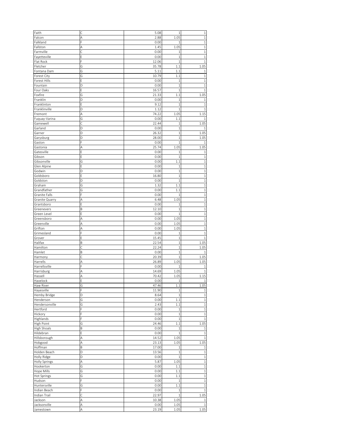| Faith                                                                                                                                                                                                                                                                                                                                   |        | 5.08          | $\mathbf 1$  | 1                                                                                                                                                                         |
|-----------------------------------------------------------------------------------------------------------------------------------------------------------------------------------------------------------------------------------------------------------------------------------------------------------------------------------------|--------|---------------|--------------|---------------------------------------------------------------------------------------------------------------------------------------------------------------------------|
| Falcon                                                                                                                                                                                                                                                                                                                                  | A      | 2.88          | 1.05         | $\mathbf{1}$                                                                                                                                                              |
| Falkland                                                                                                                                                                                                                                                                                                                                |        | 0.00          | 1            | 1                                                                                                                                                                         |
|                                                                                                                                                                                                                                                                                                                                         |        |               |              |                                                                                                                                                                           |
| Fallston                                                                                                                                                                                                                                                                                                                                | A      | 1.45          | 1.05         | $\mathbf{1}$                                                                                                                                                              |
| Farmville                                                                                                                                                                                                                                                                                                                               | Ć      | 0.00          | $\mathbf{1}$ | $\mathbf{1}$                                                                                                                                                              |
| Fayetteville                                                                                                                                                                                                                                                                                                                            | E      | 0.00          | $\mathbf{1}$ | $\mathbf{1}$                                                                                                                                                              |
| Flat Rock                                                                                                                                                                                                                                                                                                                               | F      | 12.06         | $\mathbf{1}$ | $\mathbf{1}$                                                                                                                                                              |
| Fletcher                                                                                                                                                                                                                                                                                                                                | G      | 35.78         | 1.1          | 1.05                                                                                                                                                                      |
| Fontana Dam                                                                                                                                                                                                                                                                                                                             | G      | 5.11          | 1.1          | 1                                                                                                                                                                         |
|                                                                                                                                                                                                                                                                                                                                         |        |               |              |                                                                                                                                                                           |
| Forest City                                                                                                                                                                                                                                                                                                                             | G      | 10.79         | 1.1          | $\mathbf{1}$                                                                                                                                                              |
| Forest Hills                                                                                                                                                                                                                                                                                                                            | E      | 0.00          | $\mathbf{1}$ | 1                                                                                                                                                                         |
| Fountain                                                                                                                                                                                                                                                                                                                                | D      | 0.00          | $\mathbf 1$  | $\mathbf{1}$                                                                                                                                                              |
| Four Oaks                                                                                                                                                                                                                                                                                                                               | E      | 16.57         | $\mathbf{1}$ | $\mathbf{1}$                                                                                                                                                              |
| Foxfire                                                                                                                                                                                                                                                                                                                                 | G      | 21.33         | 1.1          | 1.05                                                                                                                                                                      |
| Franklin                                                                                                                                                                                                                                                                                                                                | D      | 0.00          | $\mathbf{1}$ | $\mathbf{1}$                                                                                                                                                              |
| Franklinton                                                                                                                                                                                                                                                                                                                             | Ε      | 9.12          | $\mathbf{1}$ | $\mathbf{1}$                                                                                                                                                              |
|                                                                                                                                                                                                                                                                                                                                         |        |               | $\mathbf{1}$ |                                                                                                                                                                           |
| Franklinville                                                                                                                                                                                                                                                                                                                           | D      | 1.12          |              | $\mathbf{1}$                                                                                                                                                              |
| Fremont                                                                                                                                                                                                                                                                                                                                 | Α      | 74.22         | 1.05         | 1.15                                                                                                                                                                      |
| Fuquay-Varina                                                                                                                                                                                                                                                                                                                           | G      | 0.00          | 1.1          | 1                                                                                                                                                                         |
| Gamewell                                                                                                                                                                                                                                                                                                                                | C      | 22.44         | $\mathbf{1}$ | 1.05                                                                                                                                                                      |
| Garland                                                                                                                                                                                                                                                                                                                                 | D      | 0.00          | $\mathbf{1}$ | 1                                                                                                                                                                         |
| Garner                                                                                                                                                                                                                                                                                                                                  | D      | 26.32         | $\mathbf{1}$ | 1.05                                                                                                                                                                      |
|                                                                                                                                                                                                                                                                                                                                         | D      | 28.00         | $\mathbf{1}$ | 1.05                                                                                                                                                                      |
| Garysburg                                                                                                                                                                                                                                                                                                                               |        |               |              |                                                                                                                                                                           |
| Gaston                                                                                                                                                                                                                                                                                                                                  | F      | 0.00          | $\mathbf{1}$ |                                                                                                                                                                           |
| Gastonia                                                                                                                                                                                                                                                                                                                                | A      | 25.74         | 1.05         | 1.05                                                                                                                                                                      |
| Gatesville                                                                                                                                                                                                                                                                                                                              | E      | 0.00          | 1            | $\mathbf{1}$                                                                                                                                                              |
| Gibson                                                                                                                                                                                                                                                                                                                                  | E      | 0.00          | $\mathbf{1}$ | $\mathbf{1}$                                                                                                                                                              |
| Gibsonville                                                                                                                                                                                                                                                                                                                             | G      | 0.00          | 1.1          | 1                                                                                                                                                                         |
|                                                                                                                                                                                                                                                                                                                                         | Ē      |               | $\mathbf{1}$ | $\mathbf{1}$                                                                                                                                                              |
| Glen Alpine                                                                                                                                                                                                                                                                                                                             |        | 0.00          |              |                                                                                                                                                                           |
| Godwin                                                                                                                                                                                                                                                                                                                                  | D      | 0.00          | $\mathbf{1}$ | $\,1\,$                                                                                                                                                                   |
| Goldsboro                                                                                                                                                                                                                                                                                                                               | E      | 16.80         | $\mathbf{1}$ | $\mathbf{1}$                                                                                                                                                              |
| Goldston                                                                                                                                                                                                                                                                                                                                | D      | 0.00          | $\mathbf{1}$ | $\mathbf{1}$                                                                                                                                                              |
| Graham                                                                                                                                                                                                                                                                                                                                  | G      | 1.32          | 1.1          | $\mathbf{1}$                                                                                                                                                              |
| Grandfather                                                                                                                                                                                                                                                                                                                             | G      | 0.00          | 1.1          | $\mathbf 1$                                                                                                                                                               |
| Granite Falls                                                                                                                                                                                                                                                                                                                           | F      | 0.00          | $\mathbf{1}$ | $\mathbf{1}$                                                                                                                                                              |
|                                                                                                                                                                                                                                                                                                                                         |        |               |              |                                                                                                                                                                           |
| Granite Quarry                                                                                                                                                                                                                                                                                                                          | A      | 6.48          | 1.05         | $\mathbf{1}$                                                                                                                                                              |
| Grantsboro                                                                                                                                                                                                                                                                                                                              | E      | 0.00          | 1            | $\,1$                                                                                                                                                                     |
| Greenevers                                                                                                                                                                                                                                                                                                                              | B      | 12.10         | $\mathbf{1}$ | $\overline{1}$                                                                                                                                                            |
| Green Level                                                                                                                                                                                                                                                                                                                             | Ē      | 0.00          | $\mathbf{1}$ | $\mathbf{1}$                                                                                                                                                              |
| Greensboro                                                                                                                                                                                                                                                                                                                              | А      | 0.00          | 1.05         | $\mathbf{1}$                                                                                                                                                              |
| Greenville                                                                                                                                                                                                                                                                                                                              | A      | 0.00          | 1.05         | $\,1$                                                                                                                                                                     |
| Grifton                                                                                                                                                                                                                                                                                                                                 | A      | 0.00          | 1.05         | 1                                                                                                                                                                         |
|                                                                                                                                                                                                                                                                                                                                         |        |               |              |                                                                                                                                                                           |
| Grimesland                                                                                                                                                                                                                                                                                                                              | F      | 0.00          | 1            | $\mathbf{1}$                                                                                                                                                              |
| Grover                                                                                                                                                                                                                                                                                                                                  | E      |               |              |                                                                                                                                                                           |
|                                                                                                                                                                                                                                                                                                                                         |        | 15.45         | $\mathbf{1}$ | $1\,$                                                                                                                                                                     |
| Halifax                                                                                                                                                                                                                                                                                                                                 | B      | 22.54         | $\mathbf{1}$ | 1.05                                                                                                                                                                      |
|                                                                                                                                                                                                                                                                                                                                         | Ċ      | 22.24         | $\mathbf{1}$ |                                                                                                                                                                           |
|                                                                                                                                                                                                                                                                                                                                         |        |               |              | 1                                                                                                                                                                         |
|                                                                                                                                                                                                                                                                                                                                         | B      | 0.00          | $\mathbf{1}$ |                                                                                                                                                                           |
|                                                                                                                                                                                                                                                                                                                                         | Ċ      | 20.39         | 1            |                                                                                                                                                                           |
|                                                                                                                                                                                                                                                                                                                                         | A      | 26.89         | 1.05         | 1.05                                                                                                                                                                      |
| Harrellsville                                                                                                                                                                                                                                                                                                                           |        | 0.00          | 1            | 1                                                                                                                                                                         |
| Harrisburg                                                                                                                                                                                                                                                                                                                              | А      | 14.69         | 1.05         | 1                                                                                                                                                                         |
|                                                                                                                                                                                                                                                                                                                                         | А      | 70.42         | 1.05         | 1.15                                                                                                                                                                      |
|                                                                                                                                                                                                                                                                                                                                         |        | 0.00          | $\mathbf{1}$ | $\mathbf{1}$                                                                                                                                                              |
|                                                                                                                                                                                                                                                                                                                                         |        |               |              |                                                                                                                                                                           |
|                                                                                                                                                                                                                                                                                                                                         | G      | 47.46         | 1.1          |                                                                                                                                                                           |
|                                                                                                                                                                                                                                                                                                                                         | F      | 11.90         | $\,1\,$      |                                                                                                                                                                           |
| Hayesville<br>Hemby Bridge                                                                                                                                                                                                                                                                                                              | D      | 8.64          | $\,1\,$      |                                                                                                                                                                           |
|                                                                                                                                                                                                                                                                                                                                         | G      | 0.00          | $1.1\,$      | $\,1\,$                                                                                                                                                                   |
|                                                                                                                                                                                                                                                                                                                                         | G      | 2.43          | $1.1\,$      |                                                                                                                                                                           |
|                                                                                                                                                                                                                                                                                                                                         | F      | 0.00          | $\,1\,$      |                                                                                                                                                                           |
|                                                                                                                                                                                                                                                                                                                                         | F      |               | $\,1\,$      |                                                                                                                                                                           |
|                                                                                                                                                                                                                                                                                                                                         |        | 0.00          |              | $\mathbf 1$                                                                                                                                                               |
|                                                                                                                                                                                                                                                                                                                                         | F      | 0.00          | $\,1\,$      | $\mathbf{1}$                                                                                                                                                              |
| High Point                                                                                                                                                                                                                                                                                                                              | G      | 24.46         | 1.1          | 1.05                                                                                                                                                                      |
|                                                                                                                                                                                                                                                                                                                                         | B      | 0.00          | $\,1\,$      |                                                                                                                                                                           |
|                                                                                                                                                                                                                                                                                                                                         | E      | 0.00          | $\mathbf{1}$ | $\,1\,$                                                                                                                                                                   |
|                                                                                                                                                                                                                                                                                                                                         | Α      | 14.52         | 1.05         |                                                                                                                                                                           |
|                                                                                                                                                                                                                                                                                                                                         | A      |               |              |                                                                                                                                                                           |
|                                                                                                                                                                                                                                                                                                                                         |        | 23.13         | 1.05         |                                                                                                                                                                           |
| Hoffman                                                                                                                                                                                                                                                                                                                                 | B      | 17.00         | $\,1\,$      | 1                                                                                                                                                                         |
|                                                                                                                                                                                                                                                                                                                                         | D      | 13.56         | $\,1\,$      |                                                                                                                                                                           |
| Holly Ridge                                                                                                                                                                                                                                                                                                                             | D      | 0.00          | $\,1\,$      |                                                                                                                                                                           |
|                                                                                                                                                                                                                                                                                                                                         | Α      | 5.87          | 1.05         |                                                                                                                                                                           |
|                                                                                                                                                                                                                                                                                                                                         | Ġ      | 0.00          | $1.1\,$      | $\mathbf 1$                                                                                                                                                               |
|                                                                                                                                                                                                                                                                                                                                         | G      | 0.00          | $1.1\,$      |                                                                                                                                                                           |
|                                                                                                                                                                                                                                                                                                                                         |        |               |              |                                                                                                                                                                           |
|                                                                                                                                                                                                                                                                                                                                         | Ġ      | 0.00          | $1.1\,$      |                                                                                                                                                                           |
|                                                                                                                                                                                                                                                                                                                                         | F      | 0.00          | $\,1\,$      | $\mathbf{1}$                                                                                                                                                              |
|                                                                                                                                                                                                                                                                                                                                         | G      | 0.00          | 1.1          | $\mathbf{1}$                                                                                                                                                              |
| Indian Beach                                                                                                                                                                                                                                                                                                                            | F      | 0.00          | $\mathbf{1}$ |                                                                                                                                                                           |
|                                                                                                                                                                                                                                                                                                                                         | Ċ      | 22.97         | $\mathbf{1}$ |                                                                                                                                                                           |
|                                                                                                                                                                                                                                                                                                                                         | A      |               | 1.05         | $\mathbf{1}$                                                                                                                                                              |
| Hamilton<br>Hamlet<br>Harmony<br>Harrells<br>Hassell<br>Havelock<br>Haw River<br>Henderson<br>Hendersonville<br>Hertford<br>Hickory<br>Highlands<br>High Shoals<br>Hildebran<br>Hillsborough<br>Hobgood<br>Holden Beach<br>Holly Springs<br>Hookerton<br>Hope Mills<br>Hot Springs<br>Hudson<br>Huntersville<br>Indian Trail<br>Jackson |        | 10.38         |              | 1.05<br>1.05<br>1.05<br>$\mathbf{1}$<br>$\,1$<br>$\,1$<br>$\,1\,$<br>$\,1\,$<br>$\,1\,$<br>1.05<br>$\,1$<br>$\,1\,$<br>$\,1\,$<br>$\,1$<br>$\mathbf 1$<br>$\,1\,$<br>1.05 |
| Jacksonville<br>Jamestown                                                                                                                                                                                                                                                                                                               | Α<br>A | 0.00<br>23.19 | 1.05<br>1.05 | $\mathbf{1}$<br>1.05                                                                                                                                                      |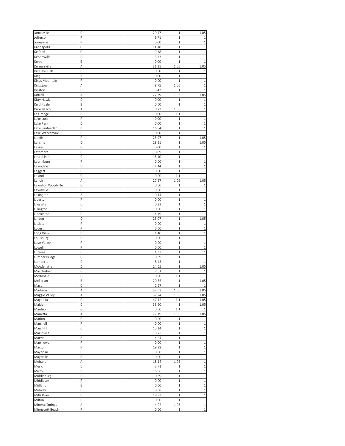| Jamesville         | F | 20.47 | $\,1$          | 1.05         |
|--------------------|---|-------|----------------|--------------|
| Jefferson          | F | 9.71  | $\,1\,$        | 1            |
|                    |   |       |                |              |
| Jonesville         |   | 0.00  | $\,1$          | $\mathbf{1}$ |
| Kannapolis         | С | 14.18 | $\mathbf 1$    | 1            |
| Kelford            | Ċ | 9.38  | $\mathbf{1}$   | $\mathbf{1}$ |
| Kenansville        | D | 3.33  | $\mathbf 1$    | $\mathbf 1$  |
| Kenly              | E | 0.00  | $\mathbf 1$    | 1            |
| Kernersville       | A | 31.21 | 1.05           | 1.05         |
| Kill Devil Hills   | E |       |                | 1            |
|                    |   | 0.00  | 1              |              |
| <b>King</b>        | B | 0.00  | $\mathbf 1$    | $\mathbf{1}$ |
| Kings Mountain     | F | 0.00  | $\mathbf{1}$   | $\mathbf{1}$ |
| Kingstown          | A | 8.75  | 1.05           | 1            |
| Kinston            | D | 3.42  | $\mathbf{1}$   | 1            |
| Kittrell           | A | 27.39 | 1.05           | 1.05         |
|                    | D | 0.00  | $\mathbf{1}$   |              |
| Kitty Hawk         |   |       |                | 1            |
| Knightdale         | B | 0.00  | $\mathbf{1}$   | 1            |
| Kure Beach         | A | 0.72  | 1.05           | $\,1$        |
| La Grange          | Ġ | 0.00  | 1.1            | $\mathbf{1}$ |
| Lake Lure          | F | 0.00  | $\mathbf{1}$   | $\mathbf{1}$ |
| Lake Park          | D | 0.00  | $\,1$          | $\mathbf 1$  |
| Lake Santeetlah    | B | 16.54 | $\mathbf 1$    | 1            |
|                    | Ē |       |                |              |
| Lake Waccamaw      |   | 0.00  | $\mathbf{1}$   | 1            |
| Landis             |   | 25.97 | 1              | 1.05         |
| Lansing            | D | 28.21 | $\mathbf{1}$   | 1.05         |
| Lasker             |   | 0.00  | $1\,$          | $\mathbf{1}$ |
| Lattimore          | С | 18.09 | $\mathbf 1$    | 1            |
| Laurel Park        | Ċ | 15.40 | $\mathbf 1$    | 1            |
|                    |   |       |                |              |
| Laurinburg         |   | 0.00  | $\mathbf 1$    | $\mathbf{1}$ |
| Lawndale           | D | 4.44  | $\overline{1}$ | $\mathbf{1}$ |
| Leggett            | B | 0.00  | $\mathbf{1}$   | $\mathbf{1}$ |
| Leland             | G | 0.00  | 1.1            | $\mathbf{1}$ |
| Lenoir             | Α | 27.27 | 1.05           | 1.05         |
| Lewiston Woodville | E | 0.00  | 1              | 1            |
|                    | Ē |       |                |              |
| Lewisville         |   | 0.00  | $\mathbf 1$    | $\mathbf 1$  |
| Lexington          |   | 0.14  | $\mathbf{1}$   | 1            |
| Liberty            |   | 0.00  | $\,1$          | $\mathbf{1}$ |
| Lilesville         | Ċ | 0.23  | $\mathbf 1$    | 1            |
| Lillington         | F | 0.00  | $\,1$          | 1            |
| Lincolnton         | Ć | 4.49  | $\,1\,$        | $\mathbf{1}$ |
|                    | D |       | $\overline{1}$ |              |
| Linden             |   | 25.07 |                | 1.05         |
| Littleton          | F | 0.00  | $\,1$          | 1            |
| Locust             |   | 0.00  | $\,1$          | $\mathbf{1}$ |
| Long View          | D | 1.40  | $\mathbf 1$    | $\mathbf 1$  |
| Louisburg          | F | 0.00  | $\overline{1}$ | $\mathbf{1}$ |
| Love Valley        |   | 0.00  | $\mathbf 1$    | $\mathbf{1}$ |
| Lowell             |   | 0.00  | $\mathbf{1}$   | 1            |
|                    |   |       |                |              |
| Lucama             | C | 1.33  | $\mathbf{1}$   | $\mathbf{1}$ |
| Lumber Bridge      | Ć | 10.89 | 1              | 1            |
| Lumberton          | D | 8.43  | $1\,$          | $\mathbf{1}$ |
| McAdenville        | D | 24.65 | $\mathbf 1$    | 1.05         |
| Macclesfield       | Ė | 7.51  | $\overline{1}$ | 1            |
| McDonald           | Ġ | 0.00  | 1.1            | $\mathbf{1}$ |
|                    |   |       |                |              |
| McFarlan           | B | 20.55 | $\,1\,$        | 1.05         |
| Macon              | Ċ | 2.67  | 1              | $\,1\,$      |
| Madison            | A | 32.63 | 1.05           | 1.05         |
| Maggie Valley      | Α | 37.24 | 1.05           | 1.05         |
| Magnolia           | G | 47.12 | 1.1            | 1.05         |
| Maiden             | Ċ | 33.60 | $\,1\,$        | 1.05         |
|                    |   |       |                | 1            |
| Manteo             | G | 0.00  | 1.1            |              |
| Marietta           | A | 27.19 | 1.05           | 1.05         |
| Marion             | F | 0.00  | $\,1\,$        | $1\,$        |
| Marshall           | F | 0.00  | $\mathbf{1}$   | $\,1$        |
| Mars Hill          | Ċ | 15.14 | $\mathbf{1}$   | $\,1$        |
| Marshville         | Ē | 9.72  | $\,1\,$        | $\,1$        |
| Marvin             | B | 4.24  | $\mathbf 1$    | $\,1$        |
|                    |   |       |                |              |
| Matthews           | F | 0.00  | $\mathbf{1}$   | $\,1$        |
| Maxton             | F | 19.99 | $\mathbf 1$    | $\,1\,$      |
| Mayodan            | E | 0.00  | $\mathbf{1}$   | $\mathbf 1$  |
| Maysville          | E | 0.00  | $\mathbf{1}$   | $\,1\,$      |
| Mebane             | A | 18.14 | 1.05           | $\,1$        |
| Mesic              | D | 2.71  | $\,1$          | $\,1$        |
|                    |   |       |                |              |
| Micro              | D | 16.06 | $\,1$          | $\,1\,$      |
| Middleburg         | D | 0.59  | $\mathbf{1}$   | $\mathbf{1}$ |
| Middlesex          | Ē | 0.00  | $\mathbf 1$    | $\,1$        |
| Midland            | F | 0.00  | $\mathbf{1}$   | $\mathbf{1}$ |
| Midway             | F | 9.08  | $\,1\,$        | $\,1$        |
| Mills River        | E | 19.93 | $\mathbf 1$    | $\,1\,$      |
|                    |   |       |                |              |
| Milton             | F | 0.00  | $\,1\,$        | $\,1\,$      |
| Mineral Springs    | А | 4.02  | 1.05           | $\,1$        |
| Minnesott Beach    | F | 0.00  | $\,1\,$        | $\,1\,$      |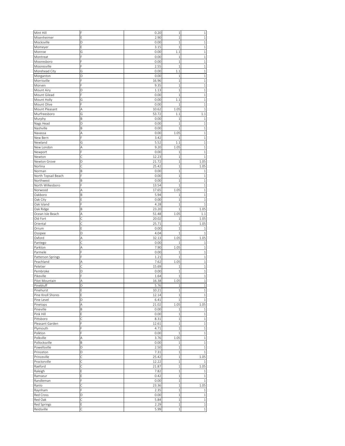| Mint Hill           |   | 0.20  | $\mathbf 1$  | 1            |
|---------------------|---|-------|--------------|--------------|
| Misenheimer         | E | 2.90  | $\,1\,$      | $\mathbf{1}$ |
|                     |   |       |              |              |
| Mocksville          | D | 0.00  | $\mathbf{1}$ | $\mathbf{1}$ |
| Momeyer             | E | 3.15  | $\mathbf{1}$ | $\mathbf{1}$ |
| Monroe              | G | 0.00  | 1.1          | $1\,$        |
| Montreat            | E | 0.00  | $\mathbf{1}$ | $\mathbf{1}$ |
| Mooresboro          | F | 0.00  | $\mathbf{1}$ | $\mathbf{1}$ |
| Mooresville         | E | 2.55  | $\mathbf{1}$ | $\mathbf{1}$ |
| Morehead City       | G | 0.00  | 1.1          | $\mathbf{1}$ |
|                     |   |       |              | $\mathbf{1}$ |
| Morganton           | D | 0.00  | $\mathbf 1$  |              |
| Morrisville         | Ē | 16.96 | $\mathbf{1}$ | $\mathbf{1}$ |
| Morven              |   | 9.35  | $\mathbf 1$  | $\mathbf{1}$ |
| Mount Airy          | D | 1.13  | $\mathbf{1}$ | $\mathbf{1}$ |
| Mount Gilead        | F | 0.00  | 1            | $\mathbf{1}$ |
| Mount Holly         | G | 0.00  | 1.1          | $\mathbf{1}$ |
| Mount Olive         | F | 0.00  | $\mathbf{1}$ | $\mathbf{1}$ |
|                     |   | 10.62 |              | $\mathbf{1}$ |
| Mount Pleasant      | A |       | 1.05         |              |
| Murfreesboro        | G | 53.72 | 1.1          | 1.1          |
| Murphy              | B | 0.00  | $\mathbf{1}$ | 1            |
| Nags Head           | D | 0.00  | $\mathbf{1}$ | $\mathbf{1}$ |
| Nashville           | B | 0.00  | $\mathbf{1}$ | $\mathbf{1}$ |
| Navassa             | A | 0.00  | 1.05         | $1\,$        |
| New Bern            |   | 3.42  | $\mathbf{1}$ | $\mathbf{1}$ |
|                     |   |       |              |              |
| Newland             | G | 5.52  | 1.1          | $\mathbf{1}$ |
| New London          | A | 9.20  | 1.05         | $\mathbf 1$  |
| Newport             | F | 0.00  | 1            | $\mathbf{1}$ |
| Newton              | Ć | 12.23 | $\mathbf{1}$ | $\mathbf{1}$ |
| Newton Grove        | D | 21.72 | $\mathbf{1}$ | 1.05         |
| Norlina             | Ċ | 25.42 | $\mathbf{1}$ | 1.05         |
|                     |   |       |              |              |
| Norman              | B | 0.00  | $\mathbf{1}$ | $\mathbf{1}$ |
| North Topsail Beach | F | 0.00  | 1            | 1            |
| Northwest           | B | 0.00  | $\mathbf{1}$ | $\mathbf{1}$ |
| North Wilkesboro    | F | 13.54 | $\mathbf{1}$ | $1\,$        |
| Norwood             | Α | 17.65 | 1.05         | $\,1$        |
| Oakboro             | B | 5.94  | $\mathbf 1$  | $\mathbf{1}$ |
|                     | E | 0.00  | $\mathbf 1$  | $\mathbf{1}$ |
| Oak City            |   |       |              |              |
| Oak Island          | F | 4.28  | $\mathbf 1$  | $\mathbf{1}$ |
| Oak Ridge           | B | 23.20 | $\mathbf{1}$ | 1.05         |
| Ocean Isle Beach    | A | 51.48 | 1.05         | 1.1          |
| Old Fort            |   | 20.02 | $\mathbf 1$  | 1.05         |
| Oriental            | Ċ | 25.71 | $\mathbf 1$  | 1.05         |
| Orrum               | E | 0.00  | $\mathbf{1}$ | -1           |
|                     |   |       |              |              |
| Ossipee             | D | 4.04  | 1            | 1            |
| Oxford              | Α | 32.13 | 1.05         | 1.05         |
| Pantego             | С | 0.00  | 1            | 1            |
| Parkton             | A | 7.90  | 1.05         | $\mathbf{1}$ |
| Parmele             | E | 0.00  | 1            | $\mathbf 1$  |
| Patterson Springs   | F | 1.21  | 1            | $\mathbf{1}$ |
| Peachland           | A | 7.62  | 1.05         | $\mathbf{1}$ |
|                     |   |       |              |              |
| Peletier            | C | 15.69 | 1            | $\mathbf{1}$ |
| Pembroke            | D | 0.00  | $\mathbf 1$  | $\mathbf{1}$ |
| Pikeville           | Ē | 1.64  | $\mathbf{1}$ | $\mathbf{1}$ |
| Pilot Mountain      | A | 16.38 | 1.05         | $\mathbf{1}$ |
| Pinebluff           | D | 5.76  | $1\,$        | $\,1$        |
| Pinehurst           | E | 10.21 | $\mathbf{1}$ | $\,1\,$      |
|                     |   |       |              |              |
| Pine Knoll Shores   | E | 12.14 | $\,1\,$      | $\,1$        |
| Pine Level          | D | 6.41  | $\,1\,$      | $1\,$        |
| Pinetops            | A | 21.02 | 1.05         | 1.05         |
| Pineville           | B | 0.00  | $\mathbf{1}$ | $1\,$        |
| Pink Hill           | E | 0.00  | $\,1\,$      | $\,1\,$      |
| Pittsboro           | Ċ | 8.31  | $\,1\,$      | $\,1$        |
|                     | Ē |       | $\,1\,$      |              |
| Pleasant Garden     |   | 12.61 |              | $\,1$        |
| Plymouth            | F | 4.71  | $\,1\,$      | $\mathbf 1$  |
| Polkton             | F | 0.00  | $\mathbf{1}$ | $\,1$        |
| Polkville           | Α | 3.76  | 1.05         | $\,1\,$      |
| Pollocksville       | B | 0.00  | $\,1\,$      | $\,1\,$      |
| Powellsville        | D | 2.50  | $\,1\,$      | $\mathbf 1$  |
| Princeton           | D | 7.31  | $\,1\,$      | $1\,$        |
|                     |   |       |              |              |
| Princeville         | Ċ | 25.42 | $\,1\,$      | 1.05         |
| Proctorville        | Ċ | 12.22 | $\mathbf{1}$ | $\mathbf{1}$ |
| Raeford             | Ċ | 21.87 | $\,1\,$      | 1.05         |
| Raleigh             | E | 7.82  | $\mathbf{1}$ | $\mathbf{1}$ |
| Ramseur             | E | 0.42  | $\,1\,$      | $\,1$        |
|                     | F |       | $\,1\,$      | $\mathbf{1}$ |
| Randleman           |   | 0.00  |              |              |
| Ranlo               | Ċ | 23.36 | $\mathbf 1$  | 1.05         |
| Raynham             | Ē | 2.35  | $\,1\,$      | $\mathbf{1}$ |
| Red Cross           | D | 0.00  | $\mathbf{1}$ | $\,1\,$      |
| Red Oak             | Ċ | 5.84  | $\,1\,$      | $\,1$        |
| Red Springs         | E | 2.29  | $\,1\,$      | $\,1\,$      |
|                     |   |       |              |              |
| Reidsville          | C | 5.99  | $\,1\,$      | $\,1\,$      |
|                     |   |       |              |              |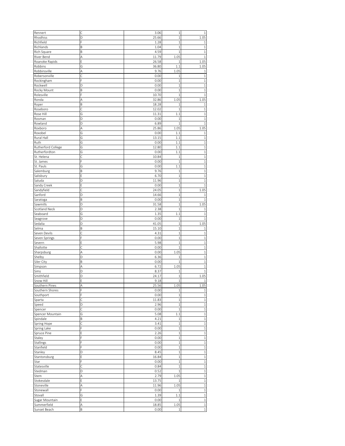| Rennert                          | Ċ      | 3.06          | $\,1\,$         | 1                      |
|----------------------------------|--------|---------------|-----------------|------------------------|
| Rhodhiss                         | D      | 25.66         | $\mathbf{1}$    | 1.05                   |
|                                  |        |               |                 |                        |
| Richfield                        |        | 1.28          | $\mathbf{1}$    | 1                      |
| Richlands                        | B      | 1.04          | $\mathbf{1}$    | $\mathbf{1}$           |
| Rich Square                      | B      | 4.59          | $\mathbf{1}$    | $\mathbf{1}$           |
| River Bend                       | Α      | 11.79         | 1.05            | $\mathbf{1}$           |
| Roanoke Rapids                   | E      | 26.58         | $\,1\,$         | 1.05                   |
| Robbins                          | G      | 36.80         | 1.1             | 1.05                   |
| Robbinsville                     | A      | 9.76          | 1.05            | 1                      |
| Robersonville                    | Ċ      | 0.00          | $\mathbf{1}$    | $\,1\,$                |
|                                  | F      |               | $\mathbf{1}$    | $\mathbf{1}$           |
| Rockingham                       |        | 0.00          |                 |                        |
| Rockwell                         | D      | 0.00          | $\mathbf{1}$    | $\mathbf{1}$           |
| Rocky Mount                      | B      | 0.00          | $\mathbf{1}$    | $\mathbf{1}$           |
| Rolesville                       | F      | 10.70         | $\mathbf{1}$    | $\mathbf{1}$           |
| Ronda                            | A      | 32.86         | 1.05            | 1.05                   |
| Roper                            | B      | 18.28         | 1               | 1                      |
| Roseboro                         | С      | 12.02         | $\mathbf{1}$    | $\mathbf 1$            |
| Rose Hill                        | G      | 11.31         | 1.1             | $\mathbf{1}$           |
|                                  | D      |               |                 |                        |
| Rosman                           |        | 0.00          | $\mathbf 1$     | $\mathbf{1}$           |
| Rowland                          | D      | 6.89          | $\mathbf{1}$    | $\mathbf{1}$           |
| Roxboro                          | Α      | 25.86         | 1.05            | 1.05                   |
| Roxobel                          | G      | 0.00          | 1.1             | 1                      |
| Rural Hall                       | G      | 13.15         | 1.1             | 1                      |
| Ruth                             | Ġ      | 0.00          | 1.1             | $\mathbf{1}$           |
| Rutherford College               | G      | 12.80         | 1.1             | $\,1\,$                |
|                                  |        |               |                 |                        |
| Rutherfordton                    | G      | 0.00          | 1.1             | $\mathbf{1}$           |
| St. Helena                       | Ċ      | 10.84         | $\mathbf 1$     | $\mathbf{1}$           |
| St. James                        | F      | 0.00          | $\mathbf{1}$    | $\mathbf{1}$           |
| St. Pauls                        | G      | 0.00          | 1.1             | $\mathbf{1}$           |
| Salemburg                        | B      | 9.76          | $\mathbf{1}$    | $\mathbf{1}$           |
| Salisbury                        | E      | 6.70          | $\mathbf{1}$    | $\mathbf{1}$           |
| Saluda                           | D      | 11.96         | $\mathbf{1}$    | 1                      |
|                                  |        |               |                 |                        |
| Sandy Creek                      | E      | 0.00          | $1\,$           | $\mathbf{1}$           |
| Sandyfield                       | Ċ      | 24.05         | $\mathbf{1}$    | 1.05                   |
| Sanford                          | D      | 14.66         | $\mathbf{1}$    | 1                      |
| Saratoga                         | B      | 0.00          | $\mathbf{1}$    | 1                      |
| Sawmills                         | D      | 31.58         | $\mathbf{1}$    | 1.05                   |
| Scotland Neck                    | D      | 2.38          | $\mathbf 1$     | 1                      |
| Seaboard                         | G      | 1.35          | 1.1             | $\mathbf{1}$           |
|                                  |        |               |                 |                        |
| Seagrove                         | D      | 0.00          | $\mathbf{1}$    | $\mathbf{1}$           |
| Sedalia                          | D      | 41.05         | $\mathbf{1}$    | 1.05                   |
| Selma                            | B      | 15.10         | $\mathbf{1}$    | 1                      |
| Seven Devils                     | Ċ      | 4.31          | $\mathbf 1$     | $\mathbf{1}$           |
| Seven Springs                    | Ē      | 0.00          | $\,1\,$         | $\mathbf{1}$           |
| Severn                           | E      | 5.98          | $\mathbf{1}$    | $\mathbf{1}$           |
| Shallotte                        |        | 0.00          | $\mathbf 1$     | $\mathbf{1}$           |
|                                  |        |               |                 |                        |
| Sharpsburg                       | A      | 0.00          | 1.05            | $\mathbf{1}$           |
| Shelby                           | D      | 6.36          | 1               | $\mathbf{1}$           |
| Siler City                       | B      | 0.00          | $\,1\,$         | $\mathbf{1}$           |
| Simpson                          | A      | 6.72          | 1.05            | $\mathbf{1}$           |
| Sims                             | D      | 8.37          | $\mathbf 1$     | $\mathbf{1}$           |
| Smithfield                       | D      | 24.17         | $\mathbf{1}$    | 1.05                   |
|                                  | F      |               | $\,1\,$         | $\mathbf{1}$           |
| Snow Hill                        |        | 9.18          |                 |                        |
| Southern Pines                   | Α      | 25.56         | 1.05            | 1.05                   |
| Southern Shores                  | F      | 0.00          | 1               | $\mathbf{1}$           |
| Southport                        | F      | 0.00          | $\mathbf{1}$    | $\,1\,$                |
| Sparta                           | Ċ      | 11.83         | $\,1\,$         | $\,1$                  |
| Speed                            | D      | 2.96          | $\,1\,$         | $\,1$                  |
| Spencer                          | Ċ      | 0.00          | $\,1\,$         | $\,1$                  |
|                                  |        |               |                 |                        |
| Spencer Mountain                 | G      | 5.08          | 1.1             | $\,1$                  |
| Spindale                         | B      | 4.21          | $\,1\,$         | $\mathbf{1}$           |
| Spring Hope                      | Ċ      | 3.41          | $\mathbf{1}$    | $\mathbf 1$            |
| Spring Lake                      | F      | 0.00          | $\,1\,$         | $\,1$                  |
| Spruce Pine                      | E      | 2.26          | $\,1\,$         | $\,1\,$                |
| Staley                           | F      | 0.00          | $\mathbf{1}$    | $\,1$                  |
| <b>Stallings</b>                 | F      | 0.00          | $\,1\,$         | $\,1$                  |
| Stanfield                        | F      | 0.00          | $\,1\,$         | $\,1$                  |
|                                  |        |               |                 |                        |
| Stanley                          | D      | 8.45          | $\,1\,$         | $\mathbf 1$            |
| Stantonsburg                     | E      | 16.84         | $\,1\,$         | $\,1$                  |
| Star                             | Ē      | 0.00          | $\,1\,$         | $\mathbf 1$            |
| Statesville                      | Ċ      | 0.84          | $1\,$           | $\,1$                  |
| Stedman                          | D      | 0.52          | $\mathbf{1}$    | $\mathbf{1}$           |
|                                  |        |               | 1.05            | $\mathbf 1$            |
|                                  |        |               |                 |                        |
|                                  | A      | 2.79          |                 |                        |
|                                  | Ē      | 13.75         | $\mathbf{1}$    | $\mathbf 1$            |
| Stem<br>Stokesdale<br>Stoneville | Α      | 11.96         | 1.05            | $\mathbf 1$            |
| Stonewall                        | F      | 0.00          | 1               | $\,1\,$                |
|                                  | G      | 1.39          | 1.1             |                        |
| Stovall<br>Sugar Mountain        | Ε      | 0.00          | $1\,$           | $\mathbf 1$<br>$\,1\,$ |
|                                  |        |               |                 | $\,1\,$                |
| Summerfield<br>Sunset Beach      | А<br>B | 18.85<br>0.00 | 1.05<br>$\,1\,$ | $\,1$                  |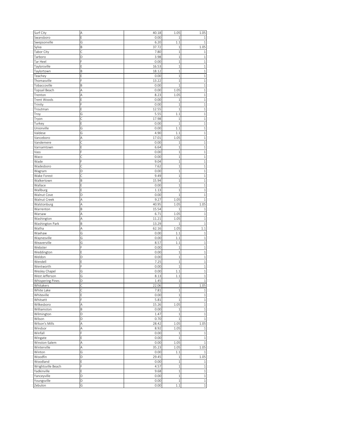| Surf City               | Α | 40.18 | 1.05           | 1.05         |
|-------------------------|---|-------|----------------|--------------|
| Swansboro               | E | 0.00  | 1              | 1            |
| Swepsonville            | G | 6.20  | 1.1            |              |
|                         | B |       |                | 1.05         |
| Sylva                   |   | 37.72 | 1              |              |
| <b>Tabor City</b>       | Ċ | 7.80  | $\mathbf 1$    | 1            |
| Tarboro                 | D | 3.98  | $\mathbf 1$    | 1            |
| Tar Heel                | Ē | 0.00  | $\mathbf 1$    |              |
|                         |   |       |                | 1            |
| Taylorsville            |   | 16.53 | $\mathbf 1$    | 1            |
| Taylortown              | B | 18.12 | $\,1$          | 1            |
|                         |   |       |                |              |
| Teachey                 | E | 0.00  | $\mathbf 1$    | 1            |
| Thomasville             | F | 13.22 | $\mathbf 1$    | $\mathbf 1$  |
| Tobaccoville            | Β | 0.00  | $\mathbf{1}$   | $\mathbf{1}$ |
|                         |   |       |                |              |
| Topsail Beach           | А | 0.00  | 1.05           | 1            |
| Trenton                 | Α | 8.23  | 1.05           | $\mathbf{1}$ |
| Trent Woods             | E | 0.00  | 1              | $\mathbf 1$  |
|                         |   |       |                |              |
| Trinity                 | F | 0.00  | 1              | 1            |
| Troutman                | E | 12.55 | $\mathbf 1$    | $\mathbf{1}$ |
|                         |   | 5.55  | 1.1            | 1            |
| Troy                    | G |       |                |              |
| Tryon                   | Ċ | 17.98 | $\mathbf{1}$   | 1            |
| Turkey                  | E | 0.00  | $\mathbf 1$    | $\mathbf{1}$ |
|                         |   |       |                |              |
| Unionville              | G | 0.00  | 1.1            | 1            |
| Valdese                 | G | 4.90  | 1.1            | 1            |
| Vanceboro               | A | 17.01 | 1.05           | $\mathbf{1}$ |
|                         |   |       |                |              |
| Vandemere               | Ċ | 0.00  | 1              | $\mathbf{1}$ |
| Varnamtown              | E | 6.64  | $\,1$          | $\mathbf 1$  |
| Vass                    |   | 0.00  | $\,1$          | $\mathbf 1$  |
|                         |   |       |                |              |
| Waco                    | С | 0.00  | $\mathbf 1$    | $\mathbf 1$  |
| Wade                    | F | 9.04  | $\mathbf 1$    | $\mathbf{1}$ |
| Wadesboro               | Ċ | 7.62  | $\overline{1}$ | $\mathbf{1}$ |
|                         |   |       |                |              |
| Wagram                  | D | 0.00  | $\mathbf 1$    | $\mathbf 1$  |
| Wake Forest             | C | 9.49  | $\mathbf 1$    | $\mathbf{1}$ |
|                         |   |       |                |              |
| Walkertown              | B | 15.94 | $\mathbf 1$    | 1            |
| Wallace                 | E | 0.00  | $\mathbf 1$    | 1            |
| Wallburg                | E | 1.13  | $1\,$          | $\mathbf{1}$ |
|                         |   |       |                |              |
| Walnut Cove             | D | 0.00  | $\mathbf{1}$   | 1            |
| Walnut Creek            | A | 9.27  | 1.05           | 1            |
| Walstonburg             | A | 40.95 | 1.05           | 1.05         |
|                         |   |       |                |              |
| Warrenton               | B | 15.54 | 1              | 1            |
| Warsaw                  | A | 6.71  | 1.05           | 1            |
| Washington              | A | 11.21 | 1.05           | $\mathbf 1$  |
|                         |   |       |                |              |
| Washington Park         | B | 13.29 | $\mathbf 1$    | $\mathbf 1$  |
| Watha                   | Α | 62.16 | 1.05           | 1.1          |
|                         |   |       |                |              |
| Waxhaw                  | G | 0.00  | 1.1            | $\mathbf 1$  |
| Waynesville             | G | 0.00  | 1.1            | 1            |
| Weaverville             | G | 8.57  | 1.1            | $\mathbf{1}$ |
|                         | Ē |       |                |              |
| Webster                 |   | 0.00  | 1              | 1            |
| Weddington              | E | 0.00  | $\,1$          | $\mathbf 1$  |
| Weldon                  | D | 0.00  | $\,1$          | $\mathbf{1}$ |
|                         |   |       |                |              |
| Wendell                 | E | 7.25  | $\mathbf 1$    | 1            |
| Wentworth               | F | 0.00  | 1              | $\mathbf{1}$ |
| Wesley Chapel           | G | 0.00  | 1.1            | $\mathbf 1$  |
|                         |   |       |                |              |
| West Jefferson          | G | 8.13  | 1.1            | $\mathbf 1$  |
| <b>Whispering Pines</b> | D | 1.45  | $1\,$          | 1            |
| Whitakers               | С | 22.06 | $\,1$          | 1.05         |
|                         |   |       |                |              |
| White Lake              | C | 7.81  | $\,1$          | $1\,$        |
| Whiteville              | E | 0.00  | $1\,$          | $\,1\,$      |
| Whitsett                | F | 5.81  | $1\,$          | $\,1$        |
|                         |   |       |                |              |
| Wilkesboro              | A | 15.26 | 1.05           | $\,1$        |
| Williamston             | B | 0.00  | $1\,$          | $\,1\,$      |
| Wilmington              | D | 1.47  | $\mathbf 1$    | $\,1\,$      |
|                         |   |       |                |              |
| Wilson                  | D | 0.70  | $1\,$          | $\,1\,$      |
| Wilson's Mills          | Α | 28.42 | 1.05           | 1.05         |
| Windsor                 | A | 8.92  | 1.05           |              |
|                         |   |       |                | $\,1\,$      |
| Winfall                 | F | 0.00  | $\,1$          | $\,1\,$      |
| Wingate                 | E | 0.00  | $\,1$          | $\,1\,$      |
|                         |   |       |                |              |
| Winston-Salem           | Α | 0.00  | 1.05           | $\mathbf{1}$ |
| Winterville             | Α | 35.23 | 1.05           | 1.05         |
| Winton                  | G | 0.00  | 1.1            | 1            |
|                         |   |       |                |              |
| Woodfin                 | D | 29.45 | $\,1$          | 1.05         |
| Woodland                | E | 0.00  | $\,1$          | $1\,$        |
|                         | F | 4.57  | $\,1$          |              |
| Wrightsville Beach      |   |       |                | $1\,$        |
| Yadkinville             | E | 9.68  | $\,1\,$        | $\,1\,$      |
| Yanceyville             | D | 0.00  | $1\,$          | $\,1\,$      |
|                         |   |       |                |              |
| Youngsville             | D | 0.00  | $\mathbf 1$    | $\,1$        |
| Zebulon                 | G | 0.00  | 1.1            | $\,1$        |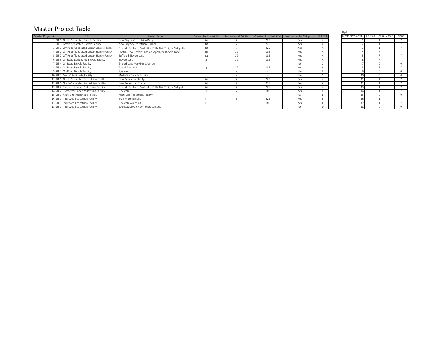# Master Project Table

|                  |                                                    |                                                          |                        |                   |     |                                                             |                | Hydro            |                        |          |
|------------------|----------------------------------------------------|----------------------------------------------------------|------------------------|-------------------|-----|-------------------------------------------------------------|----------------|------------------|------------------------|----------|
| Master Project # | SIT <sup>1</sup>                                   | Project Type                                             | Default facility Width | Incremental Width |     | Construction Unit Cost   Environmental Mitigation   SHEET # |                | Master Project # | Existing Curb & Gutter | None     |
|                  | 1 SIT 1: Grade-Separated Bicycle Facility          | New Bicycle/Pedestrian Bridge                            | 10                     |                   | 225 | Yes                                                         |                |                  |                        |          |
|                  | 2 SIT 1: Grade-Separated Bicycle Facility          | New Bicycle/Pedestrian Tunnel                            | 10                     |                   | 225 | Yes                                                         | A              |                  |                        |          |
|                  | 3 SIT 2: Off-Road/Separated Linear Bicycle Facilty | Shared-Use Path, Multi-Use Path, Rail-Trail, or Sidepath | 10                     |                   | 225 | Yes                                                         | $\overline{A}$ |                  |                        |          |
|                  | 4 SIT 2: Off-Road/Separated Linear Bicycle Facilty | Contra-Flow Bicycle Lane or Separated Bicycle Lane       | 10 <sup>1</sup>        |                   | 135 | Yes                                                         | $\overline{A}$ |                  |                        |          |
|                  | 5 SIT 2: Off-Road/Separated Linear Bicycle Facilty | Buffered Bicycle Lane                                    | 14                     |                   | 135 | Yes                                                         | $\overline{A}$ |                  |                        |          |
|                  | 6 SIT 3: On-Road Designated Bicycle Facility       | Bicycle Lane                                             |                        |                   | 135 | Yes                                                         | $\overline{A}$ |                  |                        |          |
|                  | 7 SIT 4: On-Road Bicycle Facility                  | Shared Lane Marking (Sharrow)                            |                        |                   |     | No.                                                         | G              |                  |                        |          |
|                  | 8 SIT 4: On-Road Bicycle Facility                  | Paved Shoulder                                           |                        |                   | 135 | Yes                                                         |                |                  |                        |          |
|                  | 9 SIT 4: On-Road Bicycle Facility                  | Signage                                                  |                        |                   |     | <b>No</b>                                                   | B              |                  |                        |          |
|                  | 10 SIT 5: Multi-Site Bicycle Facility              | Multi-Site Bicycle Facility                              |                        |                   |     | <b>No</b>                                                   |                |                  |                        |          |
|                  | 11 SIT 6: Grade-Separated Pedestrian Facility      | New Pedestrian Bridge                                    | 10                     |                   | 225 | Yes                                                         |                |                  |                        |          |
|                  | 12 SIT 6: Grade-Separated Pedestrian Facility      | New Pedestrian Tunnel                                    | $10 -$                 |                   | 225 | Yes                                                         | $\overline{A}$ |                  |                        |          |
|                  | 3 SIT 7: Protected Linear Pedestrian Facility      | Shared-Use Path, Multi-Use Path, Rail-Trail, or Sidepath | 10                     |                   | 225 | Yes                                                         | $\overline{A}$ |                  |                        |          |
|                  | 4 SIT 7: Protected Linear Pedestrian Facility      | Sidewalk                                                 |                        |                   | 180 | Yes                                                         | $\overline{A}$ |                  |                        |          |
|                  | 15 SIT 8: Multi-Site Pedestrian Facility           | Multi-Site Pedestrian Facility                           |                        |                   |     | No.                                                         | <b>F</b>       |                  |                        | $\Omega$ |
|                  | 16 SIT 9: Improved Pedestrian Facility             | Trail Improvement                                        | $\Omega$               |                   | 225 | Yes                                                         |                |                  |                        |          |
|                  | 17 SIT 9: Improved Pedestrian Facility             | Sidewalk Widening                                        |                        |                   | 180 | Yes                                                         |                |                  |                        |          |
|                  | 18 SIT 9: Improved Pedestrian Facility             | Streetscape/Corridor Improvement                         |                        |                   |     | <b>No</b>                                                   |                |                  |                        |          |